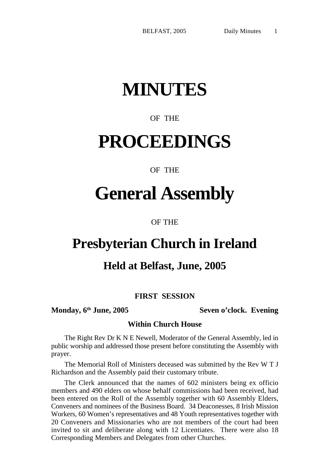# **MINUTES**

## OF THE

## **PROCEEDINGS**

## OF THE

## **General Assembly**

OF THE

## **Presbyterian Church in Ireland**

## **Held at Belfast, June, 2005**

## **FIRST SESSION**

**Monday, 6th June, 2005 Seven o'clock. Evening**

#### **Within Church House**

The Right Rev Dr K N E Newell, Moderator of the General Assembly, led in public worship and addressed those present before constituting the Assembly with prayer.

The Memorial Roll of Ministers deceased was submitted by the Rev W T J Richardson and the Assembly paid their customary tribute.

The Clerk announced that the names of 602 ministers being ex officio members and 490 elders on whose behalf commissions had been received, had been entered on the Roll of the Assembly together with 60 Assembly Elders, Conveners and nominees of the Business Board. 34 Deaconesses, 8 Irish Mission Workers, 60 Women's representatives and 48 Youth representatives together with 20 Conveners and Missionaries who are not members of the court had been invited to sit and deliberate along with 12 Licentiates. There were also 18 Corresponding Members and Delegates from other Churches.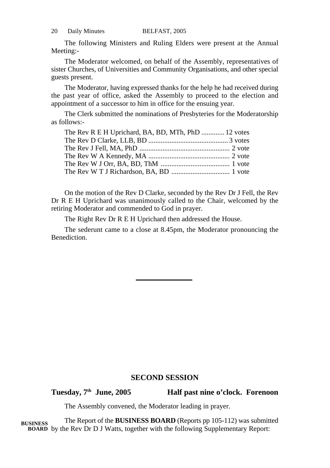| 20<br>Daily Minutes | BELFAST, 2005 |
|---------------------|---------------|
|---------------------|---------------|

The following Ministers and Ruling Elders were present at the Annual Meeting:-

The Moderator welcomed, on behalf of the Assembly, representatives of sister Churches, of Universities and Community Organisations, and other special guests present.

The Moderator, having expressed thanks for the help he had received during the past year of office, asked the Assembly to proceed to the election and appointment of a successor to him in office for the ensuing year.

The Clerk submitted the nominations of Presbyteries for the Moderatorship as follows:-

| The Rev R E H Uprichard, BA, BD, MTh, PhD  12 votes |  |
|-----------------------------------------------------|--|
|                                                     |  |
|                                                     |  |
|                                                     |  |
|                                                     |  |
|                                                     |  |

On the motion of the Rev D Clarke, seconded by the Rev Dr J Fell, the Rev Dr R E H Uprichard was unanimously called to the Chair, welcomed by the retiring Moderator and commended to God in prayer.

The Right Rev Dr R E H Uprichard then addressed the House.

The sederunt came to a close at 8.45pm, the Moderator pronouncing the Benediction.

#### **SECOND SESSION**

**Tuesday, 7th June, 2005 Half past nine o'clock. Forenoon**

The Assembly convened, the Moderator leading in prayer.

The Report of the **BUSINESS BOARD** (Reports pp 105-112) was submitted BOARD by the Rev Dr D J Watts, together with the following Supplementary Report: **BUSINESS**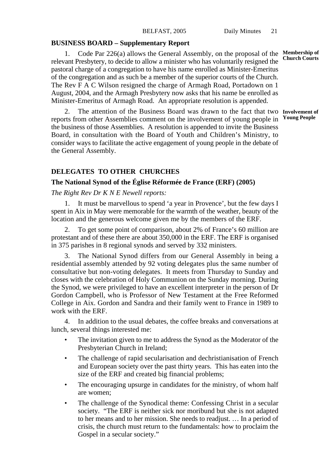#### **BUSINESS BOARD – Supplementary Report**

1. Code Par 226(a) allows the General Assembly, on the proposal of the relevant Presbytery, to decide to allow a minister who has voluntarily resigned the pastoral charge of a congregation to have his name enrolled as Minister-Emeritus of the congregation and as such be a member of the superior courts of the Church. The Rev F A C Wilson resigned the charge of Armagh Road, Portadown on 1 August, 2004, and the Armagh Presbytery now asks that his name be enrolled as Minister-Emeritus of Armagh Road. An appropriate resolution is appended.

2. The attention of the Business Board was drawn to the fact that two **Involvement of** reports from other Assemblies comment on the involvement of young people in **Young People**the business of those Assemblies. A resolution is appended to invite the Business Board, in consultation with the Board of Youth and Children's Ministry, to consider ways to facilitate the active engagement of young people in the debate of the General Assembly.

### **DELEGATES TO OTHER CHURCHES**

#### **The National Synod of the Église Réformée de France (ERF) (2005)**

*The Right Rev Dr K N E Newell reports:*

1. It must be marvellous to spend 'a year in Provence', but the few days I spent in Aix in May were memorable for the warmth of the weather, beauty of the location and the generous welcome given me by the members of the ERF.

2. To get some point of comparison, about 2% of France's 60 million are protestant and of these there are about 350,000 in the ERF. The ERF is organised in 375 parishes in 8 regional synods and served by 332 ministers.

3. The National Synod differs from our General Assembly in being a residential assembly attended by 92 voting delegates plus the same number of consultative but non-voting delegates. It meets from Thursday to Sunday and closes with the celebration of Holy Communion on the Sunday morning. During the Synod, we were privileged to have an excellent interpreter in the person of Dr Gordon Campbell, who is Professor of New Testament at the Free Reformed College in Aix. Gordon and Sandra and their family went to France in 1989 to work with the ERF.

4. In addition to the usual debates, the coffee breaks and conversations at lunch, several things interested me:

- The invitation given to me to address the Synod as the Moderator of the Presbyterian Church in Ireland;
- The challenge of rapid secularisation and dechristianisation of French and European society over the past thirty years. This has eaten into the size of the ERF and created big financial problems;
- The encouraging upsurge in candidates for the ministry, of whom half are women;
- The challenge of the Synodical theme: Confessing Christ in a secular society. "The ERF is neither sick nor moribund but she is not adapted to her means and to her mission. She needs to readjust. … In a period of crisis, the church must return to the fundamentals: how to proclaim the Gospel in a secular society."

**Membership of Church Courts**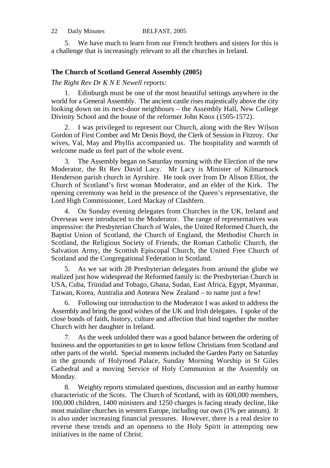| 22<br>Daily Minutes | BELFAST, 2005 |
|---------------------|---------------|
|---------------------|---------------|

5. We have much to learn from our French brothers and sisters for this is a challenge that is increasingly relevant to all the churches in Ireland.

#### **The Church of Scotland General Assembly (2005)**

*The Right Rev Dr K N E Newell reports:*

1. Edinburgh must be one of the most beautiful settings anywhere in the world for a General Assembly. The ancient castle rises majestically above the city looking down on its next-door neighbours – the Assembly Hall, New College Divinity School and the house of the reformer John Knox (1505-1572).

2. I was privileged to represent our Church, along with the Rev Wilson Gordon of First Comber and Mr Denis Boyd, the Clerk of Session in Fitzroy. Our wives, Val, May and Phyllis accompanied us. The hospitality and warmth of welcome made us feel part of the whole event.

3. The Assembly began on Saturday morning with the Election of the new Moderator, the Rt Rev David Lacy. Mr Lacy is Minister of Kilmarnock Henderson parish church in Ayrshire. He took over from Dr Alison Elliot, the Church of Scotland's first woman Moderator, and an elder of the Kirk. The opening ceremony was held in the presence of the Queen's representative, the Lord High Commissioner, Lord Mackay of Clashfern.

4. On Sunday evening delegates from Churches in the UK, Ireland and Overseas were introduced to the Moderator. The range of representatives was impressive: the Presbyterian Church of Wales, the United Reformed Church, the Baptist Union of Scotland, the Church of England, the Methodist Church in Scotland, the Religious Society of Friends, the Roman Catholic Church, the Salvation Army, the Scottish Episcopal Church, the United Free Church of Scotland and the Congregational Federation in Scotland.

5. As we sat with 28 Presbyterian delegates from around the globe we realized just how widespread the Reformed family is: the Presbyterian Church in USA, Cuba, Trinidad and Tobago, Ghana, Sudan, East Africa, Egypt, Myanmar, Taiwan, Korea, Australia and Aoteara New Zealand – to name just a few!

6. Following our introduction to the Moderator I was asked to address the Assembly and bring the good wishes of the UK and Irish delegates. I spoke of the close bonds of faith, history, culture and affection that bind together the mother Church with her daughter in Ireland.

7. As the week unfolded there was a good balance between the ordering of business and the opportunities to get to know fellow Christians from Scotland and other parts of the world. Special moments included the Garden Party on Saturday in the grounds of Holyrood Palace, Sunday Morning Worship in St Giles Cathedral and a moving Service of Holy Communion at the Assembly on Monday.

8. Weighty reports stimulated questions, discussion and an earthy humour characteristic of the Scots. The Church of Scotland, with its 600,000 members, 100,000 children, 1400 ministers and 1250 charges is facing steady decline, like most mainline churches in western Europe, including our own (1% per annum). It is also under increasing financial pressures. However, there is a real desire to reverse these trends and an openness to the Holy Spirit in attempting new initiatives in the name of Christ.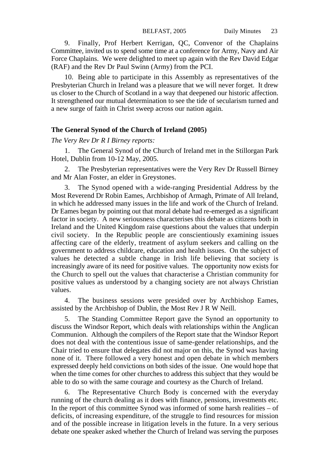9. Finally, Prof Herbert Kerrigan, QC, Convenor of the Chaplains Committee, invited us to spend some time at a conference for Army, Navy and Air Force Chaplains. We were delighted to meet up again with the Rev David Edgar (RAF) and the Rev Dr Paul Swinn (Army) from the PCI.

10. Being able to participate in this Assembly as representatives of the Presbyterian Church in Ireland was a pleasure that we will never forget. It drew us closer to the Church of Scotland in a way that deepened our historic affection. It strengthened our mutual determination to see the tide of secularism turned and a new surge of faith in Christ sweep across our nation again.

#### **The General Synod of the Church of Ireland (2005)**

*The Very Rev Dr R I Birney reports:*

1. The General Synod of the Church of Ireland met in the Stillorgan Park Hotel, Dublin from 10-12 May, 2005.

2. The Presbyterian representatives were the Very Rev Dr Russell Birney and Mr Alan Foster, an elder in Greystones.

3. The Synod opened with a wide-ranging Presidential Address by the Most Reverend Dr Robin Eames, Archbishop of Armagh, Primate of All Ireland, in which he addressed many issues in the life and work of the Church of Ireland. Dr Eames began by pointing out that moral debate had re-emerged as a significant factor in society. A new seriousness characterises this debate as citizens both in Ireland and the United Kingdom raise questions about the values that underpin civil society. In the Republic people are conscientiously examining issues affecting care of the elderly, treatment of asylum seekers and calling on the government to address childcare, education and health issues. On the subject of values he detected a subtle change in Irish life believing that society is increasingly aware of its need for positive values. The opportunity now exists for the Church to spell out the values that characterise a Christian community for positive values as understood by a changing society are not always Christian values.

4. The business sessions were presided over by Archbishop Eames, assisted by the Archbishop of Dublin, the Most Rev J R W Neill.

5. The Standing Committee Report gave the Synod an opportunity to discuss the Windsor Report, which deals with relationships within the Anglican Communion. Although the compilers of the Report state that the Windsor Report does not deal with the contentious issue of same-gender relationships, and the Chair tried to ensure that delegates did not major on this, the Synod was having none of it. There followed a very honest and open debate in which members expressed deeply held convictions on both sides of the issue. One would hope that when the time comes for other churches to address this subject that they would be able to do so with the same courage and courtesy as the Church of Ireland.

6. The Representative Church Body is concerned with the everyday running of the church dealing as it does with finance, pensions, investments etc. In the report of this committee Synod was informed of some harsh realities  $-$  of deficits, of increasing expenditure, of the struggle to find resources for mission and of the possible increase in litigation levels in the future. In a very serious debate one speaker asked whether the Church of Ireland was serving the purposes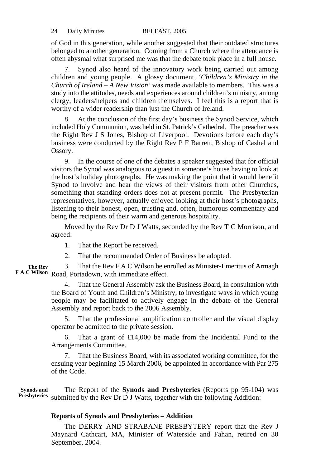of God in this generation, while another suggested that their outdated structures belonged to another generation. Coming from a Church where the attendance is often abysmal what surprised me was that the debate took place in a full house.

7. Synod also heard of the innovatory work being carried out among children and young people. A glossy document, *'Children's Ministry in the Church of Ireland – A New Vision'* was made available to members. This was a study into the attitudes, needs and experiences around children's ministry, among clergy, leaders/helpers and children themselves. I feel this is a report that is worthy of a wider readership than just the Church of Ireland.

8. At the conclusion of the first day's business the Synod Service, which included Holy Communion, was held in St. Patrick's Cathedral. The preacher was the Right Rev J S Jones, Bishop of Liverpool. Devotions before each day's business were conducted by the Right Rev P F Barrett, Bishop of Cashel and Ossory.

9. In the course of one of the debates a speaker suggested that for official visitors the Synod was analogous to a guest in someone's house having to look at the host's holiday photographs. He was making the point that it would benefit Synod to involve and hear the views of their visitors from other Churches, something that standing orders does not at present permit. The Presbyterian representatives, however, actually enjoyed looking at their host's photographs, listening to their honest, open, trusting and, often, humorous commentary and being the recipients of their warm and generous hospitality.

Moved by the Rev Dr D J Watts, seconded by the Rev T C Morrison, and agreed:

1. That the Report be received.

2. That the recommended Order of Business be adopted.

3. That the Rev F A C Wilson be enrolled as Minister-Emeritus of Armagh F A C Wilson Road, Portadown, with immediate effect. **The Rev**

> 4. That the General Assembly ask the Business Board, in consultation with the Board of Youth and Children's Ministry, to investigate ways in which young people may be facilitated to actively engage in the debate of the General Assembly and report back to the 2006 Assembly.

> 5. That the professional amplification controller and the visual display operator be admitted to the private session.

> 6. That a grant of £14,000 be made from the Incidental Fund to the Arrangements Committee.

> 7. That the Business Board, with its associated working committee, for the ensuing year beginning 15 March 2006, be appointed in accordance with Par 275 of the Code.

The Report of the **Synods and Presbyteries** (Reports pp 95-104) was submitted by the Rev Dr D J Watts, together with the following Addition: **Synods and Presbyteries**

#### **Reports of Synods and Presbyteries – Addition**

The DERRY AND STRABANE PRESBYTERY report that the Rev J Maynard Cathcart, MA, Minister of Waterside and Fahan, retired on 30 September, 2004.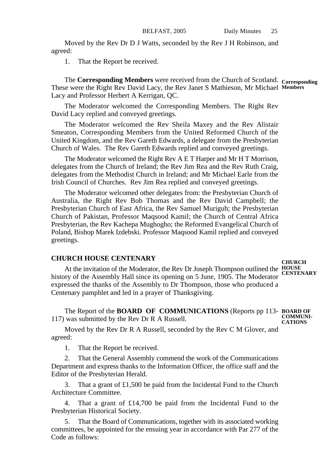Moved by the Rev Dr D J Watts, seconded by the Rev J H Robinson, and agreed:

1. That the Report be received.

The **Corresponding Members** were received from the Church of Scotland. **Corresponding** These were the Right Rev David Lacy, the Rev Janet S Mathieson, Mr Michael **Members** Lacy and Professor Herbert A Kerrigan, QC.

The Moderator welcomed the Corresponding Members. The Right Rev David Lacy replied and conveyed greetings.

The Moderator welcomed the Rev Sheila Maxey and the Rev Alistair Smeaton, Corresponding Members from the United Reformed Church of the United Kingdom, and the Rev Gareth Edwards, a delegate from the Presbyterian Church of Wales. The Rev Gareth Edwards replied and conveyed greetings.

The Moderator welcomed the Right Rev A E T Harper and Mr H T Morrison, delegates from the Church of Ireland; the Rev Jim Rea and the Rev Ruth Craig, delegates from the Methodist Church in Ireland; and Mr Michael Earle from the Irish Council of Churches. Rev Jim Rea replied and conveyed greetings.

The Moderator welcomed other delegates from: the Presbyterian Church of Australia, the Right Rev Bob Thomas and the Rev David Campbell; the Presbyterian Church of East Africa, the Rev Samuel Muriguh; the Presbyterian Church of Pakistan, Professor Maqsood Kamil; the Church of Central Africa Presbyterian, the Rev Kachepa Mughogho; the Reformed Evangelical Church of Poland, Bishop Marek Izdebski. Professor Maqsood Kamil replied and conveyed greetings.

#### **CHURCH HOUSE CENTENARY**

At the invitation of the Moderator, the Rev Dr Joseph Thompson outlined the **HOUSE** history of the Assembly Hall since its opening on 5 June, 1905. The Moderator **CENTENARY** expressed the thanks of the Assembly to Dr Thompson, those who produced a Centenary pamphlet and led in a prayer of Thanksgiving.

The Report of the **BOARD OF COMMUNICATIONS** (Reports pp 113- **BOARD OF** 117) was submitted by the Rev Dr R A Russell. **COMMUNI-CATIONS**

Moved by the Rev Dr R A Russell, seconded by the Rev C M Glover, and agreed:

1. That the Report be received.

2. That the General Assembly commend the work of the Communications Department and express thanks to the Information Officer, the office staff and the Editor of the Presbyterian Herald.

3. That a grant of £1,500 be paid from the Incidental Fund to the Church Architecture Committee.

4. That a grant of £14,700 be paid from the Incidental Fund to the Presbyterian Historical Society.

5. That the Board of Communications, together with its associated working committees, be appointed for the ensuing year in accordance with Par 277 of the Code as follows:

**CHURCH**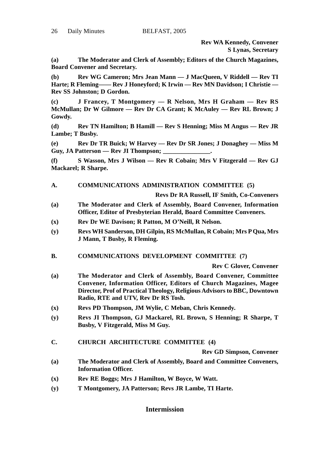**Rev WA Kennedy, Convener S Lynas, Secretary**

**(a) The Moderator and Clerk of Assembly; Editors of the Church Magazines, Board Convener and Secretary.**

**(b) Rev WG Cameron; Mrs Jean Mann — J MacQueen, V Riddell — Rev TI Harte; R Fleming—— Rev J Honeyford; K Irwin — Rev MN Davidson; I Christie — Rev SS Johnston; D Gordon.**

**(c) J Francey, T Montgomery — R Nelson, Mrs H Graham — Rev RS McMullan; Dr W Gilmore — Rev Dr CA Grant; K McAuley — Rev RL Brown; J Gowdy.**

**(d) Rev TN Hamilton; B Hamill — Rev S Henning; Miss M Angus — Rev JR Lambe; T Busby.**

**(e) Rev Dr TR Buick; W Harvey — Rev Dr SR Jones; J Donaghey — Miss M** Guy, JA Patterson — Rev JI Thompson:

**(f) S Wasson, Mrs J Wilson — Rev R Cobain; Mrs V Fitzgerald — Rev GJ Mackarel; R Sharpe.**

**A. COMMUNICATIONS ADMINISTRATION COMMITTEE (5)**

**Revs Dr RA Russell, IF Smith, Co-Conveners**

- **(a) The Moderator and Clerk of Assembly, Board Convener, Information Officer, Editor of Presbyterian Herald, Board Committee Conveners.**
- **(x) Rev Dr WE Davison; R Patton, M O'Neill, R Nelson.**
- **(y) Revs WH Sanderson, DH Gilpin, RS McMullan, R Cobain; Mrs P Qua, Mrs J Mann, T Busby, R Fleming.**
- **B. COMMUNICATIONS DEVELOPMENT COMMITTEE (7)**

**Rev C Glover, Convener**

- **(a) The Moderator and Clerk of Assembly, Board Convener, Committee Convener, Information Officer, Editors of Church Magazines, Magee Director, Prof of Practical Theology, Religious Advisors to BBC, Downtown Radio, RTE and UTV, Rev Dr RS Tosh.**
- **(x) Revs PD Thompson, JM Wylie, C Meban, Chris Kennedy.**
- **(y) Revs JI Thompson, GJ Mackarel, RL Brown, S Henning; R Sharpe, T Busby, V Fitzgerald, Miss M Guy.**
- **C. CHURCH ARCHITECTURE COMMITTEE (4)**

**Rev GD Simpson, Convener**

- **(a) The Moderator and Clerk of Assembly, Board and Committee Conveners, Information Officer.**
- **(x) Rev RE Boggs; Mrs J Hamilton, W Boyce, W Watt.**
- **(y) T Montgomery, JA Patterson; Revs JR Lambe, TI Harte.**

**Intermission**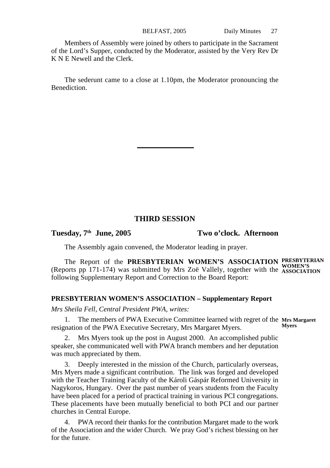Members of Assembly were joined by others to participate in the Sacrament of the Lord's Supper, conducted by the Moderator, assisted by the Very Rev Dr K N E Newell and the Clerk.

The sederunt came to a close at 1.10pm, the Moderator pronouncing the Benediction.

#### **THIRD SESSION**

**Tuesday, 7th June, 2005 Two o'clock. Afternoon**

The Assembly again convened, the Moderator leading in prayer.

The Report of the **PRESBYTERIAN WOMEN'S ASSOCIATION** (Reports pp 171-174) was submitted by Mrs Zoë Vallely, together with the following Supplementary Report and Correction to the Board Report: **PRESBYTERIAN WOMEN'S ASSOCIATION**

#### **PRESBYTERIAN WOMEN'S ASSOCIATION – Supplementary Report**

*Mrs Sheila Fell, Central President PWA, writes:*

1. The members of PWA Executive Committee learned with regret of the **Mrs Margaret** resignation of the PWA Executive Secretary, Mrs Margaret Myers. **Myers**

2. Mrs Myers took up the post in August 2000. An accomplished public speaker, she communicated well with PWA branch members and her deputation was much appreciated by them.

3. Deeply interested in the mission of the Church, particularly overseas, Mrs Myers made a significant contribution. The link was forged and developed with the Teacher Training Faculty of the Károli Gáspár Reformed University in Nagykoros, Hungary. Over the past number of years students from the Faculty have been placed for a period of practical training in various PCI congregations. These placements have been mutually beneficial to both PCI and our partner churches in Central Europe.

4. PWA record their thanks for the contribution Margaret made to the work of the Association and the wider Church. We pray God's richest blessing on her for the future.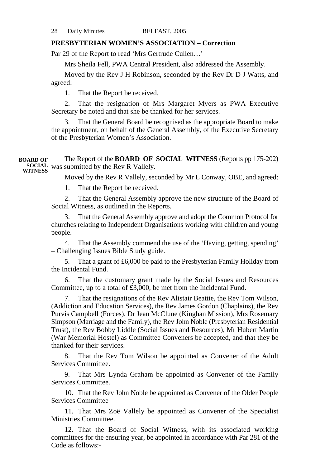#### **PRESBYTERIAN WOMEN'S ASSOCIATION – Correction**

Par 29 of the Report to read 'Mrs Gertrude Cullen…'

Mrs Sheila Fell, PWA Central President, also addressed the Assembly.

Moved by the Rev J H Robinson, seconded by the Rev Dr D J Watts, and agreed:

1. That the Report be received.

2. That the resignation of Mrs Margaret Myers as PWA Executive Secretary be noted and that she be thanked for her services.

That the General Board be recognised as the appropriate Board to make the appointment, on behalf of the General Assembly, of the Executive Secretary of the Presbyterian Women's Association.

The Report of the **BOARD OF SOCIAL WITNESS** (Reports pp 175-202) was submitted by the Rev R Vallely. **SOCIAL WITNESSBOARD OF**

Moved by the Rev R Vallely, seconded by Mr L Conway, OBE, and agreed:

1. That the Report be received.

2. That the General Assembly approve the new structure of the Board of Social Witness, as outlined in the Reports.

3. That the General Assembly approve and adopt the Common Protocol for churches relating to Independent Organisations working with children and young people.

4. That the Assembly commend the use of the 'Having, getting, spending' – Challenging Issues Bible Study guide.

5. That a grant of £6,000 be paid to the Presbyterian Family Holiday from the Incidental Fund.

6. That the customary grant made by the Social Issues and Resources Committee, up to a total of £3,000, be met from the Incidental Fund.

7. That the resignations of the Rev Alistair Beattie, the Rev Tom Wilson, (Addiction and Education Services), the Rev James Gordon (Chaplains), the Rev Purvis Campbell (Forces), Dr Jean McClune (Kinghan Mission), Mrs Rosemary Simpson (Marriage and the Family), the Rev John Noble (Presbyterian Residential Trust), the Rev Bobby Liddle (Social Issues and Resources), Mr Hubert Martin (War Memorial Hostel) as Committee Conveners be accepted, and that they be thanked for their services.

8. That the Rev Tom Wilson be appointed as Convener of the Adult Services Committee.

9. That Mrs Lynda Graham be appointed as Convener of the Family Services Committee.

10. That the Rev John Noble be appointed as Convener of the Older People Services Committee

11. That Mrs Zoë Vallely be appointed as Convener of the Specialist Ministries Committee.

12. That the Board of Social Witness, with its associated working committees for the ensuring year, be appointed in accordance with Par 281 of the Code as follows:-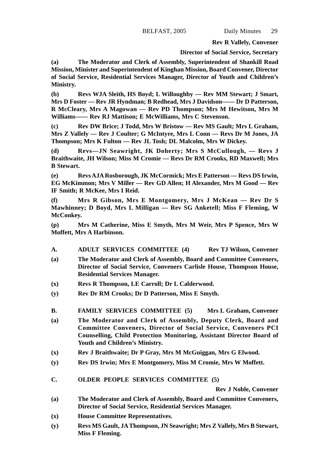**Rev R Vallely, Convener**

#### **Director of Social Service, Secretary**

**(a) The Moderator and Clerk of Assembly, Superintendent of Shankill Road Mission, Minister and Superintendent of Kinghan Mission, Board Convener, Director of Social Service, Residential Services Manager, Director of Youth and Children's Ministry.**

**(b) Revs WJA Sleith, HS Boyd; L Willoughby — Rev MM Stewart; J Smart, Mrs D Foster — Rev JR Hyndman; B Redhead, Mrs J Davidson—— Dr D Patterson, R McCleary, Mrs A Magowan — Rev PD Thompson; Mrs M Hewitson, Mrs M Williams—— Rev RJ Mattison; E McWilliams, Mrs C Stevenson.**

**(c) Rev DW Brice; J Todd, Mrs W Bristow — Rev MS Gault; Mrs L Graham, Mrs Z Vallely — Rev J Coulter; G McIntyre, Mrs L Conn — Revs Dr M Jones, JA Thompson; Mrs K Fulton — Rev JL Tosh; DL Malcolm, Mrs W Dickey.**

**(d) Revs—JN Seawright, JK Doherty; Mrs S McCullough, — Revs J Braithwaite, JH Wilson; Miss M Cromie — Revs Dr RM Crooks, RD Maxwell; Mrs B Stewart.**

**(e) Revs AJA Rosborough, JK McCormick; Mrs E Patterson — Revs DS Irwin, EG McKimmon; Mrs V Miller — Rev GD Allen; H Alexander, Mrs M Good — Rev IF Smith; R McKee, Mrs I Reid.**

**(f) Mrs R Gibson, Mrs E Montgomery, Mrs J McKean — Rev Dr S Mawhinney; D Boyd, Mrs L Milligan — Rev SG Anketell; Miss F Fleming, W McConkey.**

**(p) Mrs M Catherine, Miss E Smyth, Mrs M Weir, Mrs P Spence, Mrs W Moffett, Mrs A Harbinson.**

- **A. ADULT SERVICES COMMITTEE (4) Rev TJ Wilson, Convener**
- **(a) The Moderator and Clerk of Assembly, Board and Committee Conveners, Director of Social Service, Conveners Carlisle House, Thompson House, Residential Services Manager.**
- **(x) Revs R Thompson, LE Carroll; Dr L Calderwood.**
- **(y) Rev Dr RM Crooks; Dr D Patterson, Miss E Smyth.**
- **B. FAMILY SERVICES COMMITTEE (5) Mrs L Graham, Convener**
- **(a) The Moderator and Clerk of Assembly, Deputy Clerk, Board and Committee Conveners, Director of Social Service, Conveners PCI Counselling, Child Protection Monitoring, Assistant Director Board of Youth and Children's Ministry.**
- **(x) Rev J Braithwaite; Dr P Gray, Mrs M McGuiggan, Mrs G Elwood.**
- **(y) Rev DS Irwin; Mrs E Montgomery, Miss M Cromie, Mrs W Moffett.**
- **C. OLDER PEOPLE SERVICES COMMITTEE (5)**

**Rev J Noble, Convener**

- **(a) The Moderator and Clerk of Assembly, Board and Committee Conveners, Director of Social Service, Residential Services Manager.**
- **(x) House Committee Representatives.**
- **(y) Revs MS Gault, JA Thompson, JN Seawright; Mrs Z Vallely, Mrs B Stewart, Miss F Fleming.**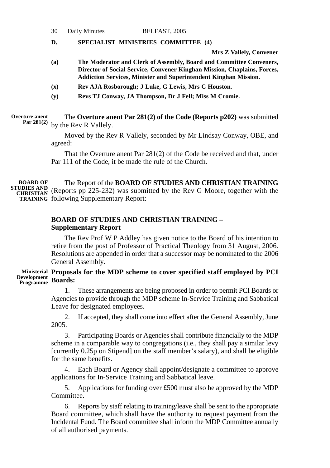#### **D. SPECIALIST MINISTRIES COMMITTEE (4)**

**Mrs Z Vallely, Convener**

- **(a) The Moderator and Clerk of Assembly, Board and Committee Conveners, Director of Social Service, Convener Kinghan Mission, Chaplains, Forces, Addiction Services, Minister and Superintendent Kinghan Mission.**
- **(x) Rev AJA Rosborough; J Luke, G Lewis, Mrs C Houston.**
- **(y) Revs TJ Conway, JA Thompson, Dr J Fell; Miss M Cromie.**

**Overture anent Par 281(2)**

The **Overture anent Par 281(2) of the Code (Reports p202)** was submitted by the Rev R Vallely.

Moved by the Rev R Vallely, seconded by Mr Lindsay Conway, OBE, and agreed:

That the Overture anent Par 281(2) of the Code be received and that, under Par 111 of the Code, it be made the rule of the Church.

The Report of the **BOARD OF STUDIES AND CHRISTIAN TRAINING STUDIES AND** (Reports pp 225-232) was submitted by the Rev G Moore, together with the CHRISTIAN TRAINING following Supplementary Report: **BOARD OF**

#### **BOARD OF STUDIES AND CHRISTIAN TRAINING – Supplementary Report**

The Rev Prof W P Addley has given notice to the Board of his intention to retire from the post of Professor of Practical Theology from 31 August, 2006. Resolutions are appended in order that a successor may be nominated to the 2006 General Assembly.

#### **Proposals for the MDP scheme to cover specified staff employed by PCI Ministerial Boards: Development Programme**

1. These arrangements are being proposed in order to permit PCI Boards or Agencies to provide through the MDP scheme In-Service Training and Sabbatical Leave for designated employees.

2. If accepted, they shall come into effect after the General Assembly, June 2005.

3. Participating Boards or Agencies shall contribute financially to the MDP scheme in a comparable way to congregations (i.e., they shall pay a similar levy [currently 0.25p on Stipend] on the staff member's salary), and shall be eligible for the same benefits.

4. Each Board or Agency shall appoint/designate a committee to approve applications for In-Service Training and Sabbatical leave.

5. Applications for funding over £500 must also be approved by the MDP Committee.

6. Reports by staff relating to training/leave shall be sent to the appropriate Board committee, which shall have the authority to request payment from the Incidental Fund. The Board committee shall inform the MDP Committee annually of all authorised payments.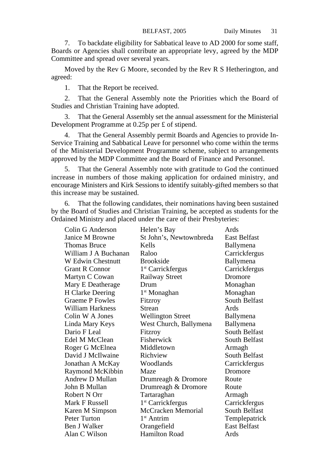7. To backdate eligibility for Sabbatical leave to AD 2000 for some staff, Boards or Agencies shall contribute an appropriate levy, agreed by the MDP Committee and spread over several years.

Moved by the Rev G Moore, seconded by the Rev R S Hetherington, and agreed:

1. That the Report be received.

2. That the General Assembly note the Priorities which the Board of Studies and Christian Training have adopted.

3. That the General Assembly set the annual assessment for the Ministerial Development Programme at 0.25p per £ of stipend.

4. That the General Assembly permit Boards and Agencies to provide In-Service Training and Sabbatical Leave for personnel who come within the terms of the Ministerial Development Programme scheme, subject to arrangements approved by the MDP Committee and the Board of Finance and Personnel.

5. That the General Assembly note with gratitude to God the continued increase in numbers of those making application for ordained ministry, and encourage Ministers and Kirk Sessions to identify suitably-gifted members so that this increase may be sustained.

6. That the following candidates, their nominations having been sustained by the Board of Studies and Christian Training, be accepted as students for the Ordained Ministry and placed under the care of their Presbyteries:

| Colin G Anderson         | Helen's Bay                   | Ards                |
|--------------------------|-------------------------------|---------------------|
| Janice M Browne          | St John's, Newtownbreda       | <b>East Belfast</b> |
| Thomas Bruce             | Kells                         | Ballymena           |
| William J A Buchanan     | Raloo                         | Carrickfergus       |
| <b>W</b> Edwin Chestnutt | <b>Brookside</b>              | Ballymena           |
| <b>Grant R Connor</b>    | 1 <sup>st</sup> Carrickfergus | Carrickfergus       |
| Martyn C Cowan           | Railway Street                | Dromore             |
| Mary E Deatherage        | Drum                          | Monaghan            |
| H Clarke Deering         | $1st$ Monaghan                | Monaghan            |
| <b>Graeme P Fowles</b>   | Fitzroy                       | South Belfast       |
| William Harkness         | Strean                        | Ards                |
| Colin W A Jones          | <b>Wellington Street</b>      | Ballymena           |
| Linda Mary Keys          | West Church, Ballymena        | Ballymena           |
| Dario F Leal             | Fitzroy                       | South Belfast       |
| Edel M McClean           | Fisherwick                    | South Belfast       |
| Roger G McElnea          | Middletown                    | Armagh              |
| David J McIlwaine        | Richview                      | South Belfast       |
| Jonathan A McKay         | Woodlands                     | Carrickfergus       |
| Raymond McKibbin         | Maze                          | Dromore             |
| Andrew D Mullan          | Drumreagh & Dromore           | Route               |
| John B Mullan            | Drumreagh & Dromore           | Route               |
| Robert N Orr             | Tartaraghan                   | Armagh              |
| Mark F Russell           | 1 <sup>st</sup> Carrickfergus | Carrickfergus       |
| Karen M Simpson          | McCracken Memorial            | South Belfast       |
| Peter Turton             | 1 <sup>st</sup> Antrim        | Templepatrick       |
| Ben J Walker             | Orangefield                   | <b>East Belfast</b> |
| Alan C Wilson            | Hamilton Road                 | Ards                |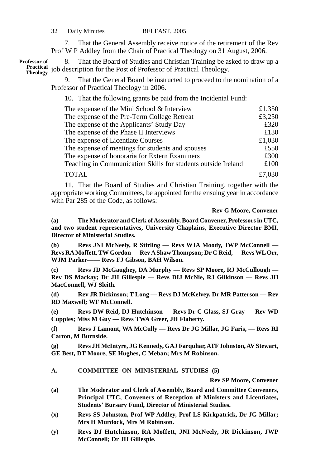7. That the General Assembly receive notice of the retirement of the Rev Prof W P Addley from the Chair of Practical Theology on 31 August, 2006.

8. That the Board of Studies and Christian Training be asked to draw up a Practical job description for the Post of Professor of Practical Theology. **Professor of**

9. That the General Board be instructed to proceed to the nomination of a Professor of Practical Theology in 2006.

10. That the following grants be paid from the Incidental Fund:

| The expense of the Mini School & Interview                    | £1,350 |
|---------------------------------------------------------------|--------|
| The expense of the Pre-Term College Retreat                   | £3,250 |
| The expense of the Applicants' Study Day                      | £320   |
| The expense of the Phase II Interviews                        | £130   |
| The expense of Licentiate Courses                             | £1,030 |
| The expense of meetings for students and spouses              | £550   |
| The expense of honoraria for Extern Examiners                 | £300   |
| Teaching in Communication Skills for students outside Ireland | £100   |
| <b>TOTAL</b>                                                  | £7,030 |

11. That the Board of Studies and Christian Training, together with the appropriate working Committees, be appointed for the ensuing year in accordance with Par 285 of the Code, as follows:

#### **Rev G Moore, Convener**

**(a) The Moderator and Clerk of Assembly, Board Convener, Professors in UTC, and two student representatives, University Chaplains, Executive Director BMI, Director of Ministerial Studies.**

**(b) Revs JNI McNeely, R Stirling — Revs WJA Moody, JWP McConnell — Revs RA Moffett, TW Gordon — Rev A Shaw Thompson; Dr C Reid, — Revs WL Orr, WJM Parker—— Revs FJ Gibson, BAH Wilson.**

**(c) Revs JD McGaughey, DA Murphy — Revs SP Moore, RJ McCullough — Rev DS Mackay; Dr JH Gillespie — Revs DIJ McNie, RJ Gilkinson — Revs JH MacConnell, WJ Sleith.**

**(d) Rev JR Dickinson; T Long — Revs DJ McKelvey, Dr MR Patterson — Rev RD Maxwell; WF McConnell.**

**(e) Revs DW Reid, DJ Hutchinson — Revs Dr C Glass, SJ Gray — Rev WD Cupples; Miss M Guy — Revs TWA Greer, JH Flaherty.**

**(f) Revs J Lamont, WA McCully — Revs Dr JG Millar, JG Faris, — Revs RI Carton, M Burnside.**

**(g) Revs JH McIntyre, JG Kennedy, GAJ Farquhar, ATF Johnston, AV Stewart, GE Best, DT Moore, SE Hughes, C Meban; Mrs M Robinson.**

**A. COMMITTEE ON MINISTERIAL STUDIES (5)**

**Rev SP Moore, Convener**

- **(a) The Moderator and Clerk of Assembly, Board and Committee Conveners, Principal UTC, Conveners of Reception of Ministers and Licentiates, Students' Bursary Fund, Director of Ministerial Studies.**
- **(x) Revs SS Johnston, Prof WP Addley, Prof LS Kirkpatrick, Dr JG Millar; Mrs H Murdock, Mrs M Robinson.**
- **(y) Revs DJ Hutchinson, RA Moffett, JNI McNeely, JR Dickinson, JWP McConnell; Dr JH Gillespie.**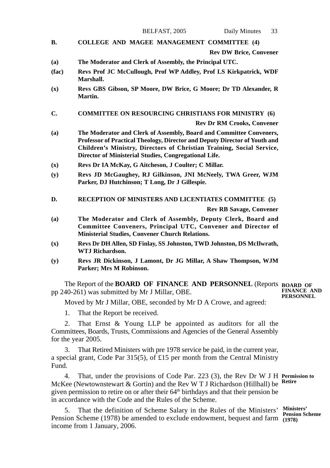- **B. COLLEGE AND MAGEE MANAGEMENT COMMITTEE (4) Rev DW Brice, Convener**
- **(a) The Moderator and Clerk of Assembly, the Principal UTC.**
- **(fac) Revs Prof JC McCullough, Prof WP Addley, Prof LS Kirkpatrick, WDF Marshall.**
- **(x) Revs GBS Gibson, SP Moore, DW Brice, G Moore; Dr TD Alexander, R Martin.**
- **C. COMMITTEE ON RESOURCING CHRISTIANS FOR MINISTRY (6)**

**Rev Dr RM Crooks, Convener**

- **(a) The Moderator and Clerk of Assembly, Board and Committee Conveners, Professor of Practical Theology, Director and Deputy Director of Youth and Children's Ministry, Directors of Christian Training, Social Service, Director of Ministerial Studies, Congregational Life.**
- **(x) Revs Dr IA McKay, G Aitcheson, J Coulter; C Millar.**
- **(y) Revs JD McGaughey, RJ Gilkinson, JNI McNeely, TWA Greer, WJM Parker, DJ Hutchinson; T Long, Dr J Gillespie.**
- **D. RECEPTION OF MINISTERS AND LICENTIATES COMMITTEE (5) Rev RB Savage, Convener**
- **(a) The Moderator and Clerk of Assembly, Deputy Clerk, Board and Committee Conveners, Principal UTC, Convener and Director of Ministerial Studies, Convener Church Relations.**
- **(x) Revs Dr DH Allen, SD Finlay, SS Johnston, TWD Johnston, DS McIlwrath, WTJ Richardson.**
- **(y) Revs JR Dickinson, J Lamont, Dr JG Millar, A Shaw Thompson, WJM Parker; Mrs M Robinson.**

The Report of the **BOARD OF FINANCE AND PERSONNEL** (Reports **BOARD OF** pp 240-261) was submitted by Mr J Millar, OBE. **FINANCE AND PERSONNEL**

Moved by Mr J Millar, OBE, seconded by Mr D A Crowe, and agreed:

1. That the Report be received.

2. That Ernst & Young LLP be appointed as auditors for all the Committees, Boards, Trusts, Commissions and Agencies of the General Assembly for the year 2005.

3. That Retired Ministers with pre 1978 service be paid, in the current year, a special grant, Code Par 315(5), of £15 per month from the Central Ministry Fund.

4. That, under the provisions of Code Par. 223 (3), the Rev Dr W J H **Permission to** McKee (Newtownstewart & Gortin) and the Rev W T J Richardson (Hillhall) be **Retire** given permission to retire on or after their 64<sup>th</sup> birthdays and that their pension be in accordance with the Code and the Rules of the Scheme.

5. That the definition of Scheme Salary in the Rules of the Ministers' **Ministers'** Pension Scheme (1978) be amended to exclude endowment, bequest and farm (1978) income from 1 January, 2006.

**Pension Scheme**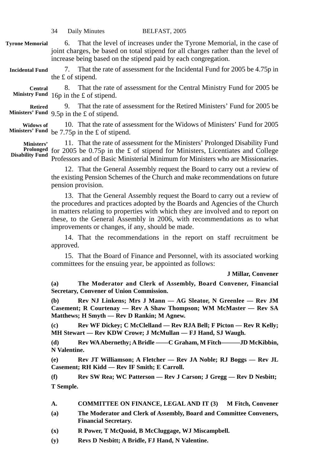- 6. That the level of increases under the Tyrone Memorial, in the case of joint charges, be based on total stipend for all charges rather than the level of increase being based on the stipend paid by each congregation. **Tyrone Memorial**
- 7. That the rate of assessment for the Incidental Fund for 2005 be 4.75p in the £ of stipend. **Incidental Fund**
- 8. That the rate of assessment for the Central Ministry Fund for 2005 be Ministry Fund 16p in the £ of stipend. **Central**

9. That the rate of assessment for the Retired Ministers' Fund for 2005 be 9.5p in the £ of stipend. **Ministers' Fund Retired**

10. That the rate of assessment for the Widows of Ministers' Fund for 2005 Ministers' Fund be 7.75p in the £ of stipend. **Widows of**

11. That the rate of assessment for the Ministers' Prolonged Disability Fund **Prolonged** for 2005 be 0.75p in the £ of stipend for Ministers, Licentiates and College Professors and of Basic Ministerial Minimum for Ministers who are Missionaries. **Ministers' Disability Fund**

> 12. That the General Assembly request the Board to carry out a review of the existing Pension Schemes of the Church and make recommendations on future pension provision.

> 13. That the General Assembly request the Board to carry out a review of the procedures and practices adopted by the Boards and Agencies of the Church in matters relating to properties with which they are involved and to report on these, to the General Assembly in 2006, with recommendations as to what improvements or changes, if any, should be made.

> 14. That the recommendations in the report on staff recruitment be approved.

> 15. That the Board of Finance and Personnel, with its associated working committees for the ensuing year, be appointed as follows:

> > **J Millar, Convener**

**(a) The Moderator and Clerk of Assembly, Board Convener, Financial Secretary, Convener of Union Commission.**

**(b) Rev NJ Linkens; Mrs J Mann — AG Sleator, N Greenlee — Rev JM Casement; R Courtenay — Rev A Shaw Thompson; WM McMaster — Rev SA Matthews; H Smyth — Rev D Rankin; M Agnew.**

**(c) Rev WF Dickey; C McClelland — Rev RJA Bell; F Picton — Rev R Kelly; MH Stewart — Rev KDW Crowe; J McMullan — FJ Hand, SJ Waugh.**

**(d) Rev WA Abernethy; A Bridle ——C Graham, M Fitch———JD McKibbin, N Valentine.**

**(e) Rev JT Williamson; A Fletcher — Rev JA Noble; RJ Boggs — Rev JL Casement; RH Kidd — Rev IF Smith; E Carroll.**

**(f) Rev SW Rea; WC Patterson — Rev J Carson; J Gregg — Rev D Nesbitt; T Semple.**

- **A. COMMITTEE ON FINANCE, LEGAL AND IT (3) M Fitch, Convener**
- **(a) The Moderator and Clerk of Assembly, Board and Committee Conveners, Financial Secretary.**
- **(x) R Power, T McQuoid, B McCluggage, WJ Miscampbell.**
- **(y) Revs D Nesbitt; A Bridle, FJ Hand, N Valentine.**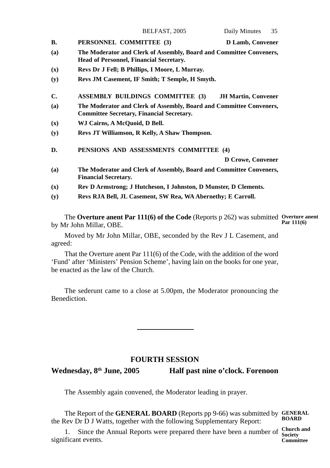|     | BELFAST, 2005                                                                                                           | Daily Minutes<br>35        |
|-----|-------------------------------------------------------------------------------------------------------------------------|----------------------------|
| В.  | PERSONNEL COMMITTEE (3)                                                                                                 | D Lamb, Convener           |
| (a) | The Moderator and Clerk of Assembly, Board and Committee Conveners,<br><b>Head of Personnel, Financial Secretary.</b>   |                            |
| (x) | Revs Dr J Fell; B Phillips, I Moore, L Murray.                                                                          |                            |
| (y) | Revs JM Casement, IF Smith; T Semple, H Smyth.                                                                          |                            |
| C.  | <b>ASSEMBLY BUILDINGS COMMITTEE (3)</b>                                                                                 | <b>JH Martin, Convener</b> |
| (a) | The Moderator and Clerk of Assembly, Board and Committee Conveners,<br><b>Committee Secretary, Financial Secretary.</b> |                            |
| (x) | WJ Cairns, A McQuoid, D Bell.                                                                                           |                            |
| (y) | Revs JT Williamson, R Kelly, A Shaw Thompson.                                                                           |                            |
| D.  | PENSIONS AND ASSESSMENTS COMMITTEE (4)                                                                                  |                            |
|     |                                                                                                                         | D Crowe, Convener          |
| (a) | The Moderator and Clerk of Assembly, Board and Committee Conveners,<br><b>Financial Secretary.</b>                      |                            |
| (x) | Rev D Armstrong; J Hutcheson, I Johnston, D Munster, D Clements.                                                        |                            |
| (y) | Revs RJA Bell, JL Casement, SW Rea, WA Abernethy; E Carroll.                                                            |                            |

The **Overture anent Par 111(6) of the Code** (Reports p 262) was submitted **Overture anent** by Mr John Millar, OBE. **Par 111(6)**

Moved by Mr John Millar, OBE, seconded by the Rev J L Casement, and agreed:

That the Overture anent Par 111(6) of the Code, with the addition of the word 'Fund' after 'Ministers' Pension Scheme', having lain on the books for one year, be enacted as the law of the Church.

The sederunt came to a close at 5.00pm, the Moderator pronouncing the Benediction.

#### **FOURTH SESSION**

Wednesday, 8<sup>th</sup> June, 2005 **Half past nine o'clock. Forenoon** 

The Assembly again convened, the Moderator leading in prayer.

The Report of the **GENERAL BOARD** (Reports pp 9-66) was submitted by **GENERAL** the Rev Dr D J Watts, together with the following Supplementary Report: **BOARD**

1. Since the Annual Reports were prepared there have been a number of **Church and** significant events. **Committee**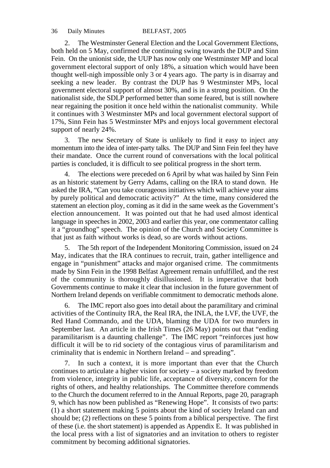2. The Westminster General Election and the Local Government Elections, both held on 5 May, confirmed the continuing swing towards the DUP and Sinn Fein. On the unionist side, the UUP has now only one Westminster MP and local government electoral support of only 18%, a situation which would have been thought well-nigh impossible only 3 or 4 years ago. The party is in disarray and seeking a new leader. By contrast the DUP has 9 Westminster MPs, local government electoral support of almost 30%, and is in a strong position. On the nationalist side, the SDLP performed better than some feared, but is still nowhere near regaining the position it once held within the nationalist community. While it continues with 3 Westminster MPs and local government electoral support of 17%, Sinn Fein has 5 Westminster MPs and enjoys local government electoral support of nearly 24%.

3. The new Secretary of State is unlikely to find it easy to inject any momentum into the idea of inter-party talks. The DUP and Sinn Fein feel they have their mandate. Once the current round of conversations with the local political parties is concluded, it is difficult to see political progress in the short term.

4. The elections were preceded on 6 April by what was hailed by Sinn Fein as an historic statement by Gerry Adams, calling on the IRA to stand down. He asked the IRA, "Can you take courageous initiatives which will achieve your aims by purely political and democratic activity?" At the time, many considered the statement an election ploy, coming as it did in the same week as the Government's election announcement. It was pointed out that he had used almost identical language in speeches in 2002, 2003 and earlier this year, one commentator calling it a "groundhog" speech. The opinion of the Church and Society Committee is that just as faith without works is dead, so are words without actions.

5. The 5th report of the Independent Monitoring Commission, issued on 24 May, indicates that the IRA continues to recruit, train, gather intelligence and engage in "punishment" attacks and major organised crime. The commitments made by Sinn Fein in the 1998 Belfast Agreement remain unfulfilled, and the rest of the community is thoroughly disillusioned. It is imperative that both Governments continue to make it clear that inclusion in the future government of Northern Ireland depends on verifiable commitment to democratic methods alone.

6. The IMC report also goes into detail about the paramilitary and criminal activities of the Continuity IRA, the Real IRA, the INLA, the LVF, the UVF, the Red Hand Commando, and the UDA, blaming the UDA for two murders in September last. An article in the Irish Times  $(26$  May) points out that "ending paramilitarism is a daunting challenge". The IMC report "reinforces just how difficult it will be to rid society of the contagious virus of paramilitarism and criminality that is endemic in Northern Ireland – and spreading".

7. In such a context, it is more important than ever that the Church continues to articulate a higher vision for society – a society marked by freedom from violence, integrity in public life, acceptance of diversity, concern for the rights of others, and healthy relationships. The Committee therefore commends to the Church the document referred to in the Annual Reports, page 20, paragraph 9, which has now been published as "Renewing Hope". It consists of two parts: (1) a short statement making 5 points about the kind of society Ireland can and should be; (2) reflections on these 5 points from a biblical perspective. The first of these (i.e. the short statement) is appended as Appendix E. It was published in the local press with a list of signatories and an invitation to others to register commitment by becoming additional signatories.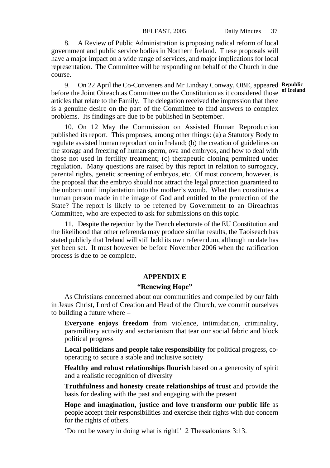8. A Review of Public Administration is proposing radical reform of local government and public service bodies in Northern Ireland. These proposals will have a major impact on a wide range of services, and major implications for local representation. The Committee will be responding on behalf of the Church in due course.

9. On 22 April the Co-Conveners and Mr Lindsay Conway, OBE, appeared **Republic of Ireland**before the Joint Oireachtas Committee on the Constitution as it considered those articles that relate to the Family. The delegation received the impression that there is a genuine desire on the part of the Committee to find answers to complex problems. Its findings are due to be published in September.

10. On 12 May the Commission on Assisted Human Reproduction published its report. This proposes, among other things: (a) a Statutory Body to regulate assisted human reproduction in Ireland; (b) the creation of guidelines on the storage and freezing of human sperm, ova and embryos, and how to deal with those not used in fertility treatment; (c) therapeutic cloning permitted under regulation. Many questions are raised by this report in relation to surrogacy, parental rights, genetic screening of embryos, etc. Of most concern, however, is the proposal that the embryo should not attract the legal protection guaranteed to the unborn until implantation into the mother's womb. What then constitutes a human person made in the image of God and entitled to the protection of the State? The report is likely to be referred by Government to an Oireachtas Committee, who are expected to ask for submissions on this topic.

11. Despite the rejection by the French electorate of the EU Constitution and the likelihood that other referenda may produce similar results, the Taoiseach has stated publicly that Ireland will still hold its own referendum, although no date has yet been set. It must however be before November 2006 when the ratification process is due to be complete.

## **APPENDIX E**

### **"Renewing Hope"**

As Christians concerned about our communities and compelled by our faith in Jesus Christ, Lord of Creation and Head of the Church, we commit ourselves to building a future where –

**Everyone enjoys freedom** from violence, intimidation, criminality, paramilitary activity and sectarianism that tear our social fabric and block political progress

**Local politicians and people take responsibility** for political progress, cooperating to secure a stable and inclusive society

**Healthy and robust relationships flourish** based on a generosity of spirit and a realistic recognition of diversity

**Truthfulness and honesty create relationships of trust** and provide the basis for dealing with the past and engaging with the present

**Hope and imagination, justice and love transform our public life** as people accept their responsibilities and exercise their rights with due concern for the rights of others.

'Do not be weary in doing what is right!' 2 Thessalonians 3:13.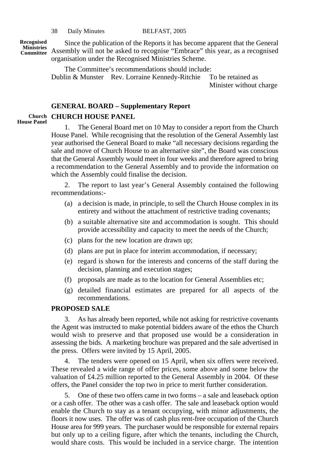**Recognised**

Since the publication of the Reports it has become apparent that the General Assembly will not be asked to recognise "Embrace" this year, as a recognised **Ministries Committee** organisation under the Recognised Ministries Scheme.

> The Committee's recommendations should include: Dublin & Munster Rev. Lorraine Kennedy-Ritchie To be retained as Minister without charge

## **GENERAL BOARD – Supplementary Report**

## Church **CHURCH HOUSE PANEL**

**House Panel**

1. The General Board met on 10 May to consider a report from the Church House Panel. While recognising that the resolution of the General Assembly last year authorised the General Board to make "all necessary decisions regarding the sale and move of Church House to an alternative site", the Board was conscious that the General Assembly would meet in four weeks and therefore agreed to bring a recommendation to the General Assembly and to provide the information on which the Assembly could finalise the decision.

2. The report to last year's General Assembly contained the following recommendations:-

- (a) a decision is made, in principle, to sell the Church House complex in its entirety and without the attachment of restrictive trading covenants;
- (b) a suitable alternative site and accommodation is sought. This should provide accessibility and capacity to meet the needs of the Church;
- (c) plans for the new location are drawn up;
- (d) plans are put in place for interim accommodation, if necessary;
- (e) regard is shown for the interests and concerns of the staff during the decision, planning and execution stages;
- (f) proposals are made as to the location for General Assemblies etc;
- (g) detailed financial estimates are prepared for all aspects of the recommendations.

## **PROPOSED SALE**

3. As has already been reported, while not asking for restrictive covenants the Agent was instructed to make potential bidders aware of the ethos the Church would wish to preserve and that proposed use would be a consideration in assessing the bids. A marketing brochure was prepared and the sale advertised in the press. Offers were invited by 15 April, 2005.

4. The tenders were opened on 15 April, when six offers were received. These revealed a wide range of offer prices, some above and some below the valuation of £4.25 million reported to the General Assembly in 2004. Of these offers, the Panel consider the top two in price to merit further consideration.

5. One of these two offers came in two forms – a sale and leaseback option or a cash offer. The other was a cash offer. The sale and leaseback option would enable the Church to stay as a tenant occupying, with minor adjustments, the floors it now uses. The offer was of cash plus rent-free occupation of the Church House area for 999 years. The purchaser would be responsible for external repairs but only up to a ceiling figure, after which the tenants, including the Church, would share costs. This would be included in a service charge. The intention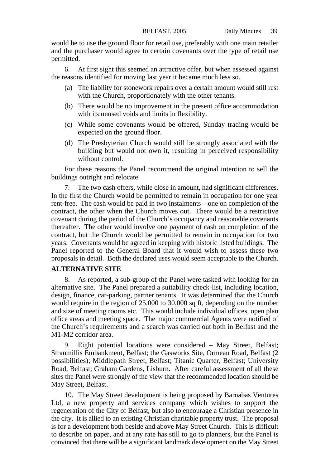would be to use the ground floor for retail use, preferably with one main retailer and the purchaser would agree to certain covenants over the type of retail use permitted.

6. At first sight this seemed an attractive offer, but when assessed against the reasons identified for moving last year it became much less so.

- (a) The liability for stonework repairs over a certain amount would still rest with the Church, proportionately with the other tenants.
- (b) There would be no improvement in the present office accommodation with its unused voids and limits in flexibility.
- (c) While some covenants would be offered, Sunday trading would be expected on the ground floor.
- (d) The Presbyterian Church would still be strongly associated with the building but would not own it, resulting in perceived responsibility without control.

For these reasons the Panel recommend the original intention to sell the buildings outright and relocate.

7. The two cash offers, while close in amount, had significant differences. In the first the Church would be permitted to remain in occupation for one year rent-free. The cash would be paid in two instalments – one on completion of the contract, the other when the Church moves out. There would be a restrictive covenant during the period of the Church's occupancy and reasonable covenants thereafter. The other would involve one payment of cash on completion of the contract, but the Church would be permitted to remain in occupation for two years. Covenants would be agreed in keeping with historic listed buildings. The Panel reported to the General Board that it would wish to assess these two proposals in detail. Both the declared uses would seem acceptable to the Church.

## **ALTERNATIVE SITE**

8. As reported, a sub-group of the Panel were tasked with looking for an alternative site. The Panel prepared a suitability check-list, including location, design, finance, car-parking, partner tenants. It was determined that the Church would require in the region of 25,000 to 30,000 sq ft, depending on the number and size of meeting rooms etc. This would include individual offices, open plan office areas and meeting space. The major commercial Agents were notified of the Church's requirements and a search was carried out both in Belfast and the M1-M2 corridor area.

9. Eight potential locations were considered – May Street, Belfast; Stranmillis Embankment, Belfast; the Gasworks Site, Ormeau Road, Belfast (2 possibilities); Middlepath Street, Belfast; Titanic Quarter, Belfast; University Road, Belfast; Graham Gardens, Lisburn. After careful assessment of all these sites the Panel were strongly of the view that the recommended location should be May Street, Belfast.

10. The May Street development is being proposed by Barnabas Ventures Ltd, a new property and services company which wishes to support the regeneration of the City of Belfast, but also to encourage a Christian presence in the city. It is allied to an existing Christian charitable property trust. The proposal is for a development both beside and above May Street Church. This is difficult to describe on paper, and at any rate has still to go to planners, but the Panel is convinced that there will be a significant landmark development on the May Street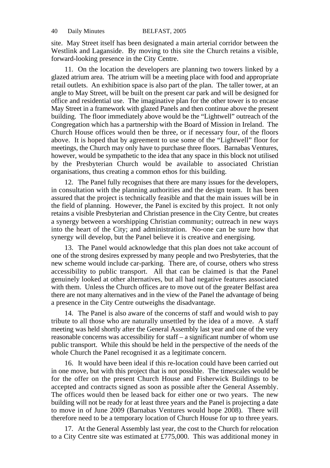site. May Street itself has been designated a main arterial corridor between the Westlink and Laganside. By moving to this site the Church retains a visible, forward-looking presence in the City Centre.

11. On the location the developers are planning two towers linked by a glazed atrium area. The atrium will be a meeting place with food and appropriate retail outlets. An exhibition space is also part of the plan. The taller tower, at an angle to May Street, will be built on the present car park and will be designed for office and residential use. The imaginative plan for the other tower is to encase May Street in a framework with glazed Panels and then continue above the present building. The floor immediately above would be the "Lightwell" outreach of the Congregation which has a partnership with the Board of Mission in Ireland. The Church House offices would then be three, or if necessary four, of the floors above. It is hoped that by agreement to use some of the "Lightwell" floor for meetings, the Church may only have to purchase three floors. Barnabas Ventures, however, would be sympathetic to the idea that any space in this block not utilised by the Presbyterian Church would be available to associated Christian organisations, thus creating a common ethos for this building.

12. The Panel fully recognises that there are many issues for the developers, in consultation with the planning authorities and the design team. It has been assured that the project is technically feasible and that the main issues will be in the field of planning. However, the Panel is excited by this project. It not only retains a visible Presbyterian and Christian presence in the City Centre, but creates a synergy between a worshipping Christian community; outreach in new ways into the heart of the City; and administration. No-one can be sure how that synergy will develop, but the Panel believe it is creative and energising.

13. The Panel would acknowledge that this plan does not take account of one of the strong desires expressed by many people and two Presbyteries, that the new scheme would include car-parking. There are, of course, others who stress accessibility to public transport. All that can be claimed is that the Panel genuinely looked at other alternatives, but all had negative features associated with them. Unless the Church offices are to move out of the greater Belfast area there are not many alternatives and in the view of the Panel the advantage of being a presence in the City Centre outweighs the disadvantage.

14. The Panel is also aware of the concerns of staff and would wish to pay tribute to all those who are naturally unsettled by the idea of a move. A staff meeting was held shortly after the General Assembly last year and one of the very reasonable concerns was accessibility for staff – a significant number of whom use public transport. While this should be held in the perspective of the needs of the whole Church the Panel recognised it as a legitimate concern.

16. It would have been ideal if this re-location could have been carried out in one move, but with this project that is not possible. The timescales would be for the offer on the present Church House and Fisherwick Buildings to be accepted and contracts signed as soon as possible after the General Assembly. The offices would then be leased back for either one or two years. The new building will not be ready for at least three years and the Panel is projecting a date to move in of June 2009 (Barnabas Ventures would hope 2008). There will therefore need to be a temporary location of Church House for up to three years.

17. At the General Assembly last year, the cost to the Church for relocation to a City Centre site was estimated at £775,000. This was additional money in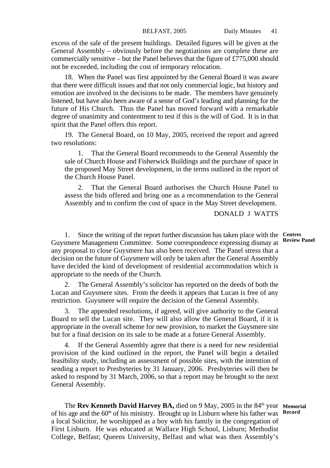excess of the sale of the present buildings. Detailed figures will be given at the General Assembly – obviously before the negotiations are complete these are commercially sensitive – but the Panel believes that the figure of  $\pounds 775,000$  should not be exceeded, including the cost of temporary relocation.

18. When the Panel was first appointed by the General Board it was aware that there were difficult issues and that not only commercial logic, but history and emotion are involved in the decisions to be made. The members have genuinely listened, but have also been aware of a sense of God's leading and planning for the future of His Church. Thus the Panel has moved forward with a remarkable degree of unanimity and contentment to test if this is the will of God. It is in that spirit that the Panel offers this report.

19. The General Board, on 10 May, 2005, received the report and agreed two resolutions:

1. That the General Board recommends to the General Assembly the sale of Church House and Fisherwick Buildings and the purchase of space in the proposed May Street development, in the terms outlined in the report of the Church House Panel.

That the General Board authorises the Church House Panel to assess the bids offered and bring one as a recommendation to the General Assembly and to confirm the cost of space in the May Street development.

DONALD J WATTS

1. Since the writing of the report further discussion has taken place with the **Centres** Guysmere Management Committee. Some correspondence expressing dismay at any proposal to close Guysmere has also been received. The Panel stress that a decision on the future of Guysmere will only be taken after the General Assembly have decided the kind of development of residential accommodation which is appropriate to the needs of the Church.

2. The General Assembly's solicitor has reported on the deeds of both the Lucan and Guysmere sites. From the deeds it appears that Lucan is free of any restriction. Guysmere will require the decision of the General Assembly.

3. The appended resolutions, if agreed, will give authority to the General Board to sell the Lucan site. They will also allow the General Board, if it is appropriate in the overall scheme for new provision, to market the Guysmere site but for a final decision on its sale to be made at a future General Assembly.

If the General Assembly agree that there is a need for new residential provision of the kind outlined in the report, the Panel will begin a detailed feasibility study, including an assessment of possible sites, with the intention of sending a report to Presbyteries by 31 January, 2006. Presbyteries will then be asked to respond by 31 March, 2006, so that a report may be brought to the next General Assembly.

The Rev Kenneth David Harvey BA, died on 9 May, 2005 in the 84<sup>th</sup> year Memorial of his age and the 60<sup>th</sup> of his ministry. Brought up in Lisburn where his father was Record a local Solicitor, he worshipped as a boy with his family in the congregation of First Lisburn. He was educated at Wallace High School, Lisburn; Methodist College, Belfast; Queens University, Belfast and what was then Assembly's

**Review Panel**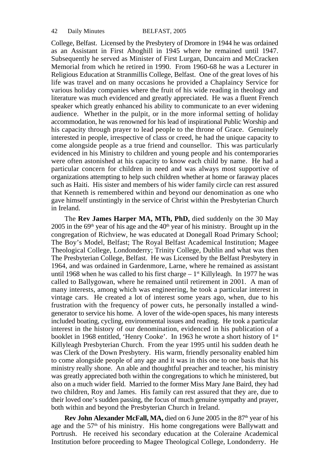College, Belfast. Licensed by the Presbytery of Dromore in 1944 he was ordained as an Assistant in First Ahoghill in 1945 where he remained until 1947. Subsequently he served as Minister of First Lurgan, Duncairn and McCracken Memorial from which he retired in 1990. From 1960-68 he was a Lecturer in Religious Education at Stranmillis College, Belfast. One of the great loves of his life was travel and on many occasions he provided a Chaplaincy Service for various holiday companies where the fruit of his wide reading in theology and literature was much evidenced and greatly appreciated. He was a fluent French speaker which greatly enhanced his ability to communicate to an ever widening audience. Whether in the pulpit, or in the more informal setting of holiday accommodation, he was renowned for his lead of inspirational Public Worship and his capacity through prayer to lead people to the throne of Grace. Genuinely interested in people, irrespective of class or creed, he had the unique capacity to come alongside people as a true friend and counsellor. This was particularly evidenced in his Ministry to children and young people and his contemporaries were often astonished at his capacity to know each child by name. He had a particular concern for children in need and was always most supportive of organizations attempting to help such children whether at home or faraway places such as Haiti. His sister and members of his wider family circle can rest assured that Kenneth is remembered within and beyond our denomination as one who gave himself unstintingly in the service of Christ within the Presbyterian Church in Ireland.

The **Rev James Harper MA, MTh, PhD,** died suddenly on the 30 May  $2005$  in the 69<sup>th</sup> year of his age and the 40<sup>th</sup> year of his ministry. Brought up in the congregation of Richview, he was educated at Donegall Road Primary School; The Boy's Model, Belfast; The Royal Belfast Academical Institution; Magee Theological College, Londonderry; Trinity College, Dublin and what was then The Presbyterian College, Belfast. He was Licensed by the Belfast Presbytery in 1964, and was ordained in Gardenmore, Larne, where he remained as assistant until 1968 when he was called to his first charge  $-1$ <sup>st</sup> Killyleagh. In 1977 he was called to Ballygowan, where he remained until retirement in 2001. A man of many interests, among which was engineering, he took a particular interest in vintage cars. He created a lot of interest some years ago, when, due to his frustration with the frequency of power cuts, he personally installed a windgenerator to service his home. A lover of the wide-open spaces, his many interests included boating, cycling, environmental issues and reading. He took a particular interest in the history of our denomination, evidenced in his publication of a booklet in 1968 entitled, 'Henry Cooke'. In 1963 he wrote a short history of 1<sup>st</sup> Killyleagh Presbyterian Church. From the year 1995 until his sudden death he was Clerk of the Down Presbytery. His warm, friendly personality enabled him to come alongside people of any age and it was in this one to one basis that his ministry really shone. An able and thoughtful preacher and teacher, his ministry was greatly appreciated both within the congregations to which he ministered, but also on a much wider field. Married to the former Miss Mary Jane Baird, they had two children, Roy and James. His family can rest assured that they are, due to their loved one's sudden passing, the focus of much genuine sympathy and prayer, both within and beyond the Presbyterian Church in Ireland.

**Rev John Alexander McFall, MA,** died on 6 June 2005 in the 87<sup>th</sup> year of his age and the  $57<sup>th</sup>$  of his ministry. His home congregations were Ballywatt and Portrush. He received his secondary education at the Coleraine Academical Institution before proceeding to Magee Theological College, Londonderry. He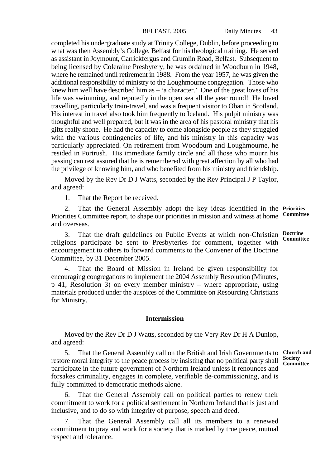completed his undergraduate study at Trinity College, Dublin, before proceeding to what was then Assembly's College, Belfast for his theological training. He served as assistant in Joymount, Carrickfergus and Crumlin Road, Belfast. Subsequent to being licensed by Coleraine Presbytery, he was ordained in Woodburn in 1948, where he remained until retirement in 1988. From the year 1957, he was given the additional responsibility of ministry to the Loughmourne congregation. Those who knew him well have described him as – 'a character.' One of the great loves of his life was swimming, and reputedly in the open sea all the year round! He loved travelling, particularly train-travel, and was a frequent visitor to Oban in Scotland. His interest in travel also took him frequently to Iceland. His pulpit ministry was thoughtful and well prepared, but it was in the area of his pastoral ministry that his gifts really shone. He had the capacity to come alongside people as they struggled with the various contingencies of life, and his ministry in this capacity was particularly appreciated. On retirement from Woodburn and Loughmourne, he resided in Portrush. His immediate family circle and all those who mourn his passing can rest assured that he is remembered with great affection by all who had the privilege of knowing him, and who benefited from his ministry and friendship.

Moved by the Rev Dr D J Watts, seconded by the Rev Principal J P Taylor, and agreed:

1. That the Report be received.

2. That the General Assembly adopt the key ideas identified in the **Priorities** Priorities Committee report, to shape our priorities in mission and witness at home and overseas. **Committee**

3. That the draft guidelines on Public Events at which non-Christian religions participate be sent to Presbyteries for comment, together with encouragement to others to forward comments to the Convener of the Doctrine Committee, by 31 December 2005. **Doctrine Committee**

4. That the Board of Mission in Ireland be given responsibility for encouraging congregations to implement the 2004 Assembly Resolution (Minutes, p 41, Resolution 3) on every member ministry – where appropriate, using materials produced under the auspices of the Committee on Resourcing Christians for Ministry.

## **Intermission**

Moved by the Rev Dr D J Watts, seconded by the Very Rev Dr H A Dunlop, and agreed:

5. That the General Assembly call on the British and Irish Governments to **Church and** restore moral integrity to the peace process by insisting that no political party shall **Committee** participate in the future government of Northern Ireland unless it renounces and forsakes criminality, engages in complete, verifiable de-commissioning, and is fully committed to democratic methods alone.

6. That the General Assembly call on political parties to renew their commitment to work for a political settlement in Northern Ireland that is just and inclusive, and to do so with integrity of purpose, speech and deed.

That the General Assembly call all its members to a renewed commitment to pray and work for a society that is marked by true peace, mutual respect and tolerance.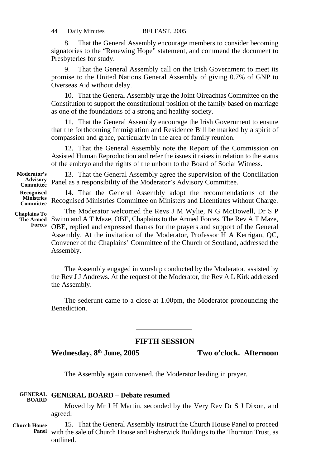8. That the General Assembly encourage members to consider becoming signatories to the "Renewing Hope" statement, and commend the document to Presbyteries for study.

9. That the General Assembly call on the Irish Government to meet its promise to the United Nations General Assembly of giving 0.7% of GNP to Overseas Aid without delay.

10. That the General Assembly urge the Joint Oireachtas Committee on the Constitution to support the constitutional position of the family based on marriage as one of the foundations of a strong and healthy society.

11. That the General Assembly encourage the Irish Government to ensure that the forthcoming Immigration and Residence Bill be marked by a spirit of compassion and grace, particularly in the area of family reunion.

12. That the General Assembly note the Report of the Commission on Assisted Human Reproduction and refer the issues it raises in relation to the status of the embryo and the rights of the unborn to the Board of Social Witness.

13. That the General Assembly agree the supervision of the Conciliation Panel as a responsibility of the Moderator's Advisory Committee. **Moderator's Advisory Committee**

14. That the General Assembly adopt the recommendations of the Recognised Ministries Committee on Ministers and Licentiates without Charge. **Recognised Ministries Committee**

**Chaplains To Forces**

The Moderator welcomed the Revs J M Wylie, N G McDowell, Dr S P The Armed Swinn and A T Maze, OBE, Chaplains to the Armed Forces. The Rev A T Maze, OBE, replied and expressed thanks for the prayers and support of the General Assembly. At the invitation of the Moderator, Professor H A Kerrigan, QC, Convener of the Chaplains' Committee of the Church of Scotland, addressed the Assembly.

> The Assembly engaged in worship conducted by the Moderator, assisted by the Rev J J Andrews. At the request of the Moderator, the Rev A L Kirk addressed the Assembly.

> The sederunt came to a close at 1.00pm, the Moderator pronouncing the Benediction.

## **FIFTH SESSION**

**Wednesday, 8th June, 2005 Two o'clock. Afternoon**

The Assembly again convened, the Moderator leading in prayer.

#### **GENERAL GENERAL BOARD – Debate resumed BOARD**

Moved by Mr J H Martin, seconded by the Very Rev Dr S J Dixon, and agreed:

**Church House Panel** 15. That the General Assembly instruct the Church House Panel to proceed with the sale of Church House and Fisherwick Buildings to the Thornton Trust, as outlined.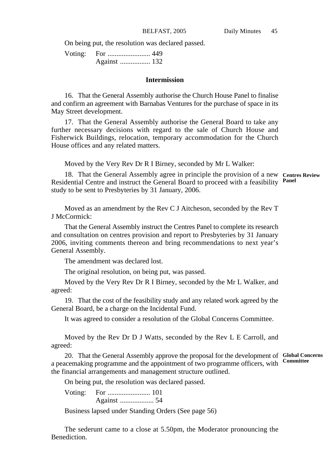On being put, the resolution was declared passed.

#### **Intermission**

16. That the General Assembly authorise the Church House Panel to finalise and confirm an agreement with Barnabas Ventures for the purchase of space in its May Street development.

17. That the General Assembly authorise the General Board to take any further necessary decisions with regard to the sale of Church House and Fisherwick Buildings, relocation, temporary accommodation for the Church House offices and any related matters.

Moved by the Very Rev Dr R I Birney, seconded by Mr L Walker:

18. That the General Assembly agree in principle the provision of a new **Centres Review** Residential Centre and instruct the General Board to proceed with a feasibility **Panel** study to be sent to Presbyteries by 31 January, 2006.

Moved as an amendment by the Rev C J Aitcheson, seconded by the Rev T J McCormick:

That the General Assembly instruct the Centres Panel to complete its research and consultation on centres provision and report to Presbyteries by 31 January 2006, inviting comments thereon and bring recommendations to next year's General Assembly.

The amendment was declared lost.

The original resolution, on being put, was passed.

Moved by the Very Rev Dr R I Birney, seconded by the Mr L Walker, and agreed:

19. That the cost of the feasibility study and any related work agreed by the General Board, be a charge on the Incidental Fund.

It was agreed to consider a resolution of the Global Concerns Committee.

Moved by the Rev Dr D J Watts, seconded by the Rev L E Carroll, and agreed:

20. That the General Assembly approve the proposal for the development of **Global Concerns** a peacemaking programme and the appointment of two programme officers, with the financial arrangements and management structure outlined. **Committee**

On being put, the resolution was declared passed.

Voting: For ........................ 101 Against ................... 54

Business lapsed under Standing Orders (See page 56)

The sederunt came to a close at 5.50pm, the Moderator pronouncing the Benediction.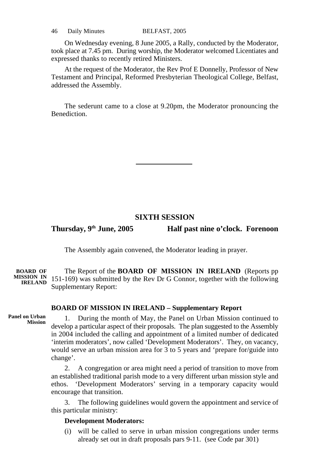46 Daily Minutes BELFAST, 2005

On Wednesday evening, 8 June 2005, a Rally, conducted by the Moderator, took place at 7.45 pm. During worship, the Moderator welcomed Licentiates and expressed thanks to recently retired Ministers.

At the request of the Moderator, the Rev Prof E Donnelly, Professor of New Testament and Principal, Reformed Presbyterian Theological College, Belfast, addressed the Assembly.

The sederunt came to a close at 9.20pm, the Moderator pronouncing the Benediction.

## **SIXTH SESSION**

**Thursday, 9th June, 2005 Half past nine o'clock. Forenoon**

The Assembly again convened, the Moderator leading in prayer.

The Report of the **BOARD OF MISSION IN IRELAND** (Reports pp 151-169) was submitted by the Rev Dr G Connor, together with the following Supplementary Report: **BOARD OF MISSION IN IRELAND**

## **BOARD OF MISSION IN IRELAND – Supplementary Report**

**Panel on Urban Mission**

1. During the month of May, the Panel on Urban Mission continued to develop a particular aspect of their proposals. The plan suggested to the Assembly in 2004 included the calling and appointment of a limited number of dedicated 'interim moderators', now called 'Development Moderators'. They, on vacancy, would serve an urban mission area for  $3$  to 5 years and 'prepare for/guide into change'.

2. A congregation or area might need a period of transition to move from an established traditional parish mode to a very different urban mission style and ethos. 'Development Moderators' serving in a temporary capacity would encourage that transition.

The following guidelines would govern the appointment and service of this particular ministry:

### **Development Moderators:**

(i) will be called to serve in urban mission congregations under terms already set out in draft proposals pars 9-11. (see Code par 301)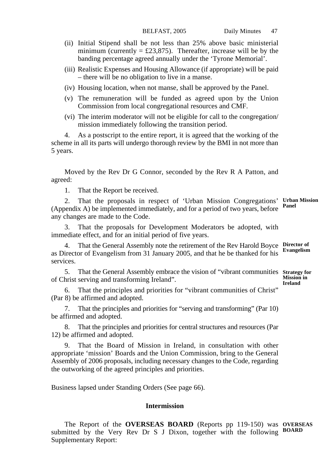- (ii) Initial Stipend shall be not less than 25% above basic ministerial minimum (currently = £23,875). Thereafter, increase will be by the banding percentage agreed annually under the 'Tyrone Memorial'.
- (iii) Realistic Expenses and Housing Allowance (if appropriate) will be paid – there will be no obligation to live in a manse.
- (iv) Housing location, when not manse, shall be approved by the Panel.
- (v) The remuneration will be funded as agreed upon by the Union Commission from local congregational resources and CMF.
- (vi) The interim moderator will not be eligible for call to the congregation/ mission immediately following the transition period.

4. As a postscript to the entire report, it is agreed that the working of the scheme in all its parts will undergo thorough review by the BMI in not more than 5 years.

Moved by the Rev Dr G Connor, seconded by the Rev R A Patton, and agreed:

1. That the Report be received.

2. That the proposals in respect of 'Urban Mission Congregations' **Urban Mission** (Appendix A) be implemented immediately, and for a period of two years, before any changes are made to the Code. **Panel**

3. That the proposals for Development Moderators be adopted, with immediate effect, and for an initial period of five years.

4. That the General Assembly note the retirement of the Rev Harold Boyce **Director of** as Director of Evangelism from 31 January 2005, and that he be thanked for his services. **Evangelism**

5. That the General Assembly embrace the vision of "vibrant communities **Strategy for** of Christ serving and transforming Ireland".

**Mission in Ireland**

6. That the principles and priorities for "vibrant communities of Christ" (Par 8) be affirmed and adopted.

7. That the principles and priorities for "serving and transforming" (Par 10) be affirmed and adopted.

That the principles and priorities for central structures and resources (Par 12) be affirmed and adopted.

That the Board of Mission in Ireland, in consultation with other appropriate 'mission' Boards and the Union Commission, bring to the General Assembly of 2006 proposals, including necessary changes to the Code, regarding the outworking of the agreed principles and priorities.

Business lapsed under Standing Orders (See page 66).

### **Intermission**

The Report of the **OVERSEAS BOARD** (Reports pp 119-150) was **OVERSEAS** submitted by the Very Rev Dr S J Dixon, together with the following **BOARD** Supplementary Report: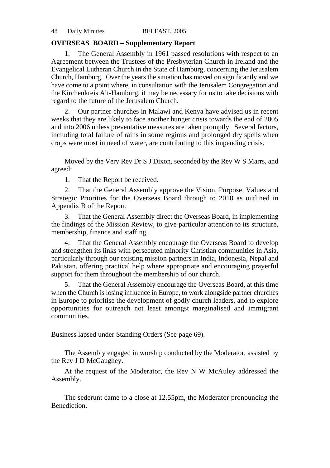## **OVERSEAS BOARD – Supplementary Report**

1. The General Assembly in 1961 passed resolutions with respect to an Agreement between the Trustees of the Presbyterian Church in Ireland and the Evangelical Lutheran Church in the State of Hamburg, concerning the Jerusalem Church, Hamburg. Over the years the situation has moved on significantly and we have come to a point where, in consultation with the Jerusalem Congregation and the Kirchenkreis Alt-Hamburg, it may be necessary for us to take decisions with regard to the future of the Jerusalem Church.

2. Our partner churches in Malawi and Kenya have advised us in recent weeks that they are likely to face another hunger crisis towards the end of 2005 and into 2006 unless preventative measures are taken promptly. Several factors, including total failure of rains in some regions and prolonged dry spells when crops were most in need of water, are contributing to this impending crisis.

Moved by the Very Rev Dr S J Dixon, seconded by the Rev W S Marrs, and agreed:

1. That the Report be received.

That the General Assembly approve the Vision, Purpose, Values and Strategic Priorities for the Overseas Board through to 2010 as outlined in Appendix B of the Report.

3. That the General Assembly direct the Overseas Board, in implementing the findings of the Mission Review, to give particular attention to its structure, membership, finance and staffing.

4. That the General Assembly encourage the Overseas Board to develop and strengthen its links with persecuted minority Christian communities in Asia, particularly through our existing mission partners in India, Indonesia, Nepal and Pakistan, offering practical help where appropriate and encouraging prayerful support for them throughout the membership of our church.

5. That the General Assembly encourage the Overseas Board, at this time when the Church is losing influence in Europe, to work alongside partner churches in Europe to prioritise the development of godly church leaders, and to explore opportunities for outreach not least amongst marginalised and immigrant communities.

Business lapsed under Standing Orders (See page 69).

The Assembly engaged in worship conducted by the Moderator, assisted by the Rev J D McGaughey.

At the request of the Moderator, the Rev N W McAuley addressed the Assembly.

The sederunt came to a close at 12.55pm, the Moderator pronouncing the Benediction.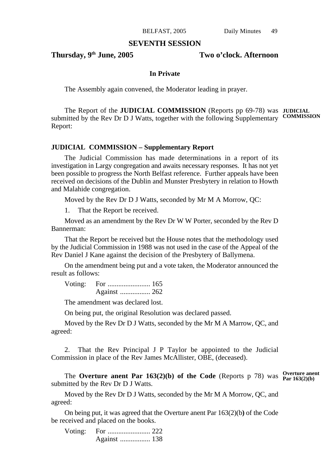## **SEVENTH SESSION**

**Thursday, 9th June, 2005 Two o'clock. Afternoon**

## **In Private**

The Assembly again convened, the Moderator leading in prayer.

The Report of the **JUDICIAL COMMISSION** (Reports pp 69-78) was **JUDICIAL** submitted by the Rev Dr D J Watts, together with the following Supplementary **COMMISSION**Report:

## **JUDICIAL COMMISSION – Supplementary Report**

The Judicial Commission has made determinations in a report of its investigation in Largy congregation and awaits necessary responses. It has not yet been possible to progress the North Belfast reference. Further appeals have been received on decisions of the Dublin and Munster Presbytery in relation to Howth and Malahide congregation.

Moved by the Rev Dr D J Watts, seconded by Mr M A Morrow, QC:

That the Report be received.

Moved as an amendment by the Rev Dr W W Porter, seconded by the Rev D Bannerman:

That the Report be received but the House notes that the methodology used by the Judicial Commission in 1988 was not used in the case of the Appeal of the Rev Daniel J Kane against the decision of the Presbytery of Ballymena.

On the amendment being put and a vote taken, the Moderator announced the result as follows:

Voting: For ........................ 165 Against ................. 262

The amendment was declared lost.

On being put, the original Resolution was declared passed.

Moved by the Rev Dr D J Watts, seconded by the Mr M A Marrow, QC, and agreed:

2. That the Rev Principal J P Taylor be appointed to the Judicial Commission in place of the Rev James McAllister, OBE, (deceased).

The **Overture anent Par 163(2)(b)** of the Code (Reports p 78) was  $\frac{\text{Overture} \cdot \text{Overt}}{\text{Par 163(2)(b)}}$ submitted by the Rev Dr D J Watts.

Moved by the Rev Dr D J Watts, seconded by the Mr M A Morrow, QC, and agreed:

On being put, it was agreed that the Overture anent Par 163(2)(b**)** of the Code be received and placed on the books.

Voting: For ........................ 222 Against ................. 138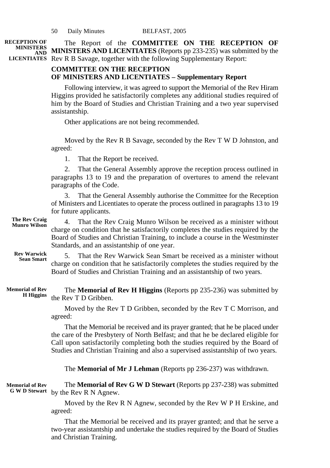The Report of the **COMMITTEE ON THE RECEPTION OF MINISTERS AND LICENTIATES** (Reports pp 233-235) was submitted by the **AND** LICENTIATES Rev R B Savage, together with the following Supplementary Report: **RECEPTION OF MINISTERS**

## **COMMITTEE ON THE RECEPTION OF MINISTERS AND LICENTIATES – Supplementary Report**

Following interview, it was agreed to support the Memorial of the Rev Hiram Higgins provided he satisfactorily completes any additional studies required of him by the Board of Studies and Christian Training and a two year supervised assistantship.

Other applications are not being recommended.

Moved by the Rev R B Savage, seconded by the Rev T W D Johnston, and agreed:

1. That the Report be received.

2. That the General Assembly approve the reception process outlined in paragraphs 13 to 19 and the preparation of overtures to amend the relevant paragraphs of the Code.

3. That the General Assembly authorise the Committee for the Reception of Ministers and Licentiates to operate the process outlined in paragraphs 13 to 19 for future applicants.

4. That the Rev Craig Munro Wilson be received as a minister without charge on condition that he satisfactorily completes the studies required by the Board of Studies and Christian Training, to include a course in the Westminster Standards, and an assistantship of one year. **The Rev Craig Munro Wilson**

5. That the Rev Warwick Sean Smart be received as a minister without charge on condition that he satisfactorily completes the studies required by the Board of Studies and Christian Training and an assistantship of two years. **Rev Warwick Sean Smart**

The **Memorial of Rev H Higgins** (Reports pp 235-236) was submitted by the Rev T D Gribben. **Memorial of Rev H Higgins**

> Moved by the Rev T D Gribben, seconded by the Rev T C Morrison, and agreed:

> That the Memorial be received and its prayer granted; that he be placed under the care of the Presbytery of North Belfast; and that he be declared eligible for Call upon satisfactorily completing both the studies required by the Board of Studies and Christian Training and also a supervised assistantship of two years.

The **Memorial of Mr J Lehman** (Reports pp 236-237) was withdrawn.

The **Memorial of Rev G W D Stewart** (Reports pp 237-238) was submitted by the Rev R N Agnew. **Memorial of Rev G W D Stewart**

> Moved by the Rev R N Agnew, seconded by the Rev W P H Erskine, and agreed:

> That the Memorial be received and its prayer granted; and that he serve a two-year assistantship and undertake the studies required by the Board of Studies and Christian Training.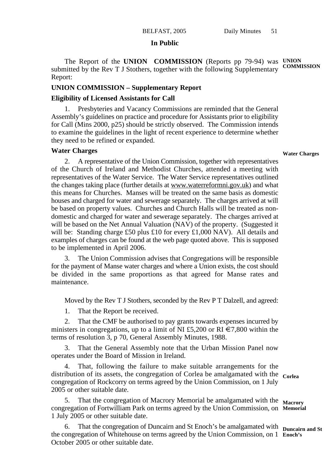## **In Public**

The Report of the UNION COMMISSION (Reports pp 79-94) was UNION submitted by the Rev T J Stothers, together with the following Supplementary Report: **COMMISSION**

## **UNION COMMISSION – Supplementary Report**

## **Eligibility of Licensed Assistants for Call**

Presbyteries and Vacancy Commissions are reminded that the General Assembly's guidelines on practice and procedure for Assistants prior to eligibility for Call (Mins 2000, p25) should be strictly observed. The Commission intends to examine the guidelines in the light of recent experience to determine whether they need to be refined or expanded.

## **Water Charges**

#### **Water Charges**

2. A representative of the Union Commission, together with representatives of the Church of Ireland and Methodist Churches, attended a meeting with representatives of the Water Service. The Water Service representatives outlined the changes taking place (further details at www.waterreformni.gov.uk) and what this means for Churches. Manses will be treated on the same basis as domestic houses and charged for water and sewerage separately. The charges arrived at will be based on property values. Churches and Church Halls will be treated as nondomestic and charged for water and sewerage separately. The charges arrived at will be based on the Net Annual Valuation (NAV) of the property. (Suggested it will be: Standing charge £50 plus £10 for every £1,000 NAV). All details and examples of charges can be found at the web page quoted above. This is supposed to be implemented in April 2006.

3. The Union Commission advises that Congregations will be responsible for the payment of Manse water charges and where a Union exists, the cost should be divided in the same proportions as that agreed for Manse rates and maintenance.

Moved by the Rev T J Stothers, seconded by the Rev P T Dalzell, and agreed:

1. That the Report be received.

2. That the CMF be authorised to pay grants towards expenses incurred by ministers in congregations, up to a limit of NI £5,200 or RI  $\epsilon$ 7,800 within the terms of resolution 3, p 70, General Assembly Minutes, 1988.

That the General Assembly note that the Urban Mission Panel now operates under the Board of Mission in Ireland.

That, following the failure to make suitable arrangements for the distribution of its assets, the congregation of Corlea be amalgamated with the **Corlea** congregation of Rockcorry on terms agreed by the Union Commission, on 1 July 2005 or other suitable date.

5. That the congregation of Macrory Memorial be amalgamated with the Macrory congregation of Fortwilliam Park on terms agreed by the Union Commission, on **Memorial** 1 July 2005 or other suitable date.

6. That the congregation of Duncairn and St Enoch's be amalgamated with **Duncairn and St** the congregation of Whitehouse on terms agreed by the Union Commission, on 1 **Enoch's** October 2005 or other suitable date.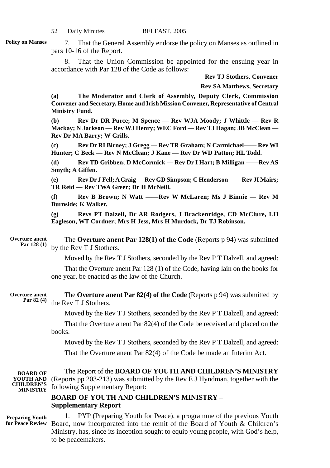7. That the General Assembly endorse the policy on Manses as outlined in pars 10-16 of the Report.

8. That the Union Commission be appointed for the ensuing year in accordance with Par 128 of the Code as follows:

**Rev TJ Stothers, Convener**

**Rev SA Matthews, Secretary**

**(a) The Moderator and Clerk of Assembly, Deputy Clerk, Commission Convener and Secretary, Home and Irish Mission Convener, Representative of Central Ministry Fund.**

**(b) Rev Dr DR Purce; M Spence — Rev WJA Moody; J Whittle — Rev R Mackay; N Jackson — Rev WJ Henry; WEC Ford — Rev TJ Hagan; JB McClean — Rev Dr MA Barry; W Grills.**

**(c) Rev Dr RI Birney; J Gregg — Rev TR Graham; N Carmichael—— Rev WI Hunter; C Beck — Rev N McClean; J Kane — Rev Dr WD Patton; HL Todd.**

**(d) Rev TD Gribben; D McCormick — Rev Dr I Hart; B Milligan ——Rev AS Smyth; A Giffen.**

**(e) Rev Dr J Fell; A Craig — Rev GD Simpson; C Henderson—— Rev JI Mairs; TR Reid — Rev TWA Greer; Dr H McNeill.**

**(f) Rev B Brown; N Watt ——Rev W McLaren; Ms J Binnie — Rev M Burnside; K Walker.**

**(g) Revs PT Dalzell, Dr AR Rodgers, J Brackenridge, CD McClure, LH Eagleson, WT Cordner; Mrs H Jess, Mrs H Murdock, Dr TJ Robinson.**

The **Overture anent Par 128(1) of the Code** (Reports p 94) was submitted by the Rev T J Stothers. **Overture anent Par 128 (1)**

Moved by the Rev T J Stothers, seconded by the Rev P T Dalzell, and agreed:

That the Overture anent Par 128 (1) of the Code, having lain on the books for one year, be enacted as the law of the Church.

The **Overture anent Par 82(4) of the Code** (Reports p 94) was submitted by the Rev T J Stothers. **Overture anent Par 82 (4)**

Moved by the Rev T J Stothers, seconded by the Rev P T Dalzell, and agreed:

That the Overture anent Par 82(4) of the Code be received and placed on the books.

Moved by the Rev T J Stothers, seconded by the Rev P T Dalzell, and agreed: That the Overture anent Par 82(4) of the Code be made an Interim Act.

**BOARD OF YOUTH AND CHILDREN'S MINISTRY**

The Report of the **BOARD OF YOUTH AND CHILDREN'S MINISTRY** (Reports pp 203-213) was submitted by the Rev E J Hyndman, together with the following Supplementary Report:

# **BOARD OF YOUTH AND CHILDREN'S MINISTRY – Supplementary Report**

**Preparing Youth for Peace Review**

1. PYP (Preparing Youth for Peace), a programme of the previous Youth Board, now incorporated into the remit of the Board of Youth & Children's Ministry, has, since its inception sought to equip young people, with God's help, to be peacemakers.

**Policy on Manses**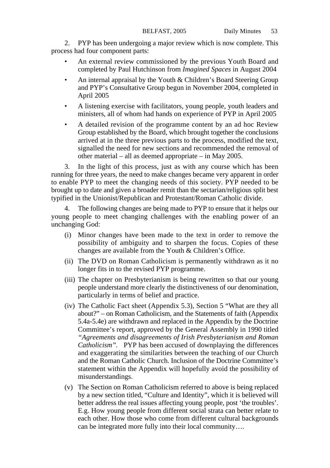2. PYP has been undergoing a major review which is now complete. This process had four component parts:

- An external review commissioned by the previous Youth Board and completed by Paul Hutchinson from *Imagined Spaces* in August 2004
- An internal appraisal by the Youth & Children's Board Steering Group and PYP's Consultative Group begun in November 2004, completed in April 2005
- A listening exercise with facilitators, young people, youth leaders and ministers, all of whom had hands on experience of PYP in April 2005
- A detailed revision of the programme content by an ad hoc Review Group established by the Board, which brought together the conclusions arrived at in the three previous parts to the process, modified the text, signalled the need for new sections and recommended the removal of other material – all as deemed appropriate – in May 2005.

3. In the light of this process, just as with any course which has been running for three years, the need to make changes became very apparent in order to enable PYP to meet the changing needs of this society. PYP needed to be brought up to date and given a broader remit than the sectarian/religious split best typified in the Unionist/Republican and Protestant/Roman Catholic divide.

The following changes are being made to PYP to ensure that it helps our young people to meet changing challenges with the enabling power of an unchanging God:

- (i) Minor changes have been made to the text in order to remove the possibility of ambiguity and to sharpen the focus. Copies of these changes are available from the Youth & Children's Office.
- (ii) The DVD on Roman Catholicism is permanently withdrawn as it no longer fits in to the revised PYP programme.
- (iii) The chapter on Presbyterianism is being rewritten so that our young people understand more clearly the distinctiveness of our denomination, particularly in terms of belief and practice.
- (iv) The Catholic Fact sheet (Appendix 5.3), Section 5 "What are they all about?" – on Roman Catholicism, and the Statements of faith (Appendix 5.4a-5.4e) are withdrawn and replaced in the Appendix by the Doctrine Committee's report, approved by the General Assembly in 1990 titled *"Agreements and disagreements of Irish Presbyterianism and Roman Catholicism".* PYP has been accused of downplaying the differences and exaggerating the similarities between the teaching of our Church and the Roman Catholic Church. Inclusion of the Doctrine Committee's statement within the Appendix will hopefully avoid the possibility of misunderstandings.
- (v) The Section on Roman Catholicism referred to above is being replaced by a new section titled, "Culture and Identity", which it is believed will better address the real issues affecting young people, post 'the troubles'. E.g. How young people from different social strata can better relate to each other. How those who come from different cultural backgrounds can be integrated more fully into their local community….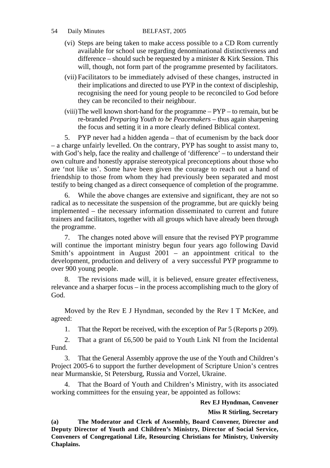## 54 Daily Minutes BELFAST, 2005

- (vi) Steps are being taken to make access possible to a CD Rom currently available for school use regarding denominational distinctiveness and difference – should such be requested by a minister  $&$  Kirk Session. This will, though, not form part of the programme presented by facilitators.
- (vii) Facilitators to be immediately advised of these changes, instructed in their implications and directed to use PYP in the context of discipleship, recognising the need for young people to be reconciled to God before they can be reconciled to their neighbour.
- (viii)The well known short-hand for the programme PYP to remain, but be re-branded *Preparing Youth to be Peacemakers* – thus again sharpening the focus and setting it in a more clearly defined Biblical context.

5. PYP never had a hidden agenda – that of ecumenism by the back door – a charge unfairly levelled. On the contrary, PYP has sought to assist many to, with God's help, face the reality and challenge of 'difference' – to understand their own culture and honestly appraise stereotypical preconceptions about those who are 'not like us'. Some have been given the courage to reach out a hand of friendship to those from whom they had previously been separated and most testify to being changed as a direct consequence of completion of the programme.

6. While the above changes are extensive and significant, they are not so radical as to necessitate the suspension of the programme, but are quickly being implemented – the necessary information disseminated to current and future trainers and facilitators, together with all groups which have already been through the programme.

7. The changes noted above will ensure that the revised PYP programme will continue the important ministry begun four years ago following David Smith's appointment in August 2001 – an appointment critical to the development, production and delivery of a very successful PYP programme to over 900 young people.

8. The revisions made will, it is believed, ensure greater effectiveness, relevance and a sharper focus – in the process accomplishing much to the glory of God.

Moved by the Rev E J Hyndman, seconded by the Rev I T McKee, and agreed:

1. That the Report be received, with the exception of Par 5 (Reports p 209).

2. That a grant of £6,500 be paid to Youth Link NI from the Incidental Fund.

3. That the General Assembly approve the use of the Youth and Children's Project 2005-6 to support the further development of Scripture Union's centres near Murmanskie, St Petersburg, Russia and Vorzel, Ukraine.

That the Board of Youth and Children's Ministry, with its associated working committees for the ensuing year, be appointed as follows:

## **Rev EJ Hyndman, Convener**

**Miss R Stirling, Secretary**

**(a) The Moderator and Clerk of Assembly, Board Convener, Director and Deputy Director of Youth and Children's Ministry, Director of Social Service, Conveners of Congregational Life, Resourcing Christians for Ministry, University Chaplains.**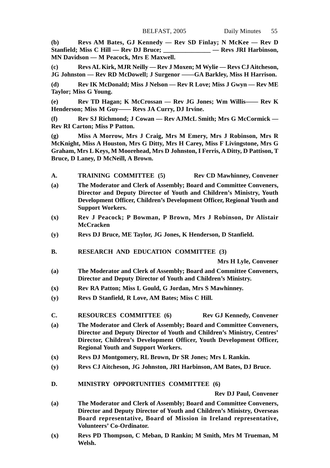**(b) Revs AM Bates, GJ Kennedy — Rev SD Finlay; N McKee — Rev D Stanfield; Miss C Hill — Rev DJ Bruce; \_\_\_\_\_\_\_\_\_\_\_\_\_\_\_ — Revs JRI Harbinson, MN Davidson — M Peacock, Mrs E Maxwell.**

**(c) Revs AL Kirk, MJR Neilly — Rev J Moxen; M Wylie — Revs CJ Aitcheson, JG Johnston — Rev RD McDowell; J Surgenor ——GA Barkley, Miss H Harrison.**

**(d) Rev IK McDonald; Miss J Nelson — Rev R Love; Miss J Gwyn — Rev ME Taylor; Miss G Young.**

**(e) Rev TD Hagan; K McCrossan — Rev JG Jones; Wm Willis—— Rev K Henderson; Miss M Guy—— Revs JA Curry, DJ Irvine.**

**(f) Rev SJ Richmond; J Cowan — Rev AJMcL Smith; Mrs G McCormick — Rev RI Carton; Miss P Patton.**

**(g) Miss A Morrow, Mrs J Craig, Mrs M Emery, Mrs J Robinson, Mrs R McKnight, Miss A Houston, Mrs G Ditty, Mrs H Carey, Miss F Livingstone, Mrs G Graham, Mrs L Keys, M Moorehead, Mrs D Johnston, I Ferris, A Ditty, D Pattison, T Bruce, D Laney, D McNeill, A Brown.**

- **A. TRAINING COMMITTEE (5) Rev CD Mawhinney, Convener**
- **(a) The Moderator and Clerk of Assembly; Board and Committee Conveners, Director and Deputy Director of Youth and Children's Ministry, Youth Development Officer, Children's Development Officer, Regional Youth and Support Workers.**
- **(x) Rev J Peacock; P Bowman, P Brown, Mrs J Robinson, Dr Alistair McCracken**
- **(y) Revs DJ Bruce, ME Taylor, JG Jones, K Henderson, D Stanfield.**
- **B. RESEARCH AND EDUCATION COMMITTEE (3)**

**Mrs H Lyle, Convener**

- **(a) The Moderator and Clerk of Assembly; Board and Committee Conveners, Director and Deputy Director of Youth and Children's Ministry.**
- **(x) Rev RA Patton; Miss L Gould, G Jordan, Mrs S Mawhinney.**
- **(y) Revs D Stanfield, R Love, AM Bates; Miss C Hill.**
- **C. RESOURCES COMMITTEE (6) Rev GJ Kennedy, Convener**
- **(a) The Moderator and Clerk of Assembly; Board and Committee Conveners, Director and Deputy Director of Youth and Children's Ministry, Centres' Director, Children's Development Officer, Youth Development Officer, Regional Youth and Support Workers.**
- **(x) Revs DJ Montgomery, RL Brown, Dr SR Jones; Mrs L Rankin.**
- **(y) Revs CJ Aitcheson, JG Johnston, JRI Harbinson, AM Bates, DJ Bruce.**
- **D. MINISTRY OPPORTUNITIES COMMITTEE (6)**

**Rev DJ Paul, Convener**

- **(a) The Moderator and Clerk of Assembly; Board and Committee Conveners, Director and Deputy Director of Youth and Children's Ministry, Overseas Board representative, Board of Mission in Ireland representative, Volunteers' Co-Ordinator.**
- **(x) Revs PD Thompson, C Meban, D Rankin; M Smith, Mrs M Trueman, M Welsh.**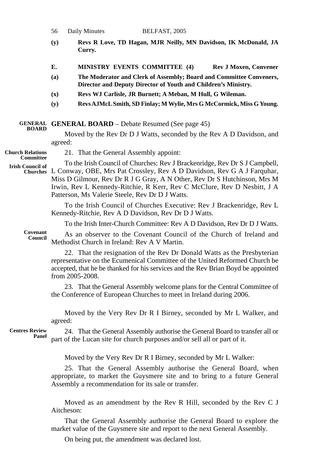56 Daily Minutes BELFAST, 2005

- **(y) Revs R Love, TD Hagan, MJR Neilly, MN Davidson, IK McDonald, JA Curry.**
- **E. MINISTRY EVENTS COMMITTEE (4) Rev J Moxen, Convener**
- **(a) The Moderator and Clerk of Assembly; Board and Committee Conveners, Director and Deputy Director of Youth and Children's Ministry.**
- **(x) Revs WJ Carlisle, JR Burnett; A Meban, M Hull, G Wileman.**
- **(y) Revs AJMcL Smith, SD Finlay; M Wylie, Mrs G McCormick, Miss G Young.**

#### **GENERAL BOARD** – Debate Resumed (See page 45) **GENERAL BOARD**

Moved by the Rev Dr D J Watts, seconded by the Rev A D Davidson, and agreed:

**Church Relations Committee**

**Irish Council of**

21. That the General Assembly appoint:

To the Irish Council of Churches: Rev J Brackenridge, Rev Dr S J Campbell, L Conway, OBE, Mrs Pat Crossley, Rev A D Davidson, Rev G A J Farquhar, **Churches** Miss D Gilmour, Rev Dr R J G Gray, A N Other, Rev Dr S Hutchinson, Mrs M Irwin, Rev L Kennedy-Ritchie, R Kerr, Rev C McClure, Rev D Nesbitt, J A Patterson, Ms Valerie Steele, Rev Dr D J Watts.

> To the Irish Council of Churches Executive: Rev J Brackenridge, Rev L Kennedy-Ritchie, Rev A D Davidson, Rev Dr D J Watts.

To the Irish Inter-Church Committee: Rev A D Davidson, Rev Dr D J Watts.

**Covenant Council**

As an observer to the Covenant Council of the Church of Ireland and Methodist Church in Ireland: Rev A V Martin.

22. That the resignation of the Rev Dr Donald Watts as the Presbyterian representative on the Ecumenical Committee of the United Reformed Church be accepted, that he be thanked for his services and the Rev Brian Boyd be appointed from 2005-2008.

23. That the General Assembly welcome plans for the Central Committee of the Conference of European Churches to meet in Ireland during 2006.

Moved by the Very Rev Dr R I Birney, seconded by Mr L Walker, and agreed:

**Centres Review Panel**

24. That the General Assembly authorise the General Board to transfer all or part of the Lucan site for church purposes and/or sell all or part of it.

Moved by the Very Rev Dr R I Birney, seconded by Mr L Walker:

25. That the General Assembly authorise the General Board, when appropriate, to market the Guysmere site and to bring to a future General Assembly a recommendation for its sale or transfer.

Moved as an amendment by the Rev R Hill, seconded by the Rev C J Aitcheson:

That the General Assembly authorise the General Board to explore the market value of the Guysmere site and report to the next General Assembly.

On being put, the amendment was declared lost.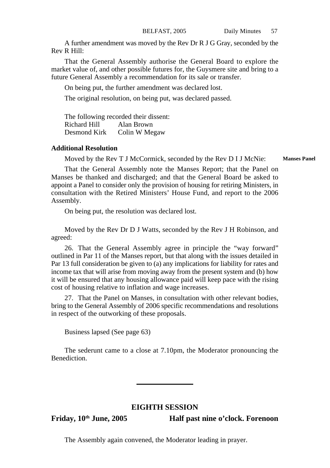A further amendment was moved by the Rev Dr R J G Gray, seconded by the Rev R Hill:

That the General Assembly authorise the General Board to explore the market value of, and other possible futures for, the Guysmere site and bring to a future General Assembly a recommendation for its sale or transfer.

On being put, the further amendment was declared lost.

The original resolution, on being put, was declared passed.

The following recorded their dissent: Richard Hill Alan Brown Desmond Kirk Colin W Megaw

## **Additional Resolution**

Moved by the Rev T J McCormick, seconded by the Rev D I J McNie: **Manses Panel**

That the General Assembly note the Manses Report; that the Panel on Manses be thanked and discharged; and that the General Board be asked to appoint a Panel to consider only the provision of housing for retiring Ministers, in consultation with the Retired Ministers' House Fund, and report to the 2006 Assembly.

On being put, the resolution was declared lost.

Moved by the Rev Dr D J Watts, seconded by the Rev J H Robinson, and agreed:

26. That the General Assembly agree in principle the "way forward" outlined in Par 11 of the Manses report, but that along with the issues detailed in Par 13 full consideration be given to (a) any implications for liability for rates and income tax that will arise from moving away from the present system and (b) how it will be ensured that any housing allowance paid will keep pace with the rising cost of housing relative to inflation and wage increases.

27. That the Panel on Manses, in consultation with other relevant bodies, bring to the General Assembly of 2006 specific recommendations and resolutions in respect of the outworking of these proposals.

Business lapsed (See page 63)

The sederunt came to a close at 7.10pm, the Moderator pronouncing the Benediction.

## **EIGHTH SESSION**

**Friday, 10th June, 2005 Half past nine o'clock. Forenoon**

The Assembly again convened, the Moderator leading in prayer.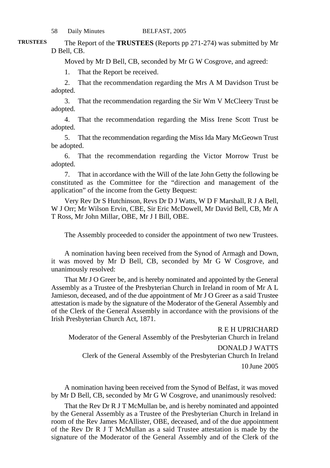The Report of the **TRUSTEES** (Reports pp 271-274) was submitted by Mr D Bell, CB.

Moved by Mr D Bell, CB, seconded by Mr G W Cosgrove, and agreed:

1. That the Report be received.

2. That the recommendation regarding the Mrs A M Davidson Trust be adopted.

3. That the recommendation regarding the Sir Wm V McCleery Trust be adopted.

4. That the recommendation regarding the Miss Irene Scott Trust be adopted.

5. That the recommendation regarding the Miss Ida Mary McGeown Trust be adopted.

6. That the recommendation regarding the Victor Morrow Trust be adopted.

7. That in accordance with the Will of the late John Getty the following be constituted as the Committee for the "direction and management of the application" of the income from the Getty Bequest:

Very Rev Dr S Hutchinson, Revs Dr D J Watts, W D F Marshall, R J A Bell, W J Orr; Mr Wilson Ervin, CBE, Sir Eric McDowell, Mr David Bell, CB, Mr A T Ross, Mr John Millar, OBE, Mr J I Bill, OBE.

The Assembly proceeded to consider the appointment of two new Trustees.

A nomination having been received from the Synod of Armagh and Down, it was moved by Mr D Bell, CB, seconded by Mr G W Cosgrove, and unanimously resolved:

That Mr J O Greer be, and is hereby nominated and appointed by the General Assembly as a Trustee of the Presbyterian Church in Ireland in room of Mr A L Jamieson, deceased, and of the due appointment of Mr J O Greer as a said Trustee attestation is made by the signature of the Moderator of the General Assembly and of the Clerk of the General Assembly in accordance with the provisions of the Irish Presbyterian Church Act, 1871.

R E H UPRICHARD Moderator of the General Assembly of the Presbyterian Church in Ireland DONALD J WATTS Clerk of the General Assembly of the Presbyterian Church In Ireland 10 June 2005

A nomination having been received from the Synod of Belfast, it was moved by Mr D Bell, CB, seconded by Mr G W Cosgrove, and unanimously resolved:

That the Rev Dr R J T McMullan be, and is hereby nominated and appointed by the General Assembly as a Trustee of the Presbyterian Church in Ireland in room of the Rev James McAllister, OBE, deceased, and of the due appointment of the Rev Dr R J T McMullan as a said Trustee attestation is made by the signature of the Moderator of the General Assembly and of the Clerk of the

**TRUSTEES**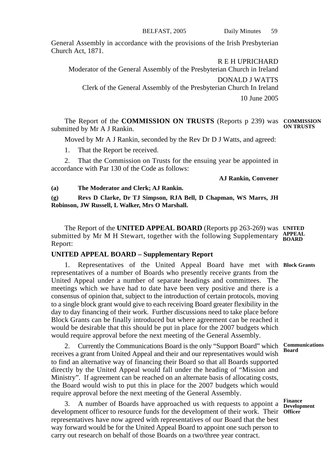BELFAST, 2005 Daily Minutes 59

General Assembly in accordance with the provisions of the Irish Presbyterian Church Act, 1871.

R E H UPRICHARD

Moderator of the General Assembly of the Presbyterian Church in Ireland DONALD J WATTS Clerk of the General Assembly of the Presbyterian Church In Ireland 10 June 2005

The Report of the **COMMISSION ON TRUSTS** (Reports p 239) was **COMMISSION** submitted by Mr A J Rankin. **ON TRUSTS**

Moved by Mr A J Rankin, seconded by the Rev Dr D J Watts, and agreed:

1. That the Report be received.

2. That the Commission on Trusts for the ensuing year be appointed in accordance with Par 130 of the Code as follows:

**AJ Rankin, Convener**

**(a) The Moderator and Clerk; AJ Rankin.**

**(g) Revs D Clarke, Dr TJ Simpson, RJA Bell, D Chapman, WS Marrs, JH Robinson, JW Russell, L Walker, Mrs O Marshall.**

The Report of the **UNITED APPEAL BOARD** (Reports pp 263-269) was **UNITED** submitted by Mr M H Stewart, together with the following Supplementary **APPEAL** Report:

## **UNITED APPEAL BOARD – Supplementary Report**

1. Representatives of the United Appeal Board have met with **Block Grants** representatives of a number of Boards who presently receive grants from the United Appeal under a number of separate headings and committees. The meetings which we have had to date have been very positive and there is a consensus of opinion that, subject to the introduction of certain protocols, moving to a single block grant would give to each receiving Board greater flexibility in the day to day financing of their work. Further discussions need to take place before Block Grants can be finally introduced but where agreement can be reached it would be desirable that this should be put in place for the 2007 budgets which would require approval before the next meeting of the General Assembly.

2. Currently the Communications Board is the only "Support Board" which receives a grant from United Appeal and their and our representatives would wish to find an alternative way of financing their Board so that all Boards supported directly by the United Appeal would fall under the heading of "Mission and Ministry". If agreement can be reached on an alternate basis of allocating costs, the Board would wish to put this in place for the 2007 budgets which would require approval before the next meeting of the General Assembly.

3. A number of Boards have approached us with requests to appoint a **Finance Development** development officer to resource funds for the development of their work. Their **Officer**representatives have now agreed with representatives of our Board that the best way forward would be for the United Appeal Board to appoint one such person to carry out research on behalf of those Boards on a two/three year contract.

**Communications Board**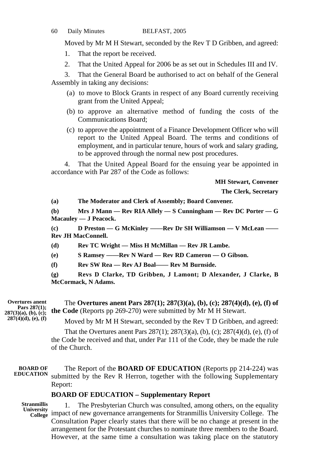## 60 Daily Minutes BELFAST, 2005

Moved by Mr M H Stewart, seconded by the Rev T D Gribben, and agreed:

- 1. That the report be received.
- 2. That the United Appeal for 2006 be as set out in Schedules III and IV.

3. That the General Board be authorised to act on behalf of the General Assembly in taking any decisions:

- (a) to move to Block Grants in respect of any Board currently receiving grant from the United Appeal;
- (b) to approve an alternative method of funding the costs of the Communications Board;
- (c) to approve the appointment of a Finance Development Officer who will report to the United Appeal Board. The terms and conditions of employment, and in particular tenure, hours of work and salary grading, to be approved through the normal new post procedures.

4. That the United Appeal Board for the ensuing year be appointed in accordance with Par 287 of the Code as follows:

**MH Stewart, Convener**

**The Clerk, Secretary**

**(a) The Moderator and Clerk of Assembly; Board Convener.**

**(b) Mrs J Mann — Rev RIA Allely — S Cunningham — Rev DC Porter — G Macauley — J Peacock.**

**(c) D Preston — G McKinley ——Rev Dr SH Williamson — V McLean —— Rev JH MacConnell.**

**(d) Rev TC Wright — Miss H McMillan — Rev JR Lambe.**

**(e) S Ramsey ——Rev N Ward — Rev RD Cameron — O Gibson.**

**(f) Rev SW Rea — Rev AJ Boal—— Rev M Burnside.**

**(g) Revs D Clarke, TD Gribben, J Lamont; D Alexander, J Clarke, B McCormack, N Adams.**

**Overtures anent Pars 287(1); 287(3)(a), (b), (c); 287(4)(d), (e), (f)**

The **Overtures anent Pars 287(1); 287(3)(a), (b), (c); 287(4)(d), (e), (f) of the Code** (Reports pp 269-270) were submitted by Mr M H Stewart.

Moved by Mr M H Stewart, seconded by the Rev T D Gribben, and agreed:

That the Overtures anent Pars 287(1); 287(3)(a), (b), (c); 287(4)(d), (e), (f) of the Code be received and that, under Par 111 of the Code, they be made the rule of the Church.

#### The Report of the **BOARD OF EDUCATION** (Reports pp 214-224) was submitted by the Rev R Herron, together with the following Supplementary Report: **BOARD OF EDUCATION**

## **BOARD OF EDUCATION – Supplementary Report**

**Stranmillis**

1. The Presbyterian Church was consulted, among others, on the equality University<br> **College** impact of new governance arrangements for Stranmillis University College. The Consultation Paper clearly states that there will be no change at present in the arrangement for the Protestant churches to nominate three members to the Board. However, at the same time a consultation was taking place on the statutory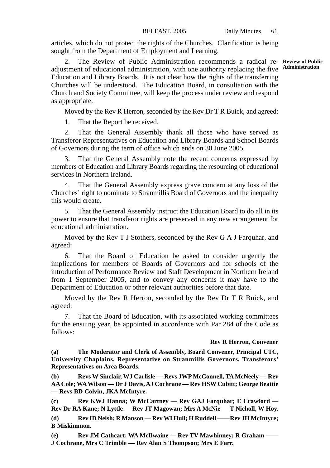articles, which do not protect the rights of the Churches. Clarification is being sought from the Department of Employment and Learning.

2. The Review of Public Administration recommends a radical re-**Review of Public** adjustment of educational administration, with one authority replacing the five Education and Library Boards. It is not clear how the rights of the transferring Churches will be understood. The Education Board, in consultation with the Church and Society Committee, will keep the process under review and respond as appropriate.

Moved by the Rev R Herron, seconded by the Rev Dr T R Buick, and agreed:

1. That the Report be received.

2. That the General Assembly thank all those who have served as Transferor Representatives on Education and Library Boards and School Boards of Governors during the term of office which ends on 30 June 2005.

3. That the General Assembly note the recent concerns expressed by members of Education and Library Boards regarding the resourcing of educational services in Northern Ireland.

That the General Assembly express grave concern at any loss of the Churches' right to nominate to Stranmillis Board of Governors and the inequality this would create.

5. That the General Assembly instruct the Education Board to do all in its power to ensure that transferor rights are preserved in any new arrangement for educational administration.

Moved by the Rev T J Stothers, seconded by the Rev G A J Farquhar, and agreed:

6. That the Board of Education be asked to consider urgently the implications for members of Boards of Governors and for schools of the introduction of Performance Review and Staff Development in Northern Ireland from 1 September 2005, and to convey any concerns it may have to the Department of Education or other relevant authorities before that date.

Moved by the Rev R Herron, seconded by the Rev Dr T R Buick, and agreed:

7. That the Board of Education, with its associated working committees for the ensuing year, be appointed in accordance with Par 284 of the Code as follows:

## **Rev R Herron, Convener**

**(a) The Moderator and Clerk of Assembly, Board Convener, Principal UTC, University Chaplains, Representative on Stranmillis Governors, Transferors' Representatives on Area Boards.**

**(b) Revs W Sinclair, WJ Carlisle — Revs JWP McConnell, TA McNeely — Rev AA Cole; WA Wilson — Dr J Davis, AJ Cochrane — Rev HSW Cubitt; George Beattie — Revs BD Colvin, JKA McIntyre.**

**(c) Rev KWJ Hanna; W McCartney — Rev GAJ Farquhar; E Crawford — Rev Dr RA Kane; N Lyttle — Rev JT Magowan; Mrs A McNie — T Nicholl, W Hoy.**

**(d) Rev ID Neish; R Manson — Rev WI Hull; H Ruddell ——Rev JH McIntyre; B Miskimmon.**

**(e) Rev JM Cathcart; WA McIlwaine — Rev TV Mawhinney; R Graham —— J Cochrane, Mrs C Trimble — Rev Alan S Thompson; Mrs E Farr.**

**Administration**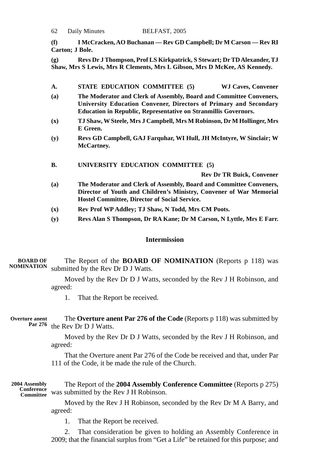|  | 62 | Daily Minutes | BELFAST, 2005 |
|--|----|---------------|---------------|
|--|----|---------------|---------------|

**(f) I McCracken, AO Buchanan — Rev GD Campbell; Dr M Carson — Rev RI Carton; J Bole.**

**(g) Revs Dr J Thompson, Prof LS Kirkpatrick, S Stewart; Dr TD Alexander, TJ Shaw, Mrs S Lewis, Mrs R Clements, Mrs L Gibson, Mrs D McKee, AS Kennedy.**

| A. |  | STATE EDUCATION COMMITTEE (5) | <b>WJ Caves, Convener</b> |  |
|----|--|-------------------------------|---------------------------|--|
|    |  |                               |                           |  |

- **(a) The Moderator and Clerk of Assembly, Board and Committee Conveners, University Education Convener, Directors of Primary and Secondary Education in Republic, Representative on Stranmillis Governors.**
- **(x) TJ Shaw, W Steele, Mrs J Campbell, Mrs M Robinson, Dr M Hollinger, Mrs E Green.**
- **(y) Revs GD Campbell, GAJ Farquhar, WI Hull, JH McIntyre, W Sinclair; W McCartney.**
- **B. UNIVERSITY EDUCATION COMMITTEE (5)**

**Rev Dr TR Buick, Convener**

- **(a) The Moderator and Clerk of Assembly, Board and Committee Conveners, Director of Youth and Children's Ministry, Convener of War Memorial Hostel Committee, Director of Social Service.**
- **(x) Rev Prof WP Addley; TJ Shaw, N Todd, Mrs CM Poots.**
- **(y) Revs Alan S Thompson, Dr RA Kane; Dr M Carson, N Lyttle, Mrs E Farr.**

## **Intermission**

The Report of the **BOARD OF NOMINATION** (Reports p 118) was submitted by the Rev Dr D J Watts. **BOARD OF NOMINATION**

> Moved by the Rev Dr D J Watts, seconded by the Rev J H Robinson, and agreed:

1. That the Report be received.

The **Overture anent Par 276 of the Code** (Reports p 118) was submitted by the Rev Dr D J Watts. **Overture anent Par 276**

> Moved by the Rev Dr D J Watts, seconded by the Rev J H Robinson, and agreed:

> That the Overture anent Par 276 of the Code be received and that, under Par 111 of the Code, it be made the rule of the Church.

The Report of the **2004 Assembly Conference Committee** (Reports p 275) was submitted by the Rev J H Robinson. **2004 Assembly Conference Committee**

> Moved by the Rev J H Robinson, seconded by the Rev Dr M A Barry, and agreed:

1. That the Report be received.

2. That consideration be given to holding an Assembly Conference in 2009; that the financial surplus from "Get a Life" be retained for this purpose; and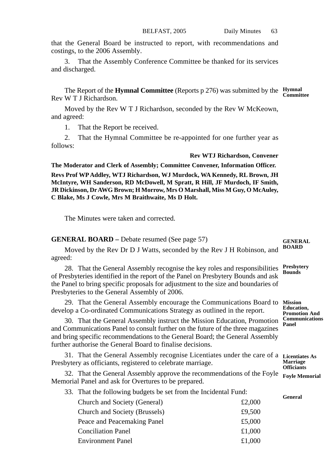that the General Board be instructed to report, with recommendations and costings, to the 2006 Assembly.

3. That the Assembly Conference Committee be thanked for its services and discharged.

The Report of the **Hymnal Committee** (Reports p 276) was submitted by the **Hymnal** Rev W T J Richardson. **Committee**

Moved by the Rev W T J Richardson, seconded by the Rev W McKeown, and agreed:

1. That the Report be received.

2. That the Hymnal Committee be re-appointed for one further year as follows:

#### **Rev WTJ Richardson, Convener**

**The Moderator and Clerk of Assembly; Committee Convener, Information Officer.**

**Revs Prof WP Addley, WTJ Richardson, WJ Murdock, WA Kennedy, RL Brown, JH McIntyre, WH Sanderson, RD McDowell, M Spratt, R Hill, JF Murdoch, IF Smith, JR Dickinson, Dr AWG Brown; H Morrow, Mrs O Marshall, Miss M Guy, O McAuley, C Blake, Ms J Cowle, Mrs M Braithwaite, Ms D Holt.**

The Minutes were taken and corrected.

## **GENERAL BOARD –** Debate resumed (See page 57)

#### **GENERAL BOARD**

Moved by the Rev Dr D J Watts, seconded by the Rev J H Robinson, and agreed:

28. That the General Assembly recognise the key roles and responsibilities of Presbyteries identified in the report of the Panel on Presbytery Bounds and ask the Panel to bring specific proposals for adjustment to the size and boundaries of Presbyteries to the General Assembly of 2006. **Bounds**

29. That the General Assembly encourage the Communications Board to develop a Co-ordinated Communications Strategy as outlined in the report.

30. That the General Assembly instruct the Mission Education, Promotion and Communications Panel to consult further on the future of the three magazines and bring specific recommendations to the General Board; the General Assembly further authorise the General Board to finalise decisions.

31. That the General Assembly recognise Licentiates under the care of a **Licentiates As** Presbytery as officiants, registered to celebrate marriage.

32. That the General Assembly approve the recommendations of the Foyle Memorial Panel and ask for Overtures to be prepared.

33. That the following budgets be set from the Incidental Fund:

| Church and Society (General)  | £2,000 |
|-------------------------------|--------|
| Church and Society (Brussels) | £9,500 |
| Peace and Peacemaking Panel   | £5,000 |
| <b>Conciliation Panel</b>     | £1,000 |
| <b>Environment Panel</b>      | £1,000 |

**Presbytery**

**Mission Education,**

**Promotion And Communications Panel**

**Marriage Officiants Foyle Memorial**

**General**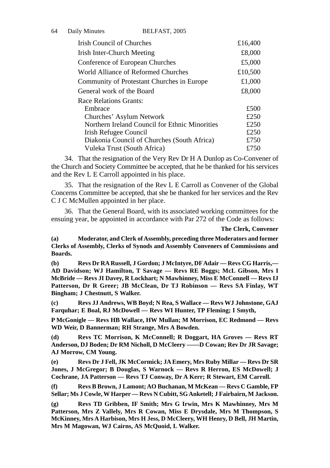| 64 | Daily Minutes              | BELFAST, 2005                                  |         |
|----|----------------------------|------------------------------------------------|---------|
|    | Irish Council of Churches  |                                                | £16,400 |
|    | Irish Inter-Church Meeting |                                                | £8,000  |
|    |                            | Conference of European Churches                | £5,000  |
|    |                            | World Alliance of Reformed Churches            | £10,500 |
|    |                            | Community of Protestant Churches in Europe     | £1,000  |
|    | General work of the Board  |                                                | £8,000  |
|    | Race Relations Grants:     |                                                |         |
|    | Embrace                    |                                                | £500    |
|    |                            | Churches' Asylum Network                       | £250    |
|    |                            | Northern Ireland Council for Ethnic Minorities | £250    |
|    | Irish Refugee Council      |                                                | £250    |
|    |                            | Diakonia Council of Churches (South Africa)    | £750    |

34. That the resignation of the Very Rev Dr H A Dunlop as Co-Convener of the Church and Society Committee be accepted, that he be thanked for his services and the Rev L E Carroll appointed in his place.

Vuleka Trust (South Africa) £750

35. That the resignation of the Rev L E Carroll as Convener of the Global Concerns Committee be accepted, that she be thanked for her services and the Rev C J C McMullen appointed in her place.

36. That the General Board, with its associated working committees for the ensuing year, be appointed in accordance with Par 272 of the Code as follows:

**The Clerk, Convener**

**(a) Moderator, and Clerk of Assembly, preceding three Moderators and former Clerks of Assembly, Clerks of Synods and Assembly Conveners of Commissions and Boards.**

**(b) Revs Dr RA Russell, J Gordon; J McIntyre, DF Adair — Revs CG Harris,— AD Davidson; WJ Hamilton, T Savage — Revs RE Boggs; McL Gibson, Mrs I McBride — Revs JI Davey, R Lockhart; N Mawhinney, Miss E McConnell — Revs IJ Patterson, Dr R Greer; JB McClean, Dr TJ Robinson — Revs SA Finlay, WT Bingham; J Chestnutt, S Walker.**

**(c) Revs JJ Andrews, WB Boyd; N Rea, S Wallace — Revs WJ Johnstone, GAJ Farquhar; E Boal, RJ McDowell — Revs WI Hunter, TP Fleming; I Smyth,**

**P McGonigle — Revs HB Wallace, HW Mullan; M Morrison, EC Redmond — Revs WD Weir, D Bannerman; RH Strange, Mrs A Bowden.**

**(d) Revs TC Morrison, K McConnell; R Doggart, HA Groves — Revs RT Anderson, DJ Boden; Dr RM Nicholl, D McCleery ——D Cowan; Rev Dr JR Savage; AJ Morrow, CM Young.**

**(e) Revs Dr J Fell, JK McCormick; JA Emery, Mrs Ruby Millar — Revs Dr SR Jones, J McGregor; B Douglas, S Warnock — Revs R Herron, ES McDowell; J Cochrane, JA Patterson — Revs TJ Conway, Dr A Kerr; R Stewart, EM Carroll.**

**(f) Revs B Brown, J Lamont; AO Buchanan, M McKean — Revs C Gamble, FP Sellar; Ms J Cowle, W Harper — Revs N Cubitt, SG Anketell; J Fairbairn, M Jackson.**

**(g) Revs TD Gribben, IF Smith; Mrs G Irwin, Mrs K Mawhinney, Mrs M Patterson, Mrs Z Vallely, Mrs R Cowan, Miss E Drysdale, Mrs M Thompson, S McKinney, Mrs A Harbison, Mrs H Jess, D McCleery, WH Henry, D Bell, JH Martin, Mrs M Magowan, WJ Cairns, AS McQuoid, L Walker.**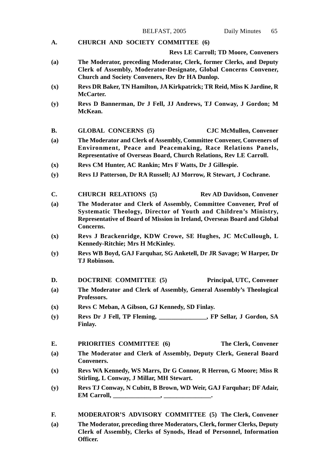**A. CHURCH AND SOCIETY COMMITTEE (6)**

#### **Revs LE Carroll; TD Moore, Conveners**

- **(a) The Moderator, preceding Moderator, Clerk, former Clerks, and Deputy Clerk of Assembly, Moderator-Designate, Global Concerns Convener, Church and Society Conveners, Rev Dr HA Dunlop.**
- **(x) Revs DR Baker, TN Hamilton, JA Kirkpatrick; TR Reid, Miss K Jardine, R McCarter.**
- **(y) Revs D Bannerman, Dr J Fell, JJ Andrews, TJ Conway, J Gordon; M McKean.**
- **B. GLOBAL CONCERNS (5) CJC McMullen, Convener**
- **(a) The Moderator and Clerk of Assembly, Committee Convener, Conveners of Environment, Peace and Peacemaking, Race Relations Panels, Representative of Overseas Board, Church Relations, Rev LE Carroll.**
- **(x) Revs CM Hunter, AC Rankin; Mrs F Watts, Dr J Gillespie.**
- **(y) Revs IJ Patterson, Dr RA Russell; AJ Morrow, R Stewart, J Cochrane.**
- C. CHURCH RELATIONS (5) Rev AD Davidson, Convener
- **(a) The Moderator and Clerk of Assembly, Committee Convener, Prof of Systematic Theology, Director of Youth and Children's Ministry, Representative of Board of Mission in Ireland, Overseas Board and Global Concerns.**
- **(x) Revs J Brackenridge, KDW Crowe, SE Hughes, JC McCullough, L Kennedy-Ritchie; Mrs H McKinley.**
- **(y) Revs WB Boyd, GAJ Farquhar, SG Anketell, Dr JR Savage; W Harper, Dr TJ Robinson.**
- **D. DOCTRINE COMMITTEE (5) Principal, UTC, Convener**
- **(a) The Moderator and Clerk of Assembly, General Assembly's Theological Professors.**
- **(x) Revs C Meban, A Gibson, GJ Kennedy, SD Finlay.**
- **(y) Revs Dr J Fell, TP Fleming, \_\_\_\_\_\_\_\_\_\_\_\_\_\_\_, FP Sellar, J Gordon, SA Finlay.**
- **E. PRIORITIES COMMITTEE (6) The Clerk, Convener**
- **(a) The Moderator and Clerk of Assembly, Deputy Clerk, General Board Conveners.**
- **(x) Revs WA Kennedy, WS Marrs, Dr G Connor, R Herron, G Moore; Miss R Stirling, L Conway, J Millar, MH Stewart.**
- **(y) Revs TJ Conway, N Cubitt, B Brown, WD Weir, GAJ Farquhar; DF Adair, EM Carroll, \_\_\_\_\_\_\_\_\_\_\_\_\_\_\_, \_\_\_\_\_\_\_\_\_\_\_\_\_\_\_.**
- **F. MODERATOR'S ADVISORY COMMITTEE (5) The Clerk, Convener (a) The Moderator, preceding three Moderators, Clerk, former Clerks, Deputy Clerk of Assembly, Clerks of Synods, Head of Personnel, Information Officer.**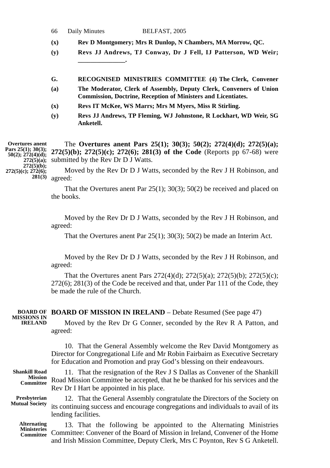| 66 | Daily Minutes | BELFAST, 2005 |
|----|---------------|---------------|
|----|---------------|---------------|

- **(x) Rev D Montgomery; Mrs R Dunlop, N Chambers, MA Morrow, QC.**
- **(y) Revs JJ Andrews, TJ Conway, Dr J Fell, IJ Patterson, WD Weir; \_\_\_\_\_\_\_\_\_\_\_\_\_\_\_.**
- **G. RECOGNISED MINISTRIES COMMITTEE (4) The Clerk, Convener**
- **(a) The Moderator, Clerk of Assembly, Deputy Clerk, Conveners of Union Commission, Doctrine, Reception of Ministers and Licentiates.**
- **(x) Revs IT McKee, WS Marrs; Mrs M Myers, Miss R Stirling.**
- **(y) Revs JJ Andrews, TP Fleming, WJ Johnstone, R Lockhart, WD Weir, SG Anketell.**

The **Overtures anent Pars 25(1); 30(3); 50(2); 272(4)(d); 272(5)(a); 272(5)(b); 272(5)(c); 272(6); 281(3) of the Code** (Reports pp 67-68) were submitted by the Rev Dr D J Watts. **Overtures anent Pars 25(1); 30(3); 50(2); 272(4)(d); 272(5)(a); 272(5)(b);**

Moved by the Rev Dr D J Watts, seconded by the Rev J H Robinson, and agreed: **272(5)(c); 272(6); 281(3)**

> That the Overtures anent Par 25(1); 30(3); 50(2) be received and placed on the books.

> Moved by the Rev Dr D J Watts, seconded by the Rev J H Robinson, and agreed:

That the Overtures anent Par 25(1); 30(3); 50(2) be made an Interim Act.

Moved by the Rev Dr D J Watts, seconded by the Rev J H Robinson, and agreed:

That the Overtures anent Pars 272(4)(d); 272(5)(a); 272(5)(b); 272(5)(c); 272(6); 281(3) of the Code be received and that, under Par 111 of the Code, they be made the rule of the Church.

**BOARD OF MISSION IN IRELAND** – Debate Resumed (See page 47) **BOARD OF** Moved by the Rev Dr G Conner, seconded by the Rev R A Patton, and agreed: **MISSIONS IN IRELAND**

> 10. That the General Assembly welcome the Rev David Montgomery as Director for Congregational Life and Mr Robin Fairbairn as Executive Secretary for Education and Promotion and pray God's blessing on their endeavours.

11. That the resignation of the Rev J S Dallas as Convener of the Shankill Road Mission Committee be accepted, that he be thanked for his services and the Rev Dr I Hart be appointed in his place. **Shankill Road Mission Committee**

**Presbyterian Mutual Society**

12. That the General Assembly congratulate the Directors of the Society on its continuing success and encourage congregations and individuals to avail of its lending facilities.

13. That the following be appointed to the Alternating Ministries Committee: Convener of the Board of Mission in Ireland, Convener of the Home and Irish Mission Committee, Deputy Clerk, Mrs C Poynton, Rev S G Anketell. **Alternating Ministeries Committee**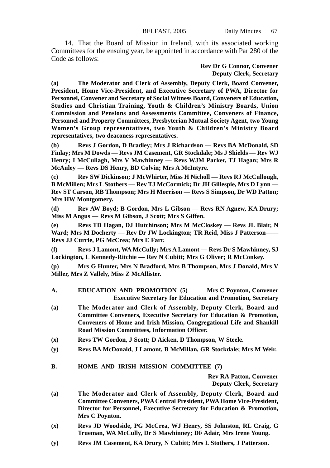14. That the Board of Mission in Ireland, with its associated working Committees for the ensuing year, be appointed in accordance with Par 280 of the Code as follows:

### **Rev Dr G Connor, Convener Deputy Clerk, Secretary**

**(a) The Moderator and Clerk of Assembly, Deputy Clerk, Board Convener, President, Home Vice-President, and Executive Secretary of PWA, Director for Personnel, Convener and Secretary of Social Witness Board, Conveners of Education, Studies and Christian Training, Youth & Children's Ministry Boards, Union Commission and Pensions and Assessments Committee, Conveners of Finance, Personnel and Property Committees, Presbyterian Mutual Society Agent, two Young Women's Group representatives, two Youth & Children's Ministry Board representatives, two deaconess representatives.**

**(b) Revs J Gordon, D Bradley; Mrs J Richardson — Revs BA McDonald, SD Finlay; Mrs M Dowds — Revs JM Casement, GR Stockdale; Ms J Shields — Rev WJ Henry; I McCullagh, Mrs V Mawhinney — Revs WJM Parker, TJ Hagan; Mrs R McAuley — Revs DS Henry, BD Colvin; Mrs A McIntyre.**

**(c) Rev SW Dickinson; J McWhirter, Miss H Nicholl — Revs RJ McCullough, B McMillen; Mrs L Stothers — Rev TJ McCormick; Dr JH Gillespie, Mrs D Lynn — Rev ST Carson, RB Thompson; Mrs H Morrison — Revs S Simpson, Dr WD Patton; Mrs HW Montgomery.**

**(d) Rev AW Boyd; B Gordon, Mrs L Gibson — Revs RN Agnew, KA Drury; Miss M Angus — Revs M Gibson, J Scott; Mrs S Giffen.**

**(e) Revs TD Hagan, DJ Hutchinson; Mrs M McCloskey — Revs JL Blair, N Ward; Mrs M Docherty — Rev Dr JW Lockington; TR Reid, Miss J Patterson—— Revs JJ Currie, PG McCrea; Mrs E Farr.**

**(f) Revs J Lamont, WA McCully; Mrs A Lamont — Revs Dr S Mawhinney, SJ Lockington, L Kennedy-Ritchie — Rev N Cubitt; Mrs G Oliver; R McConkey.**

**(p) Mrs G Hunter, Mrs N Bradford, Mrs B Thompson, Mrs J Donald, Mrs V Miller, Mrs Z Vallely, Miss Z McAllister.**

- **A. EDUCATION AND PROMOTION (5) Mrs C Poynton, Convener Executive Secretary for Education and Promotion, Secretary**
- **(a) The Moderator and Clerk of Assembly, Deputy Clerk, Board and Committee Conveners, Executive Secretary for Education & Promotion, Conveners of Home and Irish Mission, Congregational Life and Shankill Road Mission Committees, Information Officer.**
- **(x) Revs TW Gordon, J Scott; D Aicken, D Thompson, W Steele.**
- **(y) Revs BA McDonald, J Lamont, B McMillan, GR Stockdale; Mrs M Weir.**

## **B. HOME AND IRISH MISSION COMMITTEE (7)**

**Rev RA Patton, Convener Deputy Clerk, Secretary**

- **(a) The Moderator and Clerk of Assembly, Deputy Clerk, Board and Committee Conveners, PWA Central President, PWA Home Vice-President, Director for Personnel, Executive Secretary for Education & Promotion, Mrs C Poynton.**
- **(x) Revs JD Woodside, PG McCrea, WJ Henry, SS Johnston, RL Craig, G Trueman, WA McCully, Dr S Mawhinney; DF Adair, Mrs Irene Young.**
- **(y) Revs JM Casement, KA Drury, N Cubitt; Mrs L Stothers, J Patterson.**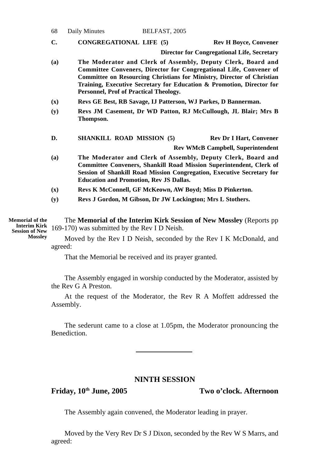| 68             | Daily Minutes                                  | BELFAST, 2005 |                                                                                                                                                                                                                                                                                                     |
|----------------|------------------------------------------------|---------------|-----------------------------------------------------------------------------------------------------------------------------------------------------------------------------------------------------------------------------------------------------------------------------------------------------|
| C.             | <b>CONGREGATIONAL LIFE (5)</b>                 |               | <b>Rev H Boyce, Convener</b>                                                                                                                                                                                                                                                                        |
|                |                                                |               | <b>Director for Congregational Life, Secretary</b>                                                                                                                                                                                                                                                  |
| (a)            | Personnel, Prof of Practical Theology.         |               | The Moderator and Clerk of Assembly, Deputy Clerk, Board and<br><b>Committee Conveners, Director for Congregational Life, Convener of</b><br><b>Committee on Resourcing Christians for Ministry, Director of Christian</b><br>Training, Executive Secretary for Education & Promotion, Director for |
| $(\mathbf{x})$ |                                                |               | Revs GE Best, RB Savage, IJ Patterson, WJ Parkes, D Bannerman.                                                                                                                                                                                                                                      |
| (y)            | Thompson.                                      |               | Revs JM Casement, Dr WD Patton, RJ McCullough, JL Blair; Mrs B                                                                                                                                                                                                                                      |
| D.             | <b>SHANKILL ROAD MISSION (5)</b>               |               | <b>Rev Dr I Hart, Convener</b><br><b>Rev WMcB Campbell, Superintendent</b>                                                                                                                                                                                                                          |
|                |                                                |               |                                                                                                                                                                                                                                                                                                     |
| (a)            | <b>Education and Promotion, Rev JS Dallas.</b> |               | The Moderator and Clerk of Assembly, Deputy Clerk, Board and<br><b>Committee Conveners, Shankill Road Mission Superintendent, Clerk of</b><br>Session of Shankill Road Mission Congregation, Executive Secretary for                                                                                |
| (x)            |                                                |               | Revs K McConnell, GF McKeown, AW Boyd; Miss D Pinkerton.                                                                                                                                                                                                                                            |
| (y)            |                                                |               | Revs J Gordon, M Gibson, Dr JW Lockington; Mrs L Stothers.                                                                                                                                                                                                                                          |

The **Memorial of the Interim Kirk Session of New Mossley** (Reports pp **Interim Kirk** 169-170) was submitted by the Rev I D Neish. **Memorial of the Mossley**

Moved by the Rev I D Neish, seconded by the Rev I K McDonald, and agreed:

That the Memorial be received and its prayer granted.

The Assembly engaged in worship conducted by the Moderator, assisted by the Rev G A Preston.

At the request of the Moderator, the Rev R A Moffett addressed the Assembly.

The sederunt came to a close at 1.05pm, the Moderator pronouncing the Benediction.

# **NINTH SESSION**

**Friday, 10th June, 2005 Two o'clock. Afternoon**

The Assembly again convened, the Moderator leading in prayer.

Moved by the Very Rev Dr S J Dixon, seconded by the Rev W S Marrs, and agreed: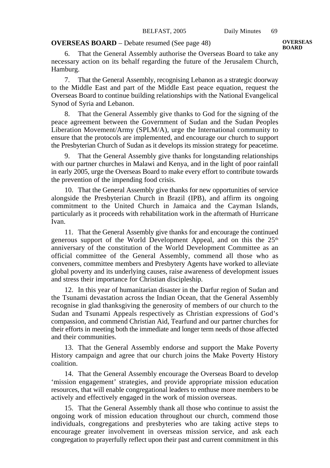## **OVERSEAS BOARD** – Debate resumed (See page 48)

6. That the General Assembly authorise the Overseas Board to take any necessary action on its behalf regarding the future of the Jerusalem Church, Hamburg.

7. That the General Assembly, recognising Lebanon as a strategic doorway to the Middle East and part of the Middle East peace equation, request the Overseas Board to continue building relationships with the National Evangelical Synod of Syria and Lebanon.

8. That the General Assembly give thanks to God for the signing of the peace agreement between the Government of Sudan and the Sudan Peoples Liberation Movement/Army (SPLM/A), urge the International community to ensure that the protocols are implemented, and encourage our church to support the Presbyterian Church of Sudan as it develops its mission strategy for peacetime.

9. That the General Assembly give thanks for longstanding relationships with our partner churches in Malawi and Kenya, and in the light of poor rainfall in early 2005, urge the Overseas Board to make every effort to contribute towards the prevention of the impending food crisis.

10. That the General Assembly give thanks for new opportunities of service alongside the Presbyterian Church in Brazil (IPB), and affirm its ongoing commitment to the United Church in Jamaica and the Cayman Islands, particularly as it proceeds with rehabilitation work in the aftermath of Hurricane Ivan.

11. That the General Assembly give thanks for and encourage the continued generous support of the World Development Appeal, and on this the  $25<sup>th</sup>$ anniversary of the constitution of the World Development Committee as an official committee of the General Assembly, commend all those who as conveners, committee members and Presbytery Agents have worked to alleviate global poverty and its underlying causes, raise awareness of development issues and stress their importance for Christian discipleship.

12. In this year of humanitarian disaster in the Darfur region of Sudan and the Tsunami devastation across the Indian Ocean, that the General Assembly recognise in glad thanksgiving the generosity of members of our church to the Sudan and Tsunami Appeals respectively as Christian expressions of God's compassion, and commend Christian Aid, Tearfund and our partner churches for their efforts in meeting both the immediate and longer term needs of those affected and their communities.

13. That the General Assembly endorse and support the Make Poverty History campaign and agree that our church joins the Make Poverty History coalition.

14. That the General Assembly encourage the Overseas Board to develop 'mission engagement' strategies, and provide appropriate mission education resources, that will enable congregational leaders to enthuse more members to be actively and effectively engaged in the work of mission overseas.

15. That the General Assembly thank all those who continue to assist the ongoing work of mission education throughout our church, commend those individuals, congregations and presbyteries who are taking active steps to encourage greater involvement in overseas mission service, and ask each congregation to prayerfully reflect upon their past and current commitment in this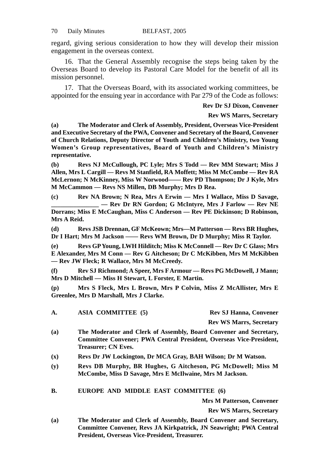regard, giving serious consideration to how they will develop their mission engagement in the overseas context.

16. That the General Assembly recognise the steps being taken by the Overseas Board to develop its Pastoral Care Model for the benefit of all its mission personnel.

17. That the Overseas Board, with its associated working committees, be appointed for the ensuing year in accordance with Par 279 of the Code as follows:

**Rev Dr SJ Dixon, Convener**

#### **Rev WS Marrs, Secretary**

**(a) The Moderator and Clerk of Assembly, President, Overseas Vice-President and Executive Secretary of the PWA, Convener and Secretary of the Board, Convener of Church Relations, Deputy Director of Youth and Children's Ministry, two Young Women's Group representatives, Board of Youth and Children's Ministry representative.**

**(b) Revs NJ McCullough, PC Lyle; Mrs S Todd — Rev MM Stewart; Miss J Allen, Mrs L Cargill — Revs M Stanfield, RA Moffett; Miss M McCombe — Rev RA McLernon; N McKinney, Miss W Norwood—— Rev PD Thompson; Dr J Kyle, Mrs M McCammon — Revs NS Millen, DB Murphy; Mrs D Rea.**

**(c) Rev NA Brown; N Rea, Mrs A Erwin — Mrs I Wallace, Miss D Savage, \_\_\_\_\_\_\_\_\_\_\_\_\_\_\_ — Rev Dr RN Gordon; G McIntyre, Mrs J Farlow — Rev NE Dorrans; Miss E McCaughan, Miss C Anderson — Rev PE Dickinson; D Robinson, Mrs A Reid.**

**(d) Revs JSB Drennan, GF McKeown; Mrs—M Patterson — Revs BR Hughes, Dr I Hart; Mrs M Jackson —— Revs WM Brown, Dr D Murphy; Miss R Taylor.**

**(e) Revs GP Young, LWH Hilditch; Miss K McConnell — Rev Dr C Glass; Mrs E Alexander, Mrs M Conn — Rev G Aitcheson; Dr C McKibben, Mrs M McKibben — Rev JW Fleck; R Wallace, Mrs M McCreedy.**

**(f) Rev SJ Richmond; A Speer, Mrs F Armour — Revs PG McDowell, J Mann; Mrs D Mitchell — Miss H Stewart, L Forster, E Martin.**

**(p) Mrs S Fleck, Mrs L Brown, Mrs P Colvin, Miss Z McAllister, Mrs E Greenlee, Mrs D Marshall, Mrs J Clarke.**

**A. ASIA COMMITTEE (5) Rev SJ Hanna, Convener**

**Rev WS Marrs, Secretary**

- **(a) The Moderator and Clerk of Assembly, Board Convener and Secretary, Committee Convener; PWA Central President, Overseas Vice-President, Treasurer; CN Eves.**
- **(x) Revs Dr JW Lockington, Dr MCA Gray, BAH Wilson; Dr M Watson.**
- **(y) Revs DB Murphy, BR Hughes, G Aitcheson, PG McDowell; Miss M McCombe, Miss D Savage, Mrs E McIlwaine, Mrs M Jackson.**

**B. EUROPE AND MIDDLE EAST COMMITTEE (6)**

**Mrs M Patterson, Convener**

**Rev WS Marrs, Secretary**

**(a) The Moderator and Clerk of Assembly, Board Convener and Secretary, Committee Convener, Revs JA Kirkpatrick, JN Seawright; PWA Central President, Overseas Vice-President, Treasurer.**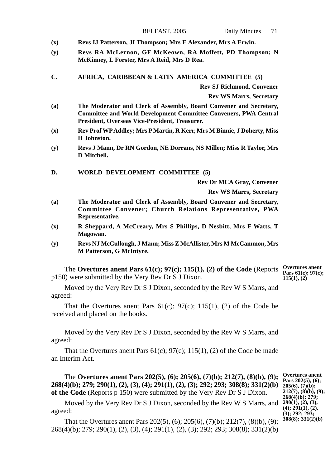| $(\mathbf{x})$ | Revs IJ Patterson, JI Thompson; Mrs E Alexander, Mrs A Erwin.                                                                                                                                   |                                                             |
|----------------|-------------------------------------------------------------------------------------------------------------------------------------------------------------------------------------------------|-------------------------------------------------------------|
| (y)            | Revs RA McLernon, GF McKeown, RA Moffett, PD Thompson; N<br>McKinney, L Forster, Mrs A Reid, Mrs D Rea.                                                                                         |                                                             |
| C.             | AFRICA, CARIBBEAN & LATIN AMERICA COMMITTEE (5)                                                                                                                                                 |                                                             |
|                | <b>Rev SJ Richmond, Convener</b>                                                                                                                                                                |                                                             |
|                | <b>Rev WS Marrs, Secretary</b>                                                                                                                                                                  |                                                             |
| (a)            | The Moderator and Clerk of Assembly, Board Convener and Secretary,<br><b>Committee and World Development Committee Conveners, PWA Central</b><br>President, Overseas Vice-President, Treasurer. |                                                             |
| $(\mathbf{x})$ | Rev Prof WP Addley; Mrs P Martin, R Kerr, Mrs M Binnie, J Doherty, Miss<br>H Johnston.                                                                                                          |                                                             |
| (y)            | Revs J Mann, Dr RN Gordon, NE Dorrans, NS Millen; Miss R Taylor, Mrs<br>D Mitchell.                                                                                                             |                                                             |
| D.             | WORLD DEVELOPMENT COMMITTEE (5)                                                                                                                                                                 |                                                             |
|                | <b>Rev Dr MCA Gray, Convener</b>                                                                                                                                                                |                                                             |
|                | <b>Rev WS Marrs, Secretary</b>                                                                                                                                                                  |                                                             |
| (a)            | The Moderator and Clerk of Assembly, Board Convener and Secretary,<br>Committee Convener; Church Relations Representative, PWA<br>Representative.                                               |                                                             |
| $(\mathbf{x})$ | R Sheppard, A McCreary, Mrs S Phillips, D Nesbitt, Mrs F Watts, T<br>Magowan.                                                                                                                   |                                                             |
| (y)            | Revs NJ McCullough, J Mann; Miss Z McAllister, Mrs M McCammon, Mrs<br>M Patterson, G McIntyre.                                                                                                  |                                                             |
|                | The Overtures anent Pars $61(c)$ ; $97(c)$ ; $115(1)$ , $(2)$ of the Code (Reports<br>p150) were submitted by the Very Rev Dr S J Dixon.                                                        | <b>Overtures</b> anent<br>Pars 61(c); 97(c);<br>115(1), (2) |
|                | Moved by the Very Rev Dr S J Dixon, seconded by the Rev W S Marrs, and                                                                                                                          |                                                             |

BELFAST, 2005 Daily Minutes 71

agreed: That the Overtures anent Pars  $61(c)$ ;  $97(c)$ ;  $115(1)$ ,  $(2)$  of the Code be

received and placed on the books.

Moved by the Very Rev Dr S J Dixon, seconded by the Rev W S Marrs, and agreed:

That the Overtures anent Pars  $61(c)$ ;  $97(c)$ ;  $115(1)$ ,  $(2)$  of the Code be made an Interim Act.

The **Overtures anent Pars 202(5), (6); 205(6), (7)(b); 212(7), (8)(b), (9); 268(4)(b); 279; 290(1), (2), (3), (4); 291(1), (2), (3); 292; 293; 308(8); 331(2)(b) of the Code** (Reports p 150) were submitted by the Very Rev Dr S J Dixon.

Moved by the Very Rev Dr S J Dixon, seconded by the Rev W S Marrs, and  $290(1)$ , (2), (3),<br>
(4);  $291(1)$ , (2), agreed:

That the Overtures anent Pars 202(5), (6); 205(6), (7)(b); 212(7), (8)(b), (9); 268(4)(b); 279; 290(1), (2), (3), (4); 291(1), (2), (3); 292; 293; 308(8); 331(2)(b)

**Overtures anent Pars 202(5), (6); 205(6), (7)(b); 212(7), (8)(b), (9); 268(4)(b); 279; (3); 292; 293; 308(8); 331(2)(b)**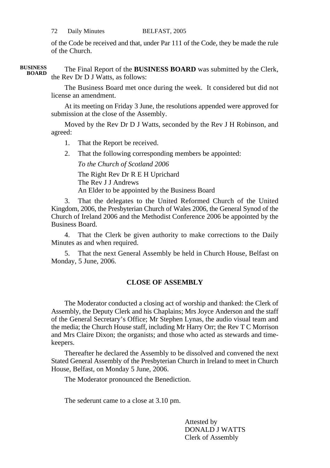of the Code be received and that, under Par 111 of the Code, they be made the rule of the Church.

The Final Report of the **BUSINESS BOARD** was submitted by the Clerk, the Rev Dr D J Watts, as follows: **BUSINESS BOARD**

> The Business Board met once during the week. It considered but did not license an amendment.

> At its meeting on Friday 3 June, the resolutions appended were approved for submission at the close of the Assembly.

> Moved by the Rev Dr D J Watts, seconded by the Rev J H Robinson, and agreed:

1. That the Report be received.

2. That the following corresponding members be appointed:

*To the Church of Scotland 2006*

The Right Rev Dr R E H Uprichard The Rev J J Andrews An Elder to be appointed by the Business Board

3. That the delegates to the United Reformed Church of the United Kingdom, 2006, the Presbyterian Church of Wales 2006, the General Synod of the Church of Ireland 2006 and the Methodist Conference 2006 be appointed by the Business Board.

4. That the Clerk be given authority to make corrections to the Daily Minutes as and when required.

5. That the next General Assembly be held in Church House, Belfast on Monday, 5 June, 2006.

## **CLOSE OF ASSEMBLY**

The Moderator conducted a closing act of worship and thanked: the Clerk of Assembly, the Deputy Clerk and his Chaplains; Mrs Joyce Anderson and the staff of the General Secretary's Office; Mr Stephen Lynas, the audio visual team and the media; the Church House staff, including Mr Harry Orr; the Rev T C Morrison and Mrs Claire Dixon; the organists; and those who acted as stewards and timekeepers.

Thereafter he declared the Assembly to be dissolved and convened the next Stated General Assembly of the Presbyterian Church in Ireland to meet in Church House, Belfast, on Monday 5 June, 2006.

The Moderator pronounced the Benediction.

The sederunt came to a close at 3.10 pm.

Attested by DONALD J WATTS Clerk of Assembly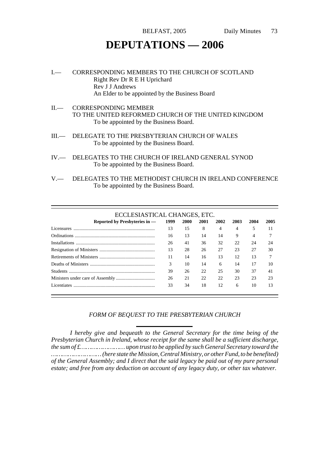# **DEPUTATIONS — 2006**

- I.— CORRESPONDING MEMBERS TO THE CHURCH OF SCOTLAND Right Rev Dr R E H Uprichard Rev J J Andrews An Elder to be appointed by the Business Board
- II.— CORRESPONDING MEMBER TO THE UNITED REFORMED CHURCH OF THE UNITED KINGDOM To be appointed by the Business Board.
- III.— DELEGATE TO THE PRESBYTERIAN CHURCH OF WALES To be appointed by the Business Board.
- IV.— DELEGATES TO THE CHURCH OF IRELAND GENERAL SYNOD To be appointed by the Business Board.
- V.— DELEGATES TO THE METHODIST CHURCH IN IRELAND CONFERENCE To be appointed by the Business Board.

| ECCLESIASTICAL CHANGES, ETC.  |      |      |      |      |      |      |      |
|-------------------------------|------|------|------|------|------|------|------|
| Reported by Presbyteries in - | 1999 | 2000 | 2001 | 2002 | 2003 | 2004 | 2005 |
| Licensures                    | 13   | 15   | 8    | 4    | 4    | 5    | 11   |
|                               | 16   | 13   | 14   | 14   | 9    | 4    |      |
|                               | 26   | 41   | 36   | 32   | 22   | 24   | 24   |
|                               | 13   | 28   | 26   | 27   | 23   | 27   | 30   |
|                               | 11   | 14   | 16   | 13   | 12   | 13   |      |
|                               | 3    | 10   | 14   | 6    | 14   | 17   | 10   |
|                               | 39   | 26   | 22   | 25   | 30   | 37   | 41   |
|                               | 26   | 21   | 22   | 22   | 23   | 23   | 23   |
| <b>Licentiates</b>            | 33   | 34   | 18   | 12   | 6    | 10   | 13   |

#### *FORM OF BEQUEST TO THE PRESBYTERIAN CHURCH*

*I hereby give and bequeath to the General Secretary for the time being of the Presbyterian Church in Ireland, whose receipt for the same shall be a sufficient discharge, the sum of £…………………… upon trust to be applied by such General Secretary toward the ……………………… (here state the Mission, Central Ministry, or other Fund, to be benefited) of the General Assembly; and I direct that the said legacy be paid out of my pure personal estate; and free from any deduction on account of any legacy duty, or other tax whatever.*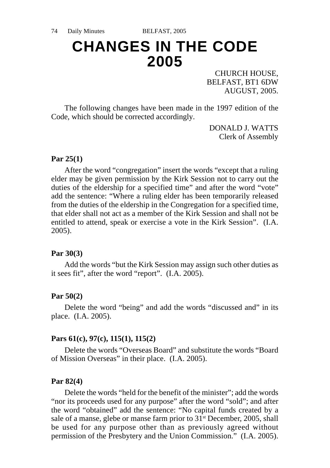# **CHANGES IN THE CODE 2005**

CHURCH HOUSE, BELFAST, BT1 6DW AUGUST, 2005.

The following changes have been made in the 1997 edition of the Code, which should be corrected accordingly.

> DONALD J. WATTS Clerk of Assembly

## **Par 25(1)**

After the word "congregation" insert the words "except that a ruling elder may be given permission by the Kirk Session not to carry out the duties of the eldership for a specified time" and after the word "vote" add the sentence: "Where a ruling elder has been temporarily released from the duties of the eldership in the Congregation for a specified time, that elder shall not act as a member of the Kirk Session and shall not be entitled to attend, speak or exercise a vote in the Kirk Session". (I.A. 2005).

## **Par 30(3)**

Add the words "but the Kirk Session may assign such other duties as it sees fit", after the word "report". (I.A. 2005).

## **Par 50(2)**

Delete the word "being" and add the words "discussed and" in its place. (I.A. 2005).

## **Pars 61(c), 97(c), 115(1), 115(2)**

Delete the words "Overseas Board" and substitute the words "Board of Mission Overseas" in their place. (I.A. 2005).

## **Par 82(4)**

Delete the words "held for the benefit of the minister"; add the words "nor its proceeds used for any purpose" after the word "sold"; and after the word "obtained" add the sentence: "No capital funds created by a sale of a manse, glebe or manse farm prior to 31<sup>st</sup> December, 2005, shall be used for any purpose other than as previously agreed without permission of the Presbytery and the Union Commission." (I.A. 2005).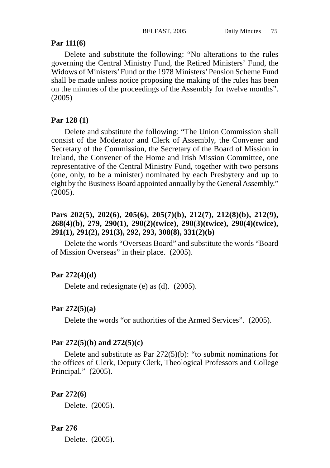## **Par 111(6)**

Delete and substitute the following: "No alterations to the rules governing the Central Ministry Fund, the Retired Ministers' Fund, the Widows of Ministers' Fund or the 1978 Ministers' Pension Scheme Fund shall be made unless notice proposing the making of the rules has been on the minutes of the proceedings of the Assembly for twelve months". (2005)

## **Par 128 (1)**

Delete and substitute the following: "The Union Commission shall consist of the Moderator and Clerk of Assembly, the Convener and Secretary of the Commission, the Secretary of the Board of Mission in Ireland, the Convener of the Home and Irish Mission Committee, one representative of the Central Ministry Fund, together with two persons (one, only, to be a minister) nominated by each Presbytery and up to eight by the Business Board appointed annually by the General Assembly."  $(2005)$ .

## **Pars 202(5), 202(6), 205(6), 205(7)(b), 212(7), 212(8)(b), 212(9), 268(4)(b), 279, 290(1), 290(2)(twice), 290(3)(twice), 290(4)(twice), 291(1), 291(2), 291(3), 292, 293, 308(8), 331(2)(b)**

Delete the words "Overseas Board" and substitute the words "Board of Mission Overseas" in their place. (2005).

## **Par 272(4)(d)**

Delete and redesignate (e) as (d). (2005).

## **Par 272(5)(a)**

Delete the words "or authorities of the Armed Services". (2005).

## **Par 272(5)(b) and 272(5)(c)**

Delete and substitute as Par 272(5)(b): "to submit nominations for the offices of Clerk, Deputy Clerk, Theological Professors and College Principal." (2005).

## **Par 272(6)**

Delete. (2005).

## **Par 276**

Delete. (2005).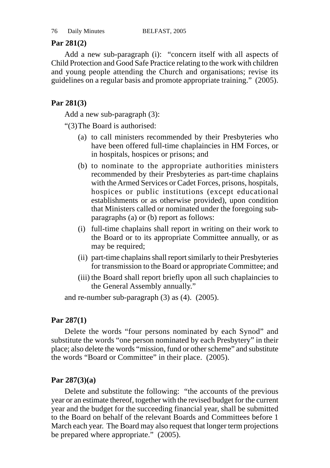# **Par 281(2)**

Add a new sub-paragraph (i): "concern itself with all aspects of Child Protection and Good Safe Practice relating to the work with children and young people attending the Church and organisations; revise its guidelines on a regular basis and promote appropriate training." (2005).

# **Par 281(3)**

Add a new sub-paragraph (3):

"(3)The Board is authorised:

- (a) to call ministers recommended by their Presbyteries who have been offered full-time chaplaincies in HM Forces, or in hospitals, hospices or prisons; and
- (b) to nominate to the appropriate authorities ministers recommended by their Presbyteries as part-time chaplains with the Armed Services or Cadet Forces, prisons, hospitals, hospices or public institutions (except educational establishments or as otherwise provided), upon condition that Ministers called or nominated under the foregoing subparagraphs (a) or (b) report as follows:
- (i) full-time chaplains shall report in writing on their work to the Board or to its appropriate Committee annually, or as may be required;
- (ii) part-time chaplains shall report similarly to their Presbyteries for transmission to the Board or appropriate Committee; and
- (iii) the Board shall report briefly upon all such chaplaincies to the General Assembly annually."

and re-number sub-paragraph (3) as (4). (2005).

# **Par 287(1)**

Delete the words "four persons nominated by each Synod" and substitute the words "one person nominated by each Presbytery" in their place; also delete the words "mission, fund or other scheme" and substitute the words "Board or Committee" in their place. (2005).

# **Par 287(3)(a)**

Delete and substitute the following: "the accounts of the previous year or an estimate thereof, together with the revised budget for the current year and the budget for the succeeding financial year, shall be submitted to the Board on behalf of the relevant Boards and Committees before 1 March each year. The Board may also request that longer term projections be prepared where appropriate." (2005).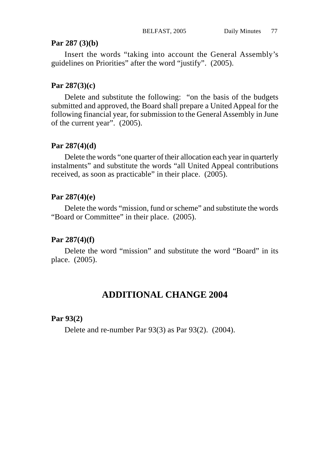## **Par 287 (3)(b)**

Insert the words "taking into account the General Assembly's guidelines on Priorities" after the word "justify". (2005).

## **Par 287(3)(c)**

Delete and substitute the following: "on the basis of the budgets submitted and approved, the Board shall prepare a United Appeal for the following financial year, for submission to the General Assembly in June of the current year". (2005).

#### **Par 287(4)(d)**

Delete the words "one quarter of their allocation each year in quarterly instalments" and substitute the words "all United Appeal contributions received, as soon as practicable" in their place. (2005).

## **Par 287(4)(e)**

Delete the words "mission, fund or scheme" and substitute the words "Board or Committee" in their place. (2005).

## **Par 287(4)(f)**

Delete the word "mission" and substitute the word "Board" in its place. (2005).

# **ADDITIONAL CHANGE 2004**

## **Par 93(2)**

Delete and re-number Par 93(3) as Par 93(2). (2004).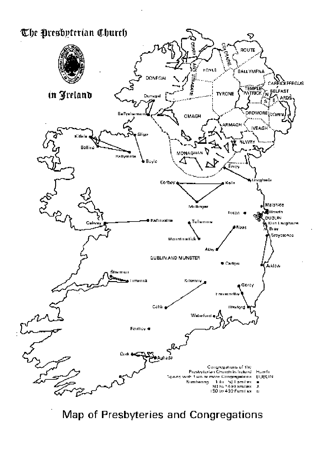

Map of Presbyteries and Congregations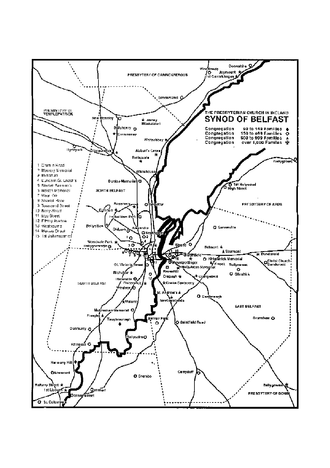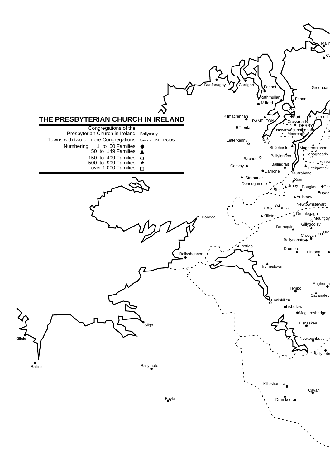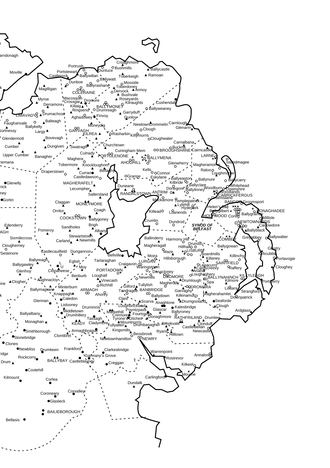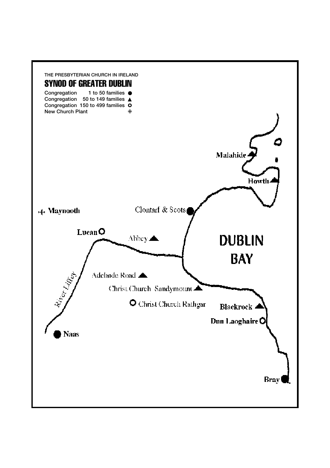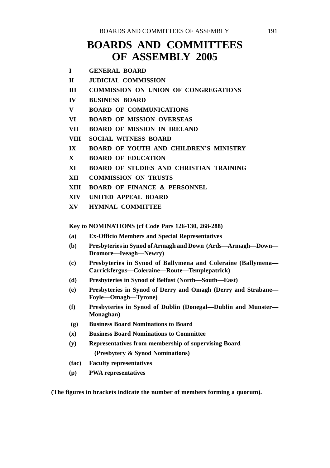# **BOARDS AND COMMITTEES OF ASSEMBLY 2005**

| <b>GENERAL BOARD</b> |
|----------------------|
|                      |

- **II JUDICIAL COMMISSION**
- **III COMMISSION ON UNION OF CONGREGATIONS**
- **IV BUSINESS BOARD**
- **V BOARD OF COMMUNICATIONS**
- **VI BOARD OF MISSION OVERSEAS**
- **VII BOARD OF MISSION IN IRELAND**
- **VIII SOCIAL WITNESS BOARD**
- **IX BOARD OF YOUTH AND CHILDREN'S MINISTRY**
- **X BOARD OF EDUCATION**
- **XI BOARD OF STUDIES AND CHRISTIAN TRAINING**
- **XII COMMISSION ON TRUSTS**
- **XIII BOARD OF FINANCE & PERSONNEL**
- **XIV UNITED APPEAL BOARD**
- **XV HYMNAL COMMITTEE**

**Key to NOMINATIONS (cf Code Pars 126-130, 268-288)**

- **(a) Ex-Officio Members and Special Representatives**
- **(b) Presbyteries in Synod of Armagh and Down (Ards—Armagh—Down— Dromore—Iveagh—Newry)**
- **(c) Presbyteries in Synod of Ballymena and Coleraine (Ballymena— Carrickfergus—Coleraine—Route—Templepatrick)**
- **(d) Presbyteries in Synod of Belfast (North—South—East)**
- **(e) Presbyteries in Synod of Derry and Omagh (Derry and Strabane— Foyle—Omagh—Tyrone)**
- **(f) Presbyteries in Synod of Dublin (Donegal—Dublin and Munster— Monaghan)**
- **(g) Business Board Nominations to Board**
- **(x) Business Board Nominations to Committee**
- **(y) Representatives from membership of supervising Board (Presbytery & Synod Nominations)**
- **(fac) Faculty representatives**
- **(p) PWA representatives**

**(The figures in brackets indicate the number of members forming a quorum).**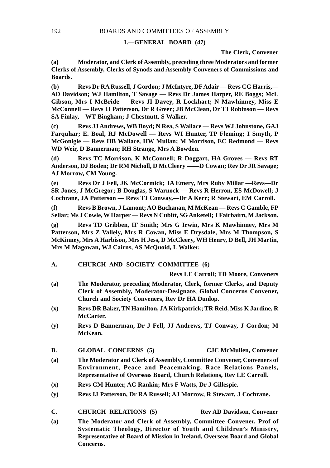#### **I.—GENERAL BOARD (47)**

**The Clerk, Convener**

**(a) Moderator, and Clerk of Assembly, preceding three Moderators and former Clerks of Assembly, Clerks of Synods and Assembly Conveners of Commissions and Boards.**

**(b) Revs Dr RA Russell, J Gordon; J McIntyre, DF Adair — Revs CG Harris,— AD Davidson; WJ Hamilton, T Savage — Revs Dr James Harper, RE Boggs; McL Gibson, Mrs I McBride — Revs JI Davey, R Lockhart; N Mawhinney, Miss E McConnell — Revs IJ Patterson, Dr R Greer; JB McClean, Dr TJ Robinson — Revs SA Finlay,—WT Bingham; J Chestnutt, S Walker.**

**(c) Revs JJ Andrews, WB Boyd; N Rea, S Wallace — Revs WJ Johnstone, GAJ Farquhar; E. Boal, RJ McDowell — Revs WI Hunter, TP Fleming; I Smyth, P McGonigle — Revs HB Wallace, HW Mullan; M Morrison, EC Redmond — Revs WD Weir, D Bannerman; RH Strange, Mrs A Bowden.**

**(d) Revs TC Morrison, K McConnell; R Doggart, HA Groves — Revs RT Anderson, DJ Boden; Dr RM Nicholl, D McCleery ——D Cowan; Rev Dr JR Savage; AJ Morrow, CM Young.**

**(e) Revs Dr J Fell, JK McCormick; JA Emery, Mrs Ruby Millar —Revs—Dr SR Jones, J McGregor; B Douglas, S Warnock — Revs R Herron, ES McDowell; J Cochrane, JA Patterson — Revs TJ Conway,—Dr A Kerr; R Stewart, EM Carroll.**

**(f) Revs B Brown, J Lamont; AO Buchanan, M McKean — Revs C Gamble, FP Sellar; Ms J Cowle, W Harper — Revs N Cubitt, SG Anketell; J Fairbairn, M Jackson.**

**(g) Revs TD Gribben, IF Smith; Mrs G Irwin, Mrs K Mawhinney, Mrs M Patterson, Mrs Z Vallely, Mrs R Cowan, Miss E Drysdale, Mrs M Thompson, S McKinney, Mrs A Harbison, Mrs H Jess, D McCleery, WH Henry, D Bell, JH Martin, Mrs M Magowan, WJ Cairns, AS McQuoid, L Walker.**

**A. CHURCH AND SOCIETY COMMITTEE (6)**

**Revs LE Carroll; TD Moore, Conveners**

- **(a) The Moderator, preceding Moderator, Clerk, former Clerks, and Deputy Clerk of Assembly, Moderator-Designate, Global Concerns Convener, Church and Society Conveners, Rev Dr HA Dunlop.**
- **(x) Revs DR Baker, TN Hamilton, JA Kirkpatrick; TR Reid, Miss K Jardine, R McCarter.**
- **(y) Revs D Bannerman, Dr J Fell, JJ Andrews, TJ Conway, J Gordon; M McKean.**
- **B. GLOBAL CONCERNS (5) CJC McMullen, Convener**
- **(a) The Moderator and Clerk of Assembly, Committee Convener, Conveners of Environment, Peace and Peacemaking, Race Relations Panels, Representative of Overseas Board, Church Relations, Rev LE Carroll.**
- **(x) Revs CM Hunter, AC Rankin; Mrs F Watts, Dr J Gillespie.**
- **(y) Revs IJ Patterson, Dr RA Russell; AJ Morrow, R Stewart, J Cochrane.**
- **C. CHURCH RELATIONS (5) Rev AD Davidson, Convener**
- **(a) The Moderator and Clerk of Assembly, Committee Convener, Prof of Systematic Theology, Director of Youth and Children's Ministry, Representative of Board of Mission in Ireland, Overseas Board and Global Concerns.**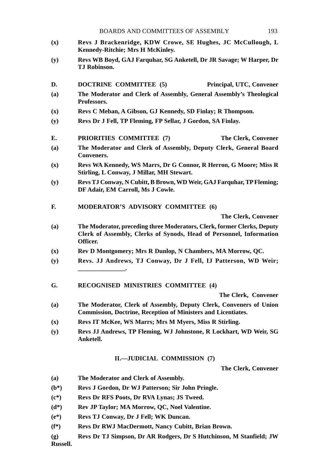- **(x) Revs J Brackenridge, KDW Crowe, SE Hughes, JC McCullough, L Kennedy-Ritchie; Mrs H McKinley.**
- **(y) Revs WB Boyd, GAJ Farquhar, SG Anketell, Dr JR Savage; W Harper, Dr TJ Robinson.**
- **D. DOCTRINE COMMITTEE (5) Principal, UTC, Convener**
- **(a) The Moderator and Clerk of Assembly, General Assembly's Theological Professors.**
- **(x) Revs C Meban, A Gibson, GJ Kennedy, SD Finlay; R Thompson.**
- **(y) Revs Dr J Fell, TP Fleming, FP Sellar, J Gordon, SA Finlay.**
- **E. PRIORITIES COMMITTEE (7) The Clerk, Convener**
- **(a) The Moderator and Clerk of Assembly, Deputy Clerk, General Board Conveners.**
- **(x) Revs WA Kennedy, WS Marrs, Dr G Connor, R Herron, G Moore; Miss R Stirling, L Conway, J Millar, MH Stewart.**
- **(y) Revs TJ Conway, N Cubitt, B Brown, WD Weir, GAJ Farquhar, TP Fleming; DF Adair, EM Carroll, Ms J Cowle.**
- **F. MODERATOR'S ADVISORY COMMITTEE (6)**

**The Clerk, Convener**

- **(a) The Moderator, preceding three Moderators, Clerk, former Clerks, Deputy Clerk of Assembly, Clerks of Synods, Head of Personnel, Information Officer.**
- **(x) Rev D Montgomery; Mrs R Dunlop, N Chambers, MA Morrow, QC.**
- **(y) Revs. JJ Andrews, TJ Conway, Dr J Fell, IJ Patterson, WD Weir; \_\_\_\_\_\_\_\_\_\_\_\_\_\_\_.**
- **G. RECOGNISED MINISTRIES COMMITTEE (4)**

**The Clerk, Convener**

- **(a) The Moderator, Clerk of Assembly, Deputy Clerk, Conveners of Union Commission, Doctrine, Reception of Ministers and Licentiates.**
- **(x) Revs IT McKee, WS Marrs; Mrs M Myers, Miss R Stirling.**
- **(y) Revs JJ Andrews, TP Fleming, WJ Johnstone, R Lockhart, WD Weir, SG Anketell.**

#### **II.—JUDICIAL COMMISSION (7)**

**The Clerk, Convener**

- **(a) The Moderator and Clerk of Assembly.**
- **(b\*) Revs J Gordon, Dr WJ Patterson; Sir John Pringle.**
- **(c\*) Revs Dr RFS Poots, Dr RVA Lynas; JS Tweed.**
- **(d\*) Rev JP Taylor; MA Morrow, QC, Noel Valentine.**
- **(e\*) Revs TJ Conway, Dr J Fell; WK Duncan.**
- **(f\*) Revs Dr RWJ MacDermott, Nancy Cubitt, Brian Brown.**
- **(g) Revs Dr TJ Simpson, Dr AR Rodgers, Dr S Hutchinson, M Stanfield; JW Russell.**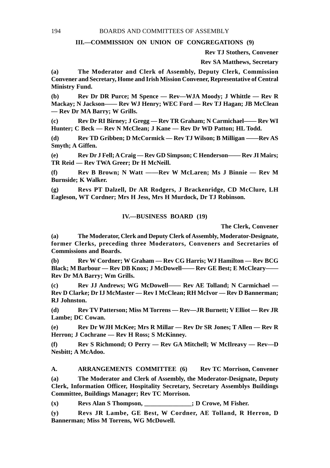#### **III.—COMMISSION ON UNION OF CONGREGATIONS (9)**

**Rev TJ Stothers, Convener**

**Rev SA Matthews, Secretary**

**(a) The Moderator and Clerk of Assembly, Deputy Clerk, Commission Convener and Secretary, Home and Irish Mission Convener, Representative of Central Ministry Fund.**

**(b) Rev Dr DR Purce; M Spence — Rev—WJA Moody; J Whittle — Rev R Mackay; N Jackson—— Rev WJ Henry; WEC Ford — Rev TJ Hagan; JB McClean — Rev Dr MA Barry; W Grills.**

**(c) Rev Dr RI Birney; J Gregg — Rev TR Graham; N Carmichael—— Rev WI Hunter; C Beck — Rev N McClean; J Kane — Rev Dr WD Patton; HL Todd.**

**(d) Rev TD Gribben; D McCormick — Rev TJ Wilson; B Milligan ——Rev AS Smyth; A Giffen.**

**(e) Rev Dr J Fell; A Craig — Rev GD Simpson; C Henderson—— Rev JI Mairs; TR Reid — Rev TWA Greer; Dr H McNeill.**

**(f) Rev B Brown; N Watt ——Rev W McLaren; Ms J Binnie — Rev M Burnside; K Walker.**

**(g) Revs PT Dalzell, Dr AR Rodgers, J Brackenridge, CD McClure, LH Eagleson, WT Cordner; Mrs H Jess, Mrs H Murdock, Dr TJ Robinson.**

#### **IV.—BUSINESS BOARD (19)**

**The Clerk, Convener**

**(a) The Moderator, Clerk and Deputy Clerk of Assembly, Moderator-Designate, former Clerks, preceding three Moderators, Conveners and Secretaries of Commissions and Boards.**

**(b) Rev W Cordner; W Graham — Rev CG Harris; WJ Hamilton — Rev BCG Black; M Barbour — Rev DB Knox; J McDowell—— Rev GE Best; E McCleary—— Rev Dr MA Barry; Wm Grills.**

**(c) Rev JJ Andrews; WG McDowell—— Rev AE Tolland; N Carmichael — Rev D Clarke; Dr IJ McMaster — Rev I McClean; RH McIvor — Rev D Bannerman; RJ Johnston.**

**(d) Rev TV Patterson; Miss M Torrens — Rev—JR Burnett; V Elliot — Rev JR Lambe; DC Cowan.**

**(e) Rev Dr WJH McKee; Mrs R Millar — Rev Dr SR Jones; T Allen — Rev R Herron; J Cochrane — Rev H Ross; S McKinney.**

**(f) Rev S Richmond; O Perry — Rev GA Mitchell; W McIlreavy — Rev—D Nesbitt; A McAdoo.**

**A. ARRANGEMENTS COMMITTEE (6) Rev TC Morrison, Convener**

**(a) The Moderator and Clerk of Assembly, the Moderator-Designate, Deputy Clerk, Information Officer, Hospitality Secretary, Secretary Assemblys Buildings Committee, Buildings Manager; Rev TC Morrison.**

**(x) Revs Alan S Thompson, \_\_\_\_\_\_\_\_\_\_\_\_\_\_\_; D Crowe, M Fisher.**

**(y) Revs JR Lambe, GE Best, W Cordner, AE Tolland, R Herron, D Bannerman; Miss M Torrens, WG McDowell.**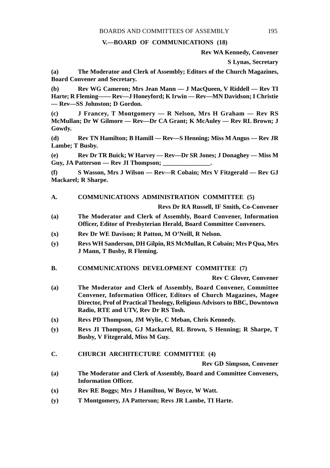### **V.—BOARD OF COMMUNICATIONS (18)**

**Rev WA Kennedy, Convener**

**S Lynas, Secretary**

**(a) The Moderator and Clerk of Assembly; Editors of the Church Magazines, Board Convener and Secretary.**

**(b) Rev WG Cameron; Mrs Jean Mann — J MacQueen, V Riddell — Rev TI Harte; R Fleming—— Rev—J Honeyford; K Irwin — Rev—MN Davidson; I Christie — Rev—SS Johnston; D Gordon.**

**(c) J Francey, T Montgomery — R Nelson, Mrs H Graham — Rev RS McMullan; Dr W Gilmore — Rev—Dr CA Grant; K McAuley — Rev RL Brown; J Gowdy.**

**(d) Rev TN Hamilton; B Hamill — Rev—S Henning; Miss M Angus — Rev JR Lambe; T Busby.**

**(e) Rev Dr TR Buick; W Harvey — Rev—Dr SR Jones; J Donaghey — Miss M** Guy, JA Patterson — Rev JI Thompson; \_

**(f) S Wasson, Mrs J Wilson — Rev—R Cobain; Mrs V Fitzgerald — Rev GJ Mackarel; R Sharpe.**

#### **A. COMMUNICATIONS ADMINISTRATION COMMITTEE (5)**

**Revs Dr RA Russell, IF Smith, Co-Convener**

- **(a) The Moderator and Clerk of Assembly, Board Convener, Information Officer, Editor of Presbyterian Herald, Board Committee Conveners.**
- **(x) Rev Dr WE Davison; R Patton, M O'Neill, R Nelson.**
- **(y) Revs WH Sanderson, DH Gilpin, RS McMullan, R Cobain; Mrs P Qua, Mrs J Mann, T Busby, R Fleming.**
- **B. COMMUNICATIONS DEVELOPMENT COMMITTEE (7)**

**Rev C Glover, Convener**

- **(a) The Moderator and Clerk of Assembly, Board Convener, Committee Convener, Information Officer, Editors of Church Magazines, Magee Director, Prof of Practical Theology, Religious Advisors to BBC, Downtown Radio, RTE and UTV, Rev Dr RS Tosh.**
- **(x) Revs PD Thompson, JM Wylie, C Meban, Chris Kennedy.**
- **(y) Revs JI Thompson, GJ Mackarel, RL Brown, S Henning; R Sharpe, T Busby, V Fitzgerald, Miss M Guy.**
- **C. CHURCH ARCHITECTURE COMMITTEE (4)**

**Rev GD Simpson, Convener**

- **(a) The Moderator and Clerk of Assembly, Board and Committee Conveners, Information Officer.**
- **(x) Rev RE Boggs; Mrs J Hamilton, W Boyce, W Watt.**
- **(y) T Montgomery, JA Patterson; Revs JR Lambe, TI Harte.**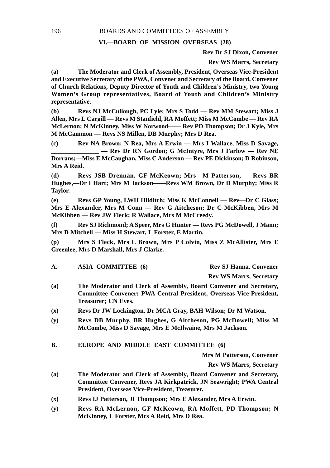## **VI.—BOARD OF MISSION OVERSEAS (28)**

**Rev Dr SJ Dixon, Convener**

**Rev WS Marrs, Secretary**

**(a) The Moderator and Clerk of Assembly, President, Overseas Vice-President and Executive Secretary of the PWA, Convener and Secretary of the Board, Convener of Church Relations, Deputy Director of Youth and Children's Ministry, two Young Women's Group representatives, Board of Youth and Children's Ministry representative.**

**(b) Revs NJ McCullough, PC Lyle; Mrs S Todd — Rev MM Stewart; Miss J Allen, Mrs L Cargill — Revs M Stanfield, RA Moffett; Miss M McCombe — Rev RA McLernon; N McKinney, Miss W Norwood—— Rev PD Thompson; Dr J Kyle, Mrs M McCammon — Revs NS Millen, DB Murphy; Mrs D Rea.**

**(c) Rev NA Brown; N Rea, Mrs A Erwin — Mrs I Wallace, Miss D Savage, \_\_\_\_\_\_\_\_\_\_\_\_\_\_\_ — Rev Dr RN Gordon; G McIntyre, Mrs J Farlow — Rev NE Dorrans;—Miss E McCaughan, Miss C Anderson — Rev PE Dickinson; D Robinson, Mrs A Reid.**

**(d) Revs JSB Drennan, GF McKeown; Mrs—M Patterson, — Revs BR Hughes,—Dr I Hart; Mrs M Jackson——Revs WM Brown, Dr D Murphy; Miss R Taylor.**

**(e) Revs GP Young, LWH Hilditch; Miss K McConnell — Rev—Dr C Glass; Mrs E Alexander, Mrs M Conn — Rev G Aitcheson; Dr C McKibben, Mrs M McKibben — Rev JW Fleck; R Wallace, Mrs M McCreedy.**

**(f) Rev SJ Richmond; A Speer, Mrs G Hunter — Revs PG McDowell, J Mann; Mrs D Mitchell — Miss H Stewart, L Forster, E Martin.**

**(p) Mrs S Fleck, Mrs L Brown, Mrs P Colvin, Miss Z McAllister, Mrs E Greenlee, Mrs D Marshall, Mrs J Clarke.**

| А. | <b>ASIA COMMITTEE (6)</b> | <b>Rev SJ Hanna, Convener</b>  |
|----|---------------------------|--------------------------------|
|    |                           | <b>Rev WS Marrs, Secretary</b> |

- **(a) The Moderator and Clerk of Assembly, Board Convener and Secretary, Committee Convener; PWA Central President, Overseas Vice-President, Treasurer; CN Eves.**
- **(x) Revs Dr JW Lockington, Dr MCA Gray, BAH Wilson; Dr M Watson.**
- **(y) Revs DB Murphy, BR Hughes, G Aitcheson, PG McDowell; Miss M McCombe, Miss D Savage, Mrs E McIlwaine, Mrs M Jackson.**
- **B. EUROPE AND MIDDLE EAST COMMITTEE (6)**

**Mrs M Patterson, Convener**

**Rev WS Marrs, Secretary**

- **(a) The Moderator and Clerk of Assembly, Board Convener and Secretary, Committee Convener, Revs JA Kirkpatrick, JN Seawright; PWA Central President, Overseas Vice-President, Treasurer.**
- **(x) Revs IJ Patterson, JI Thompson; Mrs E Alexander, Mrs A Erwin.**
- **(y) Revs RA McLernon, GF McKeown, RA Moffett, PD Thompson; N McKinney, L Forster, Mrs A Reid, Mrs D Rea.**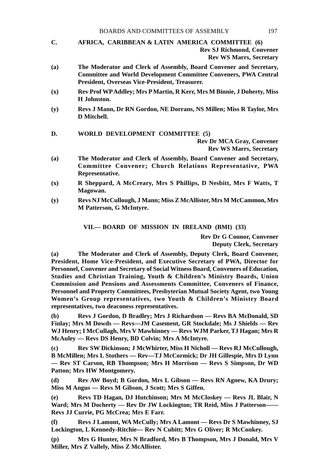- **C. AFRICA, CARIBBEAN & LATIN AMERICA COMMITTEE (6) Rev SJ Richmond, Convener Rev WS Marrs, Secretary**
- **(a) The Moderator and Clerk of Assembly, Board Convener and Secretary, Committee and World Development Committee Conveners, PWA Central President, Overseas Vice-President, Treasurer.**
- **(x) Rev Prof WP Addley; Mrs P Martin, R Kerr, Mrs M Binnie, J Doherty, Miss H Johnston.**
- **(y) Revs J Mann, Dr RN Gordon, NE Dorrans, NS Millen; Miss R Taylor, Mrs D Mitchell.**

#### **D. WORLD DEVELOPMENT COMMITTEE (5)**

**Rev Dr MCA Gray, Convener**

**Rev WS Marrs, Secretary**

- **(a) The Moderator and Clerk of Assembly, Board Convener and Secretary, Committee Convener; Church Relations Representative, PWA Representative.**
- **(x) R Sheppard, A McCreary, Mrs S Phillips, D Nesbitt, Mrs F Watts, T Magowan.**
- **(y) Revs NJ McCullough, J Mann; Miss Z McAllister, Mrs M McCammon, Mrs M Patterson, G McIntyre.**

**VII.— BOARD OF MISSION IN IRELAND (BMI) (33)**

**Rev Dr G Connor, Convener Deputy Clerk, Secretary**

**(a) The Moderator and Clerk of Assembly, Deputy Clerk, Board Convener, President, Home Vice-President, and Executive Secretary of PWA, Director for Personnel, Convener and Secretary of Social Witness Board, Conveners of Education, Studies and Christian Training, Youth & Children's Ministry Boards, Union Commission and Pensions and Assessments Committee, Conveners of Finance, Personnel and Property Committees, Presbyterian Mutual Society Agent, two Young Women's Group representatives, two Youth & Children's Ministry Board representatives, two deaconess representatives.**

**(b) Revs J Gordon, D Bradley; Mrs J Richardson — Revs BA McDonald, SD Finlay; Mrs M Dowds — Revs—JM Casement, GR Stockdale; Ms J Shields — Rev WJ Henry; I McCullagh, Mrs V Mawhinney — Revs WJM Parker, TJ Hagan; Mrs R McAuley — Revs DS Henry, BD Colvin; Mrs A McIntyre.**

**(c) Rev SW Dickinson; J McWhirter, Miss H Nicholl — Revs RJ McCullough, B McMillen; Mrs L Stothers — Rev—TJ McCormick; Dr JH Gillespie, Mrs D Lynn — Rev ST Carson, RB Thompson; Mrs H Morrison — Revs S Simpson, Dr WD Patton; Mrs HW Montgomery.**

**(d) Rev AW Boyd; B Gordon, Mrs L Gibson — Revs RN Agnew, KA Drury; Miss M Angus — Revs M Gibson, J Scott; Mrs S Giffen.**

**(e) Revs TD Hagan, DJ Hutchinson; Mrs M McCloskey — Revs JL Blair, N Ward; Mrs M Docherty — Rev Dr JW Lockington; TR Reid, Miss J Patterson—— Revs JJ Currie, PG McCrea; Mrs E Farr.**

**(f) Revs J Lamont, WA McCully; Mrs A Lamont — Revs Dr S Mawhinney, SJ Lockington, L Kennedy-Ritchie— Rev N Cubitt; Mrs G Oliver; R McConkey.**

**(p) Mrs G Hunter, Mrs N Bradford, Mrs B Thompson, Mrs J Donald, Mrs V Miller, Mrs Z Vallely, Miss Z McAllister.**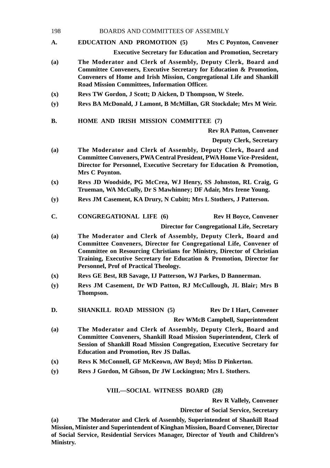- 198 BOARDS AND COMMITTEES OF ASSEMBLY
- **A. EDUCATION AND PROMOTION (5) Mrs C Poynton, Convener Executive Secretary for Education and Promotion, Secretary**
- **(a) The Moderator and Clerk of Assembly, Deputy Clerk, Board and Committee Conveners, Executive Secretary for Education & Promotion, Conveners of Home and Irish Mission, Congregational Life and Shankill Road Mission Committees, Information Officer.**
- **(x) Revs TW Gordon, J Scott; D Aicken, D Thompson, W Steele.**
- **(y) Revs BA McDonald, J Lamont, B McMillan, GR Stockdale; Mrs M Weir.**
- **B. HOME AND IRISH MISSION COMMITTEE (7)**

**Rev RA Patton, Convener**

**Deputy Clerk, Secretary**

- **(a) The Moderator and Clerk of Assembly, Deputy Clerk, Board and Committee Conveners, PWA Central President, PWA Home Vice-President, Director for Personnel, Executive Secretary for Education & Promotion, Mrs C Poynton.**
- **(x) Revs JD Woodside, PG McCrea, WJ Henry, SS Johnston, RL Craig, G Trueman, WA McCully, Dr S Mawhinney; DF Adair, Mrs Irene Young.**
- **(y) Revs JM Casement, KA Drury, N Cubitt; Mrs L Stothers, J Patterson.**
- **C. CONGREGATIONAL LIFE (6) Rev H Boyce, Convener**

**Director for Congregational Life, Secretary**

- **(a) The Moderator and Clerk of Assembly, Deputy Clerk, Board and Committee Conveners, Director for Congregational Life, Convener of Committee on Resourcing Christians for Ministry, Director of Christian Training, Executive Secretary for Education & Promotion, Director for Personnel, Prof of Practical Theology.**
- **(x) Revs GE Best, RB Savage, IJ Patterson, WJ Parkes, D Bannerman.**
- **(y) Revs JM Casement, Dr WD Patton, RJ McCullough, JL Blair; Mrs B Thompson.**
- **D.** SHANKILL ROAD MISSION (5) Rev Dr I Hart, Convener

**Rev WMcB Campbell, Superintendent**

- **(a) The Moderator and Clerk of Assembly, Deputy Clerk, Board and Committee Conveners, Shankill Road Mission Superintendent, Clerk of Session of Shankill Road Mission Congregation, Executive Secretary for Education and Promotion, Rev JS Dallas.**
- **(x) Revs K McConnell, GF McKeown, AW Boyd; Miss D Pinkerton.**
- **(y) Revs J Gordon, M Gibson, Dr JW Lockington; Mrs L Stothers.**

## **VIII.—SOCIAL WITNESS BOARD (28)**

**Rev R Vallely, Convener**

**Director of Social Service, Secretary**

**(a) The Moderator and Clerk of Assembly, Superintendent of Shankill Road Mission, Minister and Superintendent of Kinghan Mission, Board Convener, Director of Social Service, Residential Services Manager, Director of Youth and Children's Ministry.**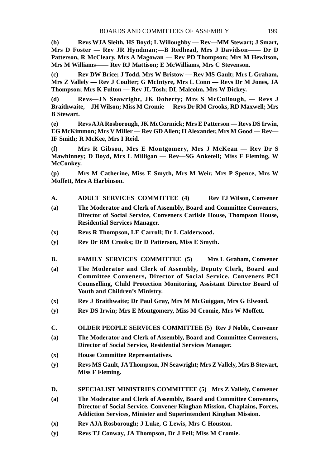**(b) Revs WJA Sleith, HS Boyd; L Willoughby — Rev—MM Stewart; J Smart, Mrs D Foster — Rev JR Hyndman;—B Redhead, Mrs J Davidson—— Dr D Patterson, R McCleary, Mrs A Magowan — Rev PD Thompson; Mrs M Hewitson, Mrs M Williams—— Rev RJ Mattison; E McWilliams, Mrs C Stevenson.**

**(c) Rev DW Brice; J Todd, Mrs W Bristow — Rev MS Gault; Mrs L Graham, Mrs Z Vallely — Rev J Coulter; G McIntyre, Mrs L Conn — Revs Dr M Jones, JA Thompson; Mrs K Fulton — Rev JL Tosh; DL Malcolm, Mrs W Dickey.**

**(d) Revs—JN Seawright, JK Doherty; Mrs S McCullough, — Revs J Braithwaite,—JH Wilson; Miss M Cromie — Revs Dr RM Crooks, RD Maxwell; Mrs B Stewart.**

**(e) Revs AJA Rosborough, JK McCormick; Mrs E Patterson — Revs DS Irwin, EG McKimmon; Mrs V Miller — Rev GD Allen; H Alexander, Mrs M Good — Rev— IF Smith; R McKee, Mrs I Reid.**

**(f) Mrs R Gibson, Mrs E Montgomery, Mrs J McKean — Rev Dr S Mawhinney; D Boyd, Mrs L Milligan — Rev—SG Anketell; Miss F Fleming, W McConkey.**

**(p) Mrs M Catherine, Miss E Smyth, Mrs M Weir, Mrs P Spence, Mrs W Moffett, Mrs A Harbinson.**

- **A. ADULT SERVICES COMMITTEE (4) Rev TJ Wilson, Convener**
- **(a) The Moderator and Clerk of Assembly, Board and Committee Conveners, Director of Social Service, Conveners Carlisle House, Thompson House, Residential Services Manager.**
- **(x) Revs R Thompson, LE Carroll; Dr L Calderwood.**
- **(y) Rev Dr RM Crooks; Dr D Patterson, Miss E Smyth.**
- **B. FAMILY SERVICES COMMITTEE (5) Mrs L Graham, Convener**
- **(a) The Moderator and Clerk of Assembly, Deputy Clerk, Board and Committee Conveners, Director of Social Service, Conveners PCI Counselling, Child Protection Monitoring, Assistant Director Board of Youth and Children's Ministry.**
- **(x) Rev J Braithwaite; Dr Paul Gray, Mrs M McGuiggan, Mrs G Elwood.**
- **(y) Rev DS Irwin; Mrs E Montgomery, Miss M Cromie, Mrs W Moffett.**
- **C. OLDER PEOPLE SERVICES COMMITTEE (5) Rev J Noble, Convener**
- **(a) The Moderator and Clerk of Assembly, Board and Committee Conveners, Director of Social Service, Residential Services Manager.**
- **(x) House Committee Representatives.**
- **(y) Revs MS Gault, JA Thompson, JN Seawright; Mrs Z Vallely, Mrs B Stewart, Miss F Fleming.**
- **D. SPECIALIST MINISTRIES COMMITTEE (5) Mrs Z Vallely, Convener**
- **(a) The Moderator and Clerk of Assembly, Board and Committee Conveners, Director of Social Service, Convener Kinghan Mission, Chaplains, Forces, Addiction Services, Minister and Superintendent Kinghan Mission.**
- **(x) Rev AJA Rosborough; J Luke, G Lewis, Mrs C Houston.**
- **(y) Revs TJ Conway, JA Thompson, Dr J Fell; Miss M Cromie.**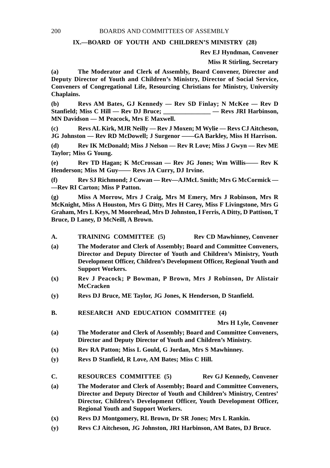## **IX.—BOARD OF YOUTH AND CHILDREN'S MINISTRY (28)**

**Rev EJ Hyndman, Convener**

**Miss R Stirling, Secretary**

**(a) The Moderator and Clerk of Assembly, Board Convener, Director and Deputy Director of Youth and Children's Ministry, Director of Social Service, Conveners of Congregational Life, Resourcing Christians for Ministry, University Chaplains.**

**(b) Revs AM Bates, GJ Kennedy — Rev SD Finlay; N McKee — Rev D Stanfield; Miss C Hill — Rev DJ Bruce; \_\_\_\_\_\_\_\_\_\_\_\_\_\_\_ — Revs JRI Harbinson, MN Davidson — M Peacock, Mrs E Maxwell.**

**(c) Revs AL Kirk, MJR Neilly — Rev J Moxen; M Wylie — Revs CJ Aitcheson, JG Johnston — Rev RD McDowell; J Surgenor ——GA Barkley, Miss H Harrison.**

**(d) Rev IK McDonald; Miss J Nelson — Rev R Love; Miss J Gwyn — Rev ME Taylor; Miss G Young.**

**(e) Rev TD Hagan; K McCrossan — Rev JG Jones; Wm Willis—— Rev K Henderson; Miss M Guy—— Revs JA Curry, DJ Irvine.**

**(f) Rev SJ Richmond; J Cowan — Rev—AJMcL Smith; Mrs G McCormick — —Rev RI Carton; Miss P Patton.**

**(g) Miss A Morrow, Mrs J Craig, Mrs M Emery, Mrs J Robinson, Mrs R McKnight, Miss A Houston, Mrs G Ditty, Mrs H Carey, Miss F Livingstone, Mrs G Graham, Mrs L Keys, M Moorehead, Mrs D Johnston, I Ferris, A Ditty, D Pattison, T Bruce, D Laney, D McNeill, A Brown.**

**A. TRAINING COMMITTEE (5) Rev CD Mawhinney, Convener**

- **(a) The Moderator and Clerk of Assembly; Board and Committee Conveners, Director and Deputy Director of Youth and Children's Ministry, Youth Development Officer, Children's Development Officer, Regional Youth and Support Workers.**
- **(x) Rev J Peacock; P Bowman, P Brown, Mrs J Robinson, Dr Alistair McCracken**
- **(y) Revs DJ Bruce, ME Taylor, JG Jones, K Henderson, D Stanfield.**
- **B. RESEARCH AND EDUCATION COMMITTEE (4)**

- **(a) The Moderator and Clerk of Assembly; Board and Committee Conveners, Director and Deputy Director of Youth and Children's Ministry.**
- **(x) Rev RA Patton; Miss L Gould, G Jordan, Mrs S Mawhinney.**
- **(y) Revs D Stanfield, R Love, AM Bates; Miss C Hill.**
- **C. RESOURCES COMMITTEE (5) Rev GJ Kennedy, Convener**
- **(a) The Moderator and Clerk of Assembly; Board and Committee Conveners, Director and Deputy Director of Youth and Children's Ministry, Centres' Director, Children's Development Officer, Youth Development Officer, Regional Youth and Support Workers.**
- **(x) Revs DJ Montgomery, RL Brown, Dr SR Jones; Mrs L Rankin.**
- **(y) Revs CJ Aitcheson, JG Johnston, JRI Harbinson, AM Bates, DJ Bruce.**

**Mrs H Lyle, Convener**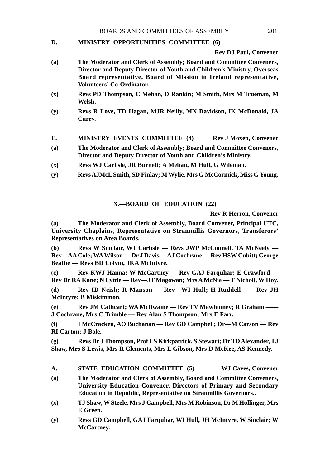#### **D. MINISTRY OPPORTUNITIES COMMITTEE (6)**

**Rev DJ Paul, Convener**

- **(a) The Moderator and Clerk of Assembly; Board and Committee Conveners, Director and Deputy Director of Youth and Children's Ministry, Overseas Board representative, Board of Mission in Ireland representative, Volunteers' Co-Ordinator.**
- **(x) Revs PD Thompson, C Meban, D Rankin; M Smith, Mrs M Trueman, M Welsh.**
- **(y) Revs R Love, TD Hagan, MJR Neilly, MN Davidson, IK McDonald, JA Curry.**
- E. **MINISTRY EVENTS COMMITTEE (4)** Rev J Moxen, Convener
- **(a) The Moderator and Clerk of Assembly; Board and Committee Conveners, Director and Deputy Director of Youth and Children's Ministry.**
- **(x) Revs WJ Carlisle, JR Burnett; A Meban, M Hull, G Wileman.**
- **(y) Revs AJMcL Smith, SD Finlay; M Wylie, Mrs G McCormick, Miss G Young.**

#### **X.—BOARD OF EDUCATION (22)**

**Rev R Herron, Convener**

**(a) The Moderator and Clerk of Assembly, Board Convener, Principal UTC, University Chaplains, Representative on Stranmillis Governors, Transferors' Representatives on Area Boards.**

**(b) Revs W Sinclair, WJ Carlisle — Revs JWP McConnell, TA McNeely — Rev—AA Cole; WA Wilson — Dr J Davis,—AJ Cochrane — Rev HSW Cubitt; George Beattie — Revs BD Colvin, JKA McIntyre.**

**(c) Rev KWJ Hanna; W McCartney — Rev GAJ Farquhar; E Crawford — Rev Dr RA Kane; N Lyttle — Rev—JT Magowan; Mrs A McNie — T Nicholl, W Hoy.**

**(d) Rev ID Neish; R Manson — Rev—WI Hull; H Ruddell ——Rev JH McIntyre; B Miskimmon.**

**(e) Rev JM Cathcart; WA McIlwaine — Rev TV Mawhinney; R Graham —— J Cochrane, Mrs C Trimble — Rev Alan S Thompson; Mrs E Farr.**

**(f) I McCracken, AO Buchanan — Rev GD Campbell; Dr—M Carson — Rev RI Carton; J Bole.**

**(g) Revs Dr J Thompson, Prof LS Kirkpatrick, S Stewart; Dr TD Alexander, TJ Shaw, Mrs S Lewis, Mrs R Clements, Mrs L Gibson, Mrs D McKee, AS Kennedy.**

- **A. STATE EDUCATION COMMITTEE (5) WJ Caves, Convener**
- **(a) The Moderator and Clerk of Assembly, Board and Committee Conveners, University Education Convener, Directors of Primary and Secondary Education in Republic, Representative on Stranmillis Governors..**
- **(x) TJ Shaw, W Steele, Mrs J Campbell, Mrs M Robinson, Dr M Hollinger, Mrs E Green.**
- **(y) Revs GD Campbell, GAJ Farquhar, WI Hull, JH McIntyre, W Sinclair; W McCartney.**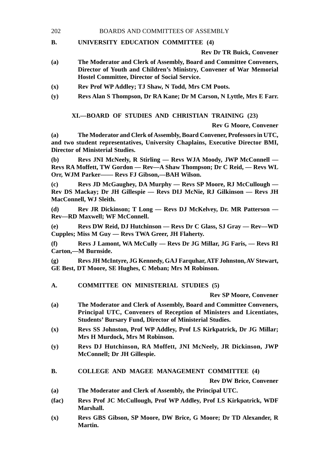#### 202 BOARDS AND COMMITTEES OF ASSEMBLY

#### **B. UNIVERSITY EDUCATION COMMITTEE (4)**

**Rev Dr TR Buick, Convener**

- **(a) The Moderator and Clerk of Assembly, Board and Committee Conveners, Director of Youth and Children's Ministry, Convener of War Memorial Hostel Committee, Director of Social Service.**
- **(x) Rev Prof WP Addley; TJ Shaw, N Todd, Mrs CM Poots.**
- **(y) Revs Alan S Thompson, Dr RA Kane; Dr M Carson, N Lyttle, Mrs E Farr.**

**XI.—BOARD OF STUDIES AND CHRISTIAN TRAINING (23)**

**Rev G Moore, Convener**

**(a) The Moderator and Clerk of Assembly, Board Convener, Professors in UTC, and two student representatives, University Chaplains, Executive Director BMI, Director of Ministerial Studies.**

**(b) Revs JNI McNeely, R Stirling — Revs WJA Moody, JWP McConnell — Revs RA Moffett, TW Gordon — Rev—A Shaw Thompson; Dr C Reid, — Revs WL Orr, WJM Parker—— Revs FJ Gibson,—BAH Wilson.**

**(c) Revs JD McGaughey, DA Murphy — Revs SP Moore, RJ McCullough — Rev DS Mackay; Dr JH Gillespie — Revs DIJ McNie, RJ Gilkinson — Revs JH MacConnell, WJ Sleith.**

**(d) Rev JR Dickinson; T Long — Revs DJ McKelvey, Dr. MR Patterson — Rev—RD Maxwell; WF McConnell.**

**(e) Revs DW Reid, DJ Hutchinson — Revs Dr C Glass, SJ Gray — Rev—WD Cupples; Miss M Guy — Revs TWA Greer, JH Flaherty.**

**(f) Revs J Lamont, WA McCully — Revs Dr JG Millar, JG Faris, — Revs RI Carton,—M Burnside.**

**(g) Revs JH McIntyre, JG Kennedy, GAJ Farquhar, ATF Johnston, AV Stewart, GE Best, DT Moore, SE Hughes, C Meban; Mrs M Robinson.**

**A. COMMITTEE ON MINISTERIAL STUDIES (5)**

**Rev SP Moore, Convener**

- **(a) The Moderator and Clerk of Assembly, Board and Committee Conveners, Principal UTC, Conveners of Reception of Ministers and Licentiates, Students' Bursary Fund, Director of Ministerial Studies.**
- **(x) Revs SS Johnston, Prof WP Addley, Prof LS Kirkpatrick, Dr JG Millar; Mrs H Murdock, Mrs M Robinson.**
- **(y) Revs DJ Hutchinson, RA Moffett, JNI McNeely, JR Dickinson, JWP McConnell; Dr JH Gillespie.**
- **B. COLLEGE AND MAGEE MANAGEMENT COMMITTEE (4)**

**Rev DW Brice, Convener**

- **(a) The Moderator and Clerk of Assembly, the Principal UTC.**
- **(fac) Revs Prof JC McCullough, Prof WP Addley, Prof LS Kirkpatrick, WDF Marshall.**
- **(x) Revs GBS Gibson, SP Moore, DW Brice, G Moore; Dr TD Alexander, R Martin.**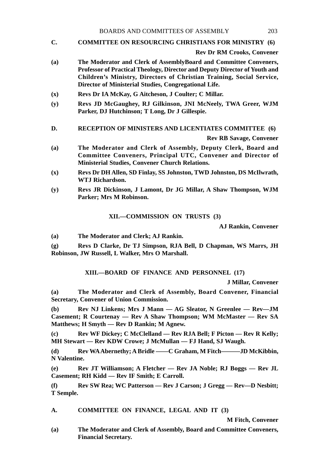**C. COMMITTEE ON RESOURCING CHRISTIANS FOR MINISTRY (6)**

**Rev Dr RM Crooks, Convener**

- **(a) The Moderator and Clerk of AssemblyBoard and Committee Conveners, Professor of Practical Theology, Director and Deputy Director of Youth and Children's Ministry, Directors of Christian Training, Social Service, Director of Ministerial Studies, Congregational Life.**
- **(x) Revs Dr IA McKay, G Aitcheson, J Coulter; C Millar.**
- **(y) Revs JD McGaughey, RJ Gilkinson, JNI McNeely, TWA Greer, WJM Parker, DJ Hutchinson; T Long, Dr J Gillespie.**
- **D. RECEPTION OF MINISTERS AND LICENTIATES COMMITTEE (6)**

**Rev RB Savage, Convener**

- **(a) The Moderator and Clerk of Assembly, Deputy Clerk, Board and Committee Conveners, Principal UTC, Convener and Director of Ministerial Studies, Convener Church Relations.**
- **(x) Revs Dr DH Allen, SD Finlay, SS Johnston, TWD Johnston, DS McIlwrath, WTJ Richardson.**
- **(y) Revs JR Dickinson, J Lamont, Dr JG Millar, A Shaw Thompson, WJM Parker; Mrs M Robinson.**

**XII.—COMMISSION ON TRUSTS (3)**

**AJ Rankin, Convener**

**(a) The Moderator and Clerk; AJ Rankin.**

**(g) Revs D Clarke, Dr TJ Simpson, RJA Bell, D Chapman, WS Marrs, JH Robinson, JW Russell, L Walker, Mrs O Marshall.**

**XIII.—BOARD OF FINANCE AND PERSONNEL (17)**

**J Millar, Convener**

**(a) The Moderator and Clerk of Assembly, Board Convener, Financial Secretary, Convener of Union Commission.**

**(b) Rev NJ Linkens; Mrs J Mann — AG Sleator, N Greenlee — Rev—JM Casement; R Courtenay — Rev A Shaw Thompson; WM McMaster — Rev SA Matthews; H Smyth — Rev D Rankin; M Agnew.**

**(c) Rev WF Dickey; C McClelland — Rev RJA Bell; F Picton — Rev R Kelly; MH Stewart — Rev KDW Crowe; J McMullan — FJ Hand, SJ Waugh.**

**(d) Rev WA Abernethy; A Bridle ——C Graham, M Fitch———JD McKibbin, N Valentine.**

**(e) Rev JT Williamson; A Fletcher — Rev JA Noble; RJ Boggs — Rev JL Casement; RH Kidd — Rev IF Smith; E Carroll.**

**(f) Rev SW Rea; WC Patterson — Rev J Carson; J Gregg — Rev—D Nesbitt; T Semple.**

**A. COMMITTEE ON FINANCE, LEGAL AND IT (3)**

**M Fitch, Convener**

**(a) The Moderator and Clerk of Assembly, Board and Committee Conveners, Financial Secretary.**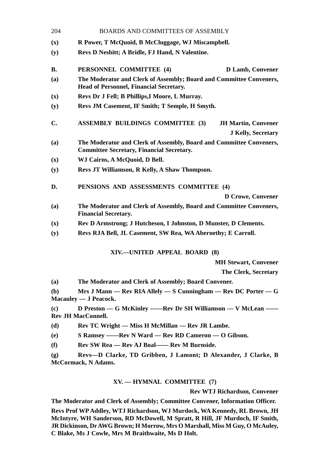| 204            | <b>BOARDS AND COMMITTEES OF ASSEMBLY</b>                                                                                |  |  |
|----------------|-------------------------------------------------------------------------------------------------------------------------|--|--|
| (x)            | R Power, T McQuoid, B McCluggage, WJ Miscampbell.                                                                       |  |  |
| (y)            | Revs D Nesbitt; A Bridle, FJ Hand, N Valentine.                                                                         |  |  |
| <b>B.</b>      | PERSONNEL COMMITTEE (4)<br>D Lamb, Convener                                                                             |  |  |
| (a)            | The Moderator and Clerk of Assembly; Board and Committee Conveners,<br>Head of Personnel, Financial Secretary.          |  |  |
| (x)            | Revs Dr J Fell; B Phillips, I Moore, L Murray.                                                                          |  |  |
| (y)            | Revs JM Casement, IF Smith; T Semple, H Smyth.                                                                          |  |  |
| C.             | <b>ASSEMBLY BUILDINGS COMMITTEE (3)</b><br><b>JH Martin, Convener</b>                                                   |  |  |
|                | <b>J Kelly, Secretary</b>                                                                                               |  |  |
| (a)            | The Moderator and Clerk of Assembly, Board and Committee Conveners,<br><b>Committee Secretary, Financial Secretary.</b> |  |  |
| (x)            | WJ Cairns, A McQuoid, D Bell.                                                                                           |  |  |
| (y)            | Revs JT Williamson, R Kelly, A Shaw Thompson.                                                                           |  |  |
| D.             | PENSIONS AND ASSESSMENTS COMMITTEE (4)                                                                                  |  |  |
|                | D Crowe, Convener                                                                                                       |  |  |
| (a)            | The Moderator and Clerk of Assembly, Board and Committee Conveners,<br><b>Financial Secretary.</b>                      |  |  |
| $(\mathbf{x})$ | Rev D Armstrong; J Hutcheson, I Johnston, D Munster, D Clements.                                                        |  |  |
| (y)            | Revs RJA Bell, JL Casement, SW Rea, WA Abernethy; E Carroll.                                                            |  |  |
|                | XIV.—UNITED APPEAL BOARD (8)                                                                                            |  |  |
|                | <b>MH Stewart, Convener</b>                                                                                             |  |  |
|                | The Clerk, Secretary                                                                                                    |  |  |

**(a) The Moderator and Clerk of Assembly; Board Convener.**

**(b) Mrs J Mann — Rev RIA Allely — S Cunningham — Rev DC Porter — G Macauley — J Peacock.**

**(c) D Preston — G McKinley ——Rev Dr SH Williamson — V McLean —— Rev JH MacConnell.**

**(d) Rev TC Wright — Miss H McMillan — Rev JR Lambe.**

**(e) S Ramsey ——Rev N Ward — Rev RD Cameron — O Gibson.**

**(f) Rev SW Rea — Rev AJ Boal—— Rev M Burnside.**

**(g) Revs—D Clarke, TD Gribben, J Lamont; D Alexander, J Clarke, B McCormack, N Adams.**

## **XV. — HYMNAL COMMITTEE (7)**

**Rev WTJ Richardson, Convener**

**The Moderator and Clerk of Assembly; Committee Convener, Information Officer.**

**Revs Prof WP Addley, WTJ Richardson, WJ Murdock, WA Kennedy, RL Brown, JH McIntyre, WH Sanderson, RD McDowell, M Spratt, R Hill, JF Murdoch, IF Smith, JR Dickinson, Dr AWG Brown; H Morrow, Mrs O Marshall, Miss M Guy, O McAuley, C Blake, Ms J Cowle, Mrs M Braithwaite, Ms D Holt.**